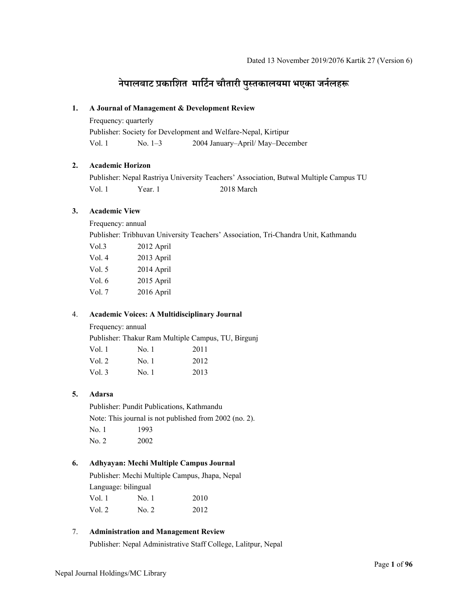# **नेपालबाट प्रकािशत मािटर्न चौतारी पुÖतकालयमा भएका जनर्लहł**

### **1. A Journal of Management & Development Review**

Frequency: quarterly

Publisher: Society for Development and Welfare-Nepal, Kirtipur Vol. 1 No. 1–3 2004 January–April/ May–December

# **2. Academic Horizon**

Publisher: Nepal Rastriya University Teachers' Association, Butwal Multiple Campus TU Vol. 1 Year. 1 2018 March

### **3. Academic View**

Frequency: annual

Publisher: Tribhuvan University Teachers' Association, Tri-Chandra Unit, Kathmandu

| 2012 April |
|------------|
| 2013 April |
| 2014 April |
| 2015 April |
| 2016 April |
|            |

# 4. **Academic Voices: A Multidisciplinary Journal**

Frequency: annual

Publisher: Thakur Ram Multiple Campus, TU, Birgunj

| Vol. 1 | No. 1 | 2011 |
|--------|-------|------|
| Vol. 2 | No. 1 | 2012 |
| Vol. 3 | No. 1 | 2013 |

### **5. Adarsa**

Publisher: Pundit Publications, Kathmandu Note: This journal is not published from 2002 (no. 2). No. 1 1993 No. 2 2002

## **6. Adhyayan: Mechi Multiple Campus Journal**

Publisher: Mechi Multiple Campus, Jhapa, Nepal Language: bilingual Vol. 1 No. 1 2010

| Vol. 2 | No. 2 | 2012 |
|--------|-------|------|
|        |       |      |

### 7. **Administration and Management Review**

Publisher: Nepal Administrative Staff College, Lalitpur, Nepal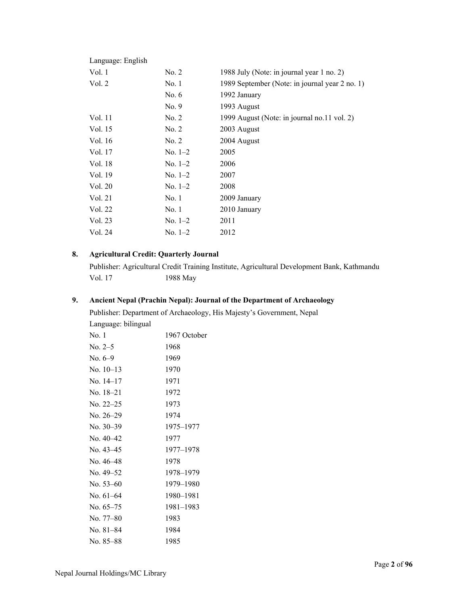| Language: English |               |                                                |
|-------------------|---------------|------------------------------------------------|
| Vol. 1            | No. 2         | 1988 July (Note: in journal year 1 no. 2)      |
| Vol. 2            | No.1          | 1989 September (Note: in journal year 2 no. 1) |
|                   | No. $6$       | 1992 January                                   |
|                   | No. 9         | 1993 August                                    |
| Vol. 11           | No. 2         | 1999 August (Note: in journal no.11 vol. 2)    |
| Vol. 15           | No. 2         | 2003 August                                    |
| Vol. 16           | No. 2         | 2004 August                                    |
| Vol. 17           | $No. 1-2$     | 2005                                           |
| Vol. 18           | $No. 1-2$     | 2006                                           |
| Vol. 19           | $\rm No. 1–2$ | 2007                                           |
| Vol. 20           | $No. 1-2$     | 2008                                           |
| Vol. 21           | No.1          | 2009 January                                   |
| Vol. 22           | No.1          | 2010 January                                   |
| Vol. 23           | $\rm No. 1–2$ | 2011                                           |
| Vol. 24           | $No. 1-2$     | 2012                                           |
|                   |               |                                                |

# **8. Agricultural Credit: Quarterly Journal**

Publisher: Agricultural Credit Training Institute, Agricultural Development Bank, Kathmandu 1988 May

# **9. Ancient Nepal (Prachin Nepal): Journal of the Department of Archaeology**

Publisher: Department of Archaeology, His Majesty's Government, Nepal Language: bilingual

| No. 1       | 1967 October |
|-------------|--------------|
| No. 2–5     | 1968         |
| No. $6-9$   | 1969         |
| $No. 10-13$ | 1970         |
| No. 14–17   | 1971         |
| No. 18–21   | 1972         |
| No. $22-25$ | 1973         |
| No. 26-29   | 1974         |
| No. $30-39$ | 1975–1977    |
| No. $40-42$ | 1977         |
| No. 43–45   | 1977-1978    |
| No. 46–48   | 1978         |
| No. 49–52   | 1978-1979    |
| No. $53-60$ | 1979–1980    |
| No. 61-64   | 1980–1981    |
| No. $65-75$ | 1981–1983    |
| No. 77–80   | 1983         |
| No. 81–84   | 1984         |
| No. 85–88   | 1985         |
|             |              |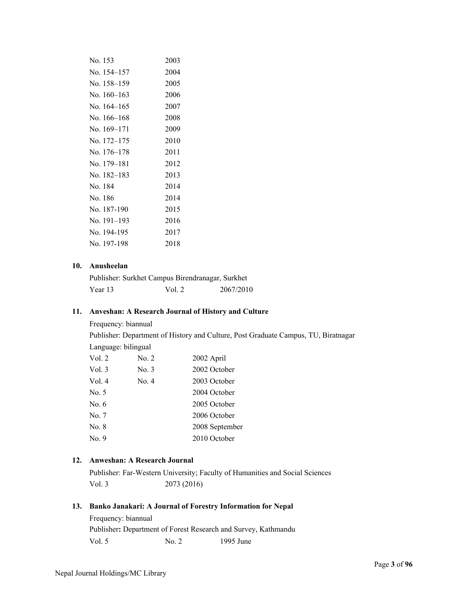| No. 153       | 2003 |
|---------------|------|
| No. 154–157   | 2004 |
| No. 158–159   | 2005 |
| No. $160-163$ | 2006 |
| No. 164–165   | 2007 |
| No. 166–168   | 2008 |
| No. 169–171   | 2009 |
| No. 172–175   | 2010 |
| No. 176–178   | 2011 |
| No. 179–181   | 2012 |
| No. 182–183   | 2013 |
| No. 184       | 2014 |
| No. 186       | 2014 |
| No. 187-190   | 2015 |
| No. 191–193   | 2016 |
| No. 194-195   | 2017 |
| No. 197-198   | 2018 |
|               |      |

# **10. Anusheelan**

| Publisher: Surkhet Campus Birendranagar, Surkhet |        |           |
|--------------------------------------------------|--------|-----------|
| Year 13                                          | Vol. 2 | 2067/2010 |

### **11. Anveshan: A Research Journal of History and Culture**

Frequency: biannual

Publisher: Department of History and Culture, Post Graduate Campus, TU, Biratnagar Language: bilingual

| Vol. 2  | No. 2 | 2002 April     |
|---------|-------|----------------|
| Vol.3   | No. 3 | 2002 October   |
| Vol.4   | No. 4 | 2003 October   |
| No. 5   |       | 2004 October   |
| No. $6$ |       | 2005 October   |
| No. 7   |       | 2006 October   |
| No. 8   |       | 2008 September |
| No. 9   |       | 2010 October   |
|         |       |                |

# **12. Anweshan: A Research Journal**

Publisher: Far-Western University; Faculty of Humanities and Social Sciences Vol. 3 2073 (2016)

### **13. Banko Janakari: A Journal of Forestry Information for Nepal**

Frequency: biannual Publisher**:** Department of Forest Research and Survey, Kathmandu Vol. 5 No. 2 1995 June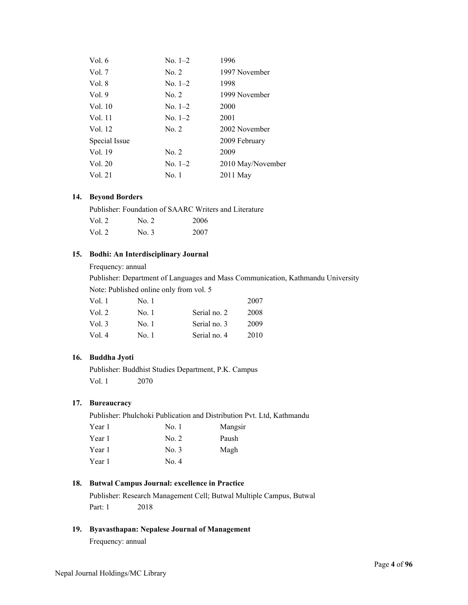| Vol. $6$      | $No. 1-2$ | 1996              |
|---------------|-----------|-------------------|
| Vol. $7$      | No. 2     | 1997 November     |
| Vol. 8        | $No. 1-2$ | 1998              |
| Vol.9         | No. 2     | 1999 November     |
| Vol. 10       | $No. 1-2$ | 2000              |
| Vol. 11       | $No. 1-2$ | 2001              |
| Vol. 12       | No. 2     | 2002 November     |
| Special Issue |           | 2009 February     |
| Vol. 19       | No. 2     | 2009              |
| Vol. 20       | $No. 1-2$ | 2010 May/November |
| Vol. 21       | No. 1     | 2011 May          |
|               |           |                   |

### **14. Beyond Borders**

|        |                      | Publisher: Foundation of SAARC Writers and Literature |
|--------|----------------------|-------------------------------------------------------|
| Vol. 2 | $\overline{N}$ 0. 2. | 2006                                                  |
| Vol. 2 | No. 3                | 2007                                                  |

### **15. Bodhi: An Interdisciplinary Journal**

### Frequency: annual

Publisher: Department of Languages and Mass Communication, Kathmandu University Note: Published online only from vol. 5

| Vol. 1 | No. 1 |              | 2007 |
|--------|-------|--------------|------|
| Vol. 2 | No. 1 | Serial no. 2 | 2008 |
| Vol. 3 | No. 1 | Serial no. 3 | 2009 |
| Vol. 4 | No. 1 | Serial no. 4 | 2010 |

### **16. Buddha Jyoti**

Publisher: Buddhist Studies Department, P.K. Campus Vol. 1 2070

### **17. Bureaucracy**

Publisher: Phulchoki Publication and Distribution Pvt. Ltd, Kathmandu

| No. 1 | Mangsir |
|-------|---------|
| No. 2 | Paush   |
| No. 3 | Magh    |
| No. 4 |         |
|       |         |

# **18. Butwal Campus Journal: excellence in Practice**

Publisher: Research Management Cell; Butwal Multiple Campus, Butwal Part: 1 2018

# **19. Byavasthapan: Nepalese Journal of Management**

Frequency: annual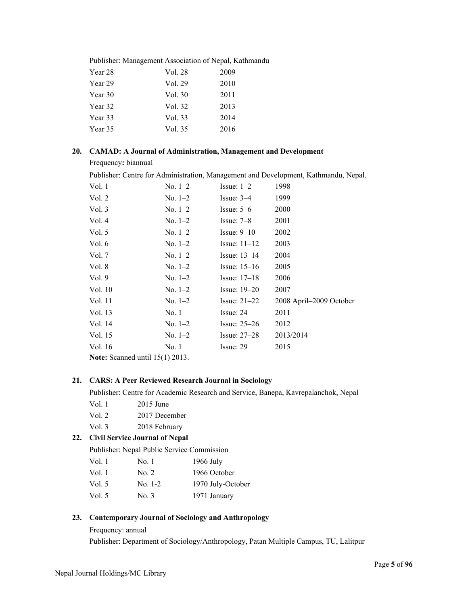| Publisher: Management Association of Nepal, Kathmandu |      |
|-------------------------------------------------------|------|
| Vol. 28                                               | 2009 |
| Vol. 29                                               | 2010 |
| Vol. 30                                               | 2011 |
| Vol. 32                                               | 2013 |
| Vol. 33                                               | 2014 |
| Vol. 35                                               | 2016 |
|                                                       |      |

### **20. CAMAD: A Journal of Administration, Management and Development**

Frequency**:** biannual

Publisher: Centre for Administration, Management and Development, Kathmandu, Nepal.

| Vol. 1                                   | $No. 1-2$     | Issue: $1-2$   | 1998                    |
|------------------------------------------|---------------|----------------|-------------------------|
| Vol. 2                                   | No. $1-2$     | Issue: $3-4$   | 1999                    |
| Vol. $3$                                 | $\rm No. 1–2$ | Issue: $5-6$   | 2000                    |
| Vol. 4                                   | $\rm No. 1–2$ | Issue: $7-8$   | 2001                    |
| Vol. $5$                                 | $\rm No. 1–2$ | Issue: $9-10$  | 2002                    |
| Vol. 6                                   | $\rm No. 1–2$ | Issue: $11-12$ | 2003                    |
| Vol. 7                                   | $\rm No. 1–2$ | Issue: $13-14$ | 2004                    |
| Vol. 8                                   | $\rm No. 1–2$ | Issue: $15-16$ | 2005                    |
| Vol.9                                    | No. $1-2$     | Issue: $17-18$ | 2006                    |
| Vol. 10                                  | $\rm No. 1–2$ | Issue: $19-20$ | 2007                    |
| Vol. 11                                  | $No. 1-2$     | Issue: $21-22$ | 2008 April-2009 October |
| Vol. 13                                  | No.1          | Issue: 24      | 2011                    |
| Vol. 14                                  | $\rm No. 1–2$ | Issue: $25-26$ | 2012                    |
| Vol. 15                                  | $No. 1-2$     | Issue: $27-28$ | 2013/2014               |
| Vol. 16                                  | No. 1         | Issue: 29      | 2015                    |
| <b>Note:</b> Scanned until $15(1)$ 2013. |               |                |                         |

# **21. CARS: A Peer Reviewed Research Journal in Sociology**

Publisher: Centre for Academic Research and Service, Banepa, Kavrepalanchok, Nepal

- Vol. 1 2015 June
- Vol. 2 2017 December

Vol. 3 2018 February

# **22. Civil Service Journal of Nepal**

Publisher: Nepal Public Service Commission

| Vol. 1 | No. 1     | $1966$ July       |
|--------|-----------|-------------------|
| Vol. 1 | No. 2     | 1966 October      |
| Vol. 5 | $No. 1-2$ | 1970 July-October |
| Vol. 5 | No. 3     | 1971 January      |

### **23. Contemporary Journal of Sociology and Anthropology**

### Frequency: annual

Publisher: Department of Sociology/Anthropology, Patan Multiple Campus, TU, Lalitpur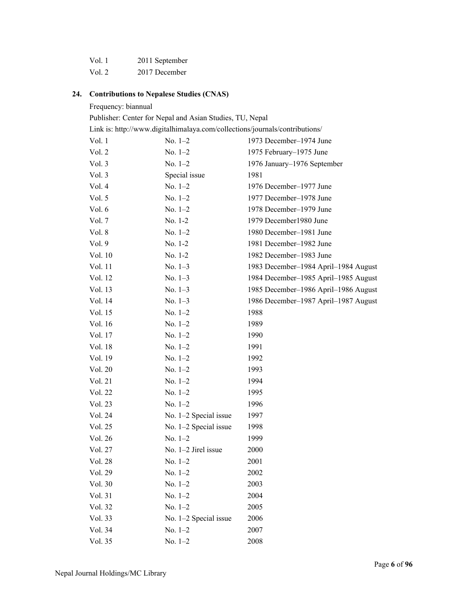| Vol. 1 | 2011 September |
|--------|----------------|
| Vol. 2 | 2017 December  |

#### **24. Contributions to Nepalese Studies (CNAS)**

Frequency: biannual Publisher: Center for Nepal and Asian Studies, TU, Nepal Link is: http://www.digitalhimalaya.com/collections/journals/contributions/ Vol. 1 No. 1–2 1973 December–1974 June Vol. 2 No. 1–2 1975 February–1975 June Vol. 3 No. 1–2 1976 January–1976 September Vol. 3 Special issue 1981 Vol. 4 No. 1–2 1976 December–1977 June Vol. 5 No. 1–2 1977 December–1978 June Vol. 6 No. 1–2 1978 December–1979 June Vol. 7 No. 1-2 1979 December1980 June Vol. 8 No. 1–2 1980 December–1981 June Vol. 9 No. 1-2 1981 December–1982 June Vol. 10 No. 1-2 1982 December–1983 June Vol. 11 No. 1–3 1983 December–1984 April–1984 August Vol. 12 No. 1–3 1984 December–1985 April–1985 August Vol. 13 No. 1–3 1985 December–1986 April–1986 August Vol. 14 No. 1–3 1986 December–1987 April–1987 August Vol. 15 No. 1–2 1988 Vol. 16 No. 1–2 1989 Vol. 17 No. 1–2 1990 Vol. 18 No. 1–2 1991 Vol. 19 No. 1–2 1992 Vol. 20 No. 1–2 1993 Vol. 21 No. 1–2 1994 Vol. 22 No. 1–2 1995 Vol. 23 No. 1–2 1996 Vol. 24 No. 1–2 Special issue 1997 Vol. 25 No. 1–2 Special issue 1998 Vol. 26 No. 1–2 1999 Vol. 27 No. 1–2 Jirel issue 2000

Vol. 28 No. 1–2 2001 Vol. 29 No. 1–2 2002 Vol. 30 No. 1–2 2003 Vol. 31 No. 1–2 2004 Vol. 32 No. 1–2 2005 Vol. 33 No. 1–2 Special issue 2006 Vol. 34 No. 1–2 2007 Vol. 35 No. 1–2 2008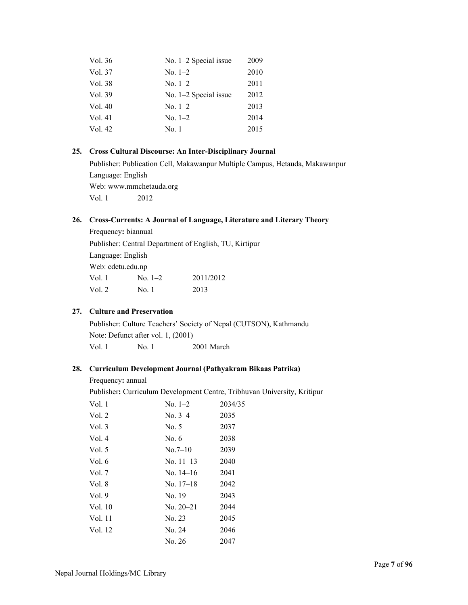| Vol. 36 | No. $1-2$ Special issue | 2009 |
|---------|-------------------------|------|
| Vol. 37 | No. $1-2$               | 2010 |
| Vol. 38 | $No. 1-2$               | 2011 |
| Vol. 39 | No. $1-2$ Special issue | 2012 |
| Vol. 40 | No. $1-2$               | 2013 |
| Vol. 41 | $No. 1-2$               | 2014 |
| Vol. 42 | No. 1                   | 2015 |

# **25. Cross Cultural Discourse: An Inter-Disciplinary Journal**

Publisher: Publication Cell, Makawanpur Multiple Campus, Hetauda, Makawanpur Language: English Web: www.mmchetauda.org Vol. 1 2012

# **26. Cross-Currents: A Journal of Language, Literature and Literary Theory**

Frequency**:** biannual Publisher: Central Department of English, TU, Kirtipur Language: English Web: cdetu.edu.np Vol. 1 No. 1–2 2011/2012 Vol. 2 No. 1 2013

# **27. Culture and Preservation**

Publisher: Culture Teachers' Society of Nepal (CUTSON), Kathmandu Note: Defunct after vol. 1, (2001) Vol. 1 No. 1 2001 March

### **28. Curriculum Development Journal (Pathyakram Bikaas Patrika)**

Frequency**:** annual

Publisher**:** Curriculum Development Centre, Tribhuvan University, Kritipur

| Vol. 1   | $No. 1-2$   | 2034/35 |
|----------|-------------|---------|
| Vol. 2   | $No. 3-4$   | 2035    |
| Vol. $3$ | No. 5       | 2037    |
| Vol. 4   | No. 6       | 2038    |
| Vol. 5   | No.7–10     | 2039    |
| Vol. 6   | No. $11-13$ | 2040    |
| Vol. 7   | No. 14–16   | 2041    |
| Vol. 8   | No. 17–18   | 2042    |
| Vol.9    | No. 19      | 2043    |
| Vol. 10  | $No. 20-21$ | 2044    |
| Vol. 11  | No. 23      | 2045    |
| Vol. 12  | No. 24      | 2046    |
|          | No. 26      | 2047    |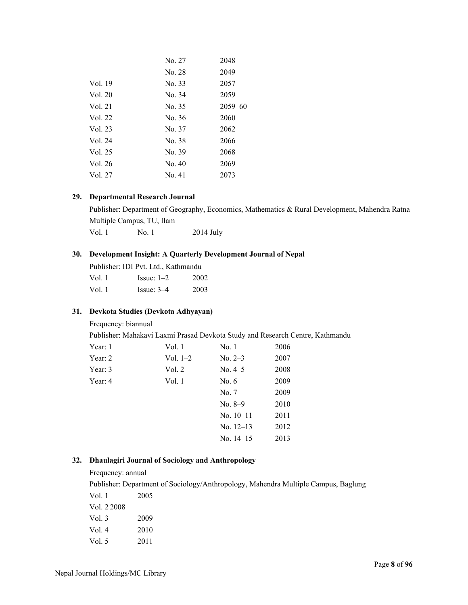|         | No. 27 | 2048        |
|---------|--------|-------------|
|         | No. 28 | 2049        |
| Vol. 19 | No. 33 | 2057        |
| Vol. 20 | No. 34 | 2059        |
| Vol. 21 | No. 35 | $2059 - 60$ |
| Vol. 22 | No. 36 | 2060        |
| Vol. 23 | No. 37 | 2062        |
| Vol. 24 | No. 38 | 2066        |
| Vol. 25 | No. 39 | 2068        |
| Vol. 26 | No. 40 | 2069        |
| Vol. 27 | No. 41 | 2073        |
|         |        |             |

### **29. Departmental Research Journal**

Publisher: Department of Geography, Economics, Mathematics & Rural Development, Mahendra Ratna Multiple Campus, TU, Ilam Vol. 1 No. 1 2014 July

### **30. Development Insight: A Quarterly Development Journal of Nepal**

|        | Publisher: IDI Pvt. Ltd., Kathmandu |      |
|--------|-------------------------------------|------|
| Vol. 1 | Issue: $1-2$                        | 2002 |
| Vol. 1 | Issue: $3-4$                        | 2003 |

### **31. Devkota Studies (Devkota Adhyayan)**

Frequency: biannual

Publisher: Mahakavi Laxmi Prasad Devkota Study and Research Centre, Kathmandu

| Year: 1 | Vol. 1     | No. 1       | 2006 |
|---------|------------|-------------|------|
| Year: 2 | Vol. $1-2$ | $No. 2-3$   | 2007 |
| Year: 3 | Vol. 2     | No. 4–5     | 2008 |
| Year: 4 | Vol. 1     | No. 6       | 2009 |
|         |            | No. 7       | 2009 |
|         |            | No. $8-9$   | 2010 |
|         |            | $No. 10-11$ | 2011 |
|         |            | No. $12-13$ | 2012 |
|         |            | No. $14-15$ | 2013 |
|         |            |             |      |

### **32. Dhaulagiri Journal of Sociology and Anthropology**

#### Frequency: annual

Publisher: Department of Sociology/Anthropology, Mahendra Multiple Campus, Baglung

| Vol. 1      | 2005 |
|-------------|------|
| Vol. 2.2008 |      |
| Vol. 3      | 2009 |
| Vol. $4$    | 2010 |
| Vol 5       | 2011 |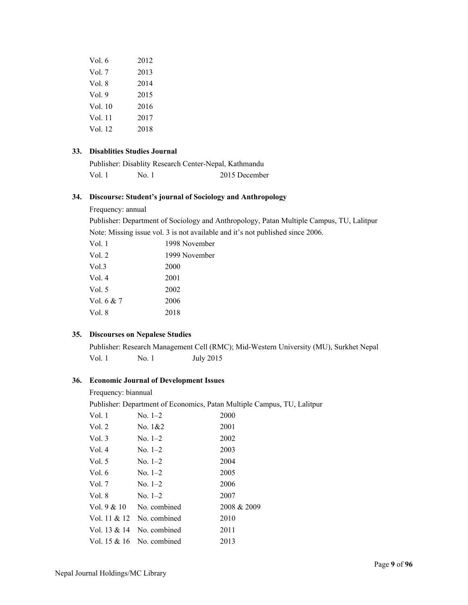| Vol. 6  | 2012 |
|---------|------|
| Vol. 7  | 2013 |
| Vol. 8  | 2014 |
| Vol.9   | 2015 |
| Vol. 10 | 2016 |
| Vol. 11 | 2017 |
| Vol. 12 | 2018 |
|         |      |

# **33. Disablities Studies Journal**

| Publisher: Disablity Research Center-Nepal, Kathmandu |       |               |
|-------------------------------------------------------|-------|---------------|
| Vol. 1                                                | No. 1 | 2015 December |

### **34. Discourse: Student's journal of Sociology and Anthropology**

Frequency: annual

Publisher: Department of Sociology and Anthropology, Patan Multiple Campus, TU, Lalitpur Note: Missing issue vol. 3 is not available and it's not published since 2006.

| Vol. 1     | 1998 November |
|------------|---------------|
| Vol. 2     | 1999 November |
| Vol.3      | 2000          |
| Vol. 4     | 2001          |
| Vol. 5     | 2002          |
| Vol. 6 & 7 | 2006          |
| Vol. 8     | 2018          |
|            |               |

### **35. Discourses on Nepalese Studies**

Publisher: Research Management Cell (RMC); Mid-Western University (MU), Surkhet Nepal Vol. 1 No. 1 July 2015

# **36. Economic Journal of Development Issues**

#### Frequency: biannual

Publisher: Department of Economics, Patan Multiple Campus, TU, Lalitpur

| Vol. 1       | $No. 1-2$    | 2000        |
|--------------|--------------|-------------|
| Vol. 2       | No. $1&82$   | 2001        |
| Vol. 3       | $No. 1-2$    | 2002        |
| Vol. 4       | $No. 1-2$    | 2003        |
| Vol. 5       | $No. 1-2$    | 2004        |
| Vol. 6       | $No. 1-2$    | 2005        |
| Vol. 7       | $No. 1-2$    | 2006        |
| Vol. 8       | $No. 1-2$    | 2007        |
| Vol. 9 & 10  | No. combined | 2008 & 2009 |
| Vol. 11 & 12 | No. combined | 2010        |
| Vol. 13 & 14 | No. combined | 2011        |
| Vol. 15 & 16 | No. combined | 2013        |
|              |              |             |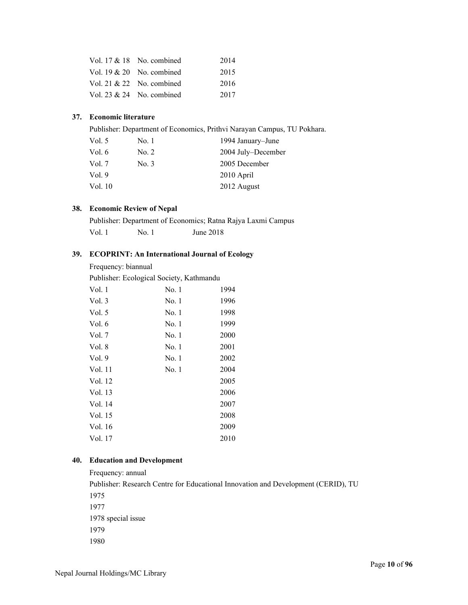| Vol. $17 & 18$ No. combined  | 2014 |
|------------------------------|------|
| Vol. $19 \& 20$ No. combined | 2015 |
| Vol. 21 $& 22$ No. combined  | 2016 |
| Vol. 23 $& 24$ No. combined  | 2017 |

# **37. Economic literature**

Publisher: Department of Economics, Prithvi Narayan Campus, TU Pokhara.

| Vol. $5$ | No.1  | 1994 January–June  |
|----------|-------|--------------------|
| Vol. $6$ | No. 2 | 2004 July–December |
| Vol. 7   | No. 3 | 2005 December      |
| Vol. $9$ |       | 2010 April         |
| Vol. 10  |       | 2012 August        |
|          |       |                    |

### **38. Economic Review of Nepal**

Publisher: Department of Economics; Ratna Rajya Laxmi Campus Vol. 1 No. 1 June 2018

# **39. ECOPRINT: An International Journal of Ecology**

| Frequency: biannual |  |
|---------------------|--|
|---------------------|--|

Publisher: Ecological Society, Kathmandu

| Vol. 1   | No. 1 | 1994 |
|----------|-------|------|
| Vol. $3$ | No. 1 | 1996 |
| Vol. $5$ | No. 1 | 1998 |
| Vol. 6   | No. 1 | 1999 |
| Vol. 7   | No. 1 | 2000 |
| Vol. 8   | No. 1 | 2001 |
| Vol. 9   | No. 1 | 2002 |
| Vol. 11  | No. 1 | 2004 |
| Vol. 12  |       | 2005 |
| Vol. 13  |       | 2006 |
| Vol. 14  |       | 2007 |
| Vol. 15  |       | 2008 |
| Vol. 16  |       | 2009 |
| Vol. 17  |       | 2010 |
|          |       |      |

### **40. Education and Development**

Frequency: annual Publisher: Research Centre for Educational Innovation and Development (CERID), TU 1975 1977 1978 special issue 1979 1980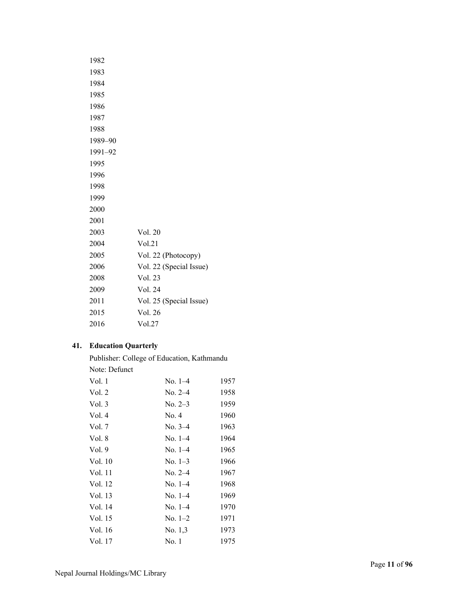| 1982    |                         |
|---------|-------------------------|
| 1983    |                         |
| 1984    |                         |
| 1985    |                         |
| 1986    |                         |
| 1987    |                         |
| 1988    |                         |
| 1989-90 |                         |
| 1991-92 |                         |
| 1995    |                         |
| 1996    |                         |
| 1998    |                         |
| 1999    |                         |
| 2000    |                         |
| 2001    |                         |
| 2003    | Vol. 20                 |
| 2004    | Vol.21                  |
| 2005    | Vol. 22 (Photocopy)     |
| 2006    | Vol. 22 (Special Issue) |
| 2008    | Vol. 23                 |
| 2009    | Vol. 24                 |
| 2011    | Vol. 25 (Special Issue) |
| 2015    | Vol. 26                 |
| 2016    | Vol.27                  |

# **41. Education Quarterly**

Publisher: College of Education, Kathmandu Note: Defunct

| Vol. 1   | $No. 1-4$ | 1957 |
|----------|-----------|------|
| Vol. $2$ | $No. 2-4$ | 1958 |
| Vol.3    | $No. 2-3$ | 1959 |
| Vol.4    | No. 4     | 1960 |
| Vol. 7   | No. $3-4$ | 1963 |
| Vol. 8   | $No. 1-4$ | 1964 |
| Vol. 9   | $No. 1-4$ | 1965 |
| Vol. 10  | $No. 1-3$ | 1966 |
| Vol. 11  | $No. 2-4$ | 1967 |
| Vol. 12  | $No. 1-4$ | 1968 |
| Vol. 13  | $No. 1-4$ | 1969 |
| Vol. 14  | $No. 1-4$ | 1970 |
| Vol. 15  | $No. 1-2$ | 1971 |
| Vol. 16  | No. 1,3   | 1973 |
| Vol. 17  | No. 1     | 1975 |
|          |           |      |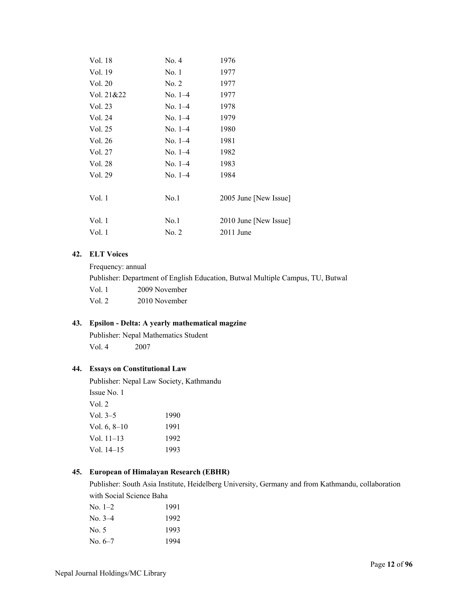| Vol. 18    | No. 4         | 1976                  |
|------------|---------------|-----------------------|
| Vol. 19    | No. 1         | 1977                  |
| Vol. 20    | No. 2         | 1977                  |
| Vol. 21&22 | $No. 1-4$     | 1977                  |
| Vol. 23    | $No. 1-4$     | 1978                  |
| Vol. 24    | $No. 1-4$     | 1979                  |
| Vol. 25    | No. $1-4$     | 1980                  |
| Vol. 26    | $No. 1-4$     | 1981                  |
| Vol. 27    | $\rm No. 1-4$ | 1982                  |
| Vol. 28    | $No. 1-4$     | 1983                  |
| Vol. 29    | $No. 1-4$     | 1984                  |
|            |               |                       |
| Vol. 1     | No.1          | 2005 June [New Issue] |
|            |               |                       |
| Vol. 1     | No.1          | 2010 June [New Issue] |
| Vol. 1     | No. 2         | $2011$ June           |
|            |               |                       |

### **42. ELT Voices**

Frequency: annual Publisher: Department of English Education, Butwal Multiple Campus, TU, Butwal Vol. 1 2009 November Vol. 2 2010 November

# **43. Epsilon - Delta: A yearly mathematical magzine**

Publisher: Nepal Mathematics Student Vol. 4 2007

### **44. Essays on Constitutional Law**

Publisher: Nepal Law Society, Kathmandu Issue No. 1 Vol. 2 Vol. 3–5 1990 Vol. 6, 8–10 1991 Vol. 11–13 1992 Vol. 14–15 1993

### **45. European of Himalayan Research (EBHR)**

Publisher: South Asia Institute, Heidelberg University, Germany and from Kathmandu, collaboration with Social Science Baha

| 1991 |
|------|
| 1992 |
| 1993 |
| 1994 |
|      |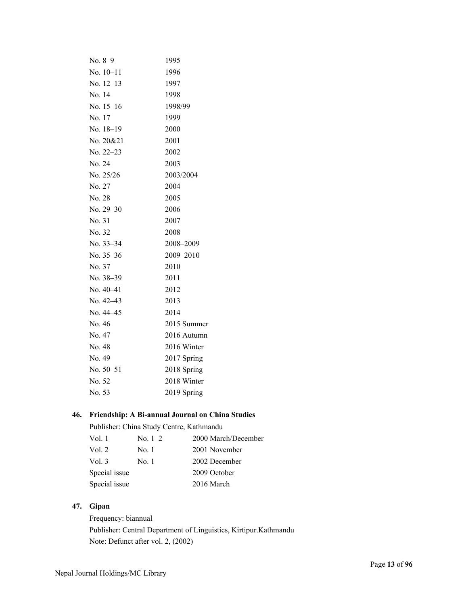| $No. 8-9$   | 1995        |
|-------------|-------------|
| $No. 10-11$ | 1996        |
| No. $12-13$ | 1997        |
| No. 14      | 1998        |
| No. $15-16$ | 1998/99     |
| No. 17      | 1999        |
| No. 18-19   | 2000        |
| No. 20&21   | 2001        |
| No. 22-23   | 2002        |
| No. 24      | 2003        |
| No. 25/26   | 2003/2004   |
| No. 27      | 2004        |
| No. 28      | 2005        |
| No. 29-30   | 2006        |
| No. 31      | 2007        |
| No. 32      | 2008        |
| No. 33-34   | 2008-2009   |
| No. $35-36$ | 2009-2010   |
| No. 37      | 2010        |
| No. 38-39   | 2011        |
| $No. 40-41$ | 2012        |
| No. 42-43   | 2013        |
| No. 44-45   | 2014        |
| No. 46      | 2015 Summer |
| No. 47      | 2016 Autumn |
| No. 48      | 2016 Winter |
| No. 49      | 2017 Spring |
| No. 50-51   | 2018 Spring |
| No. 52      | 2018 Winter |
| No. 53      | 2019 Spring |

# **46. Friendship: A Bi-annual Journal on China Studies**

Publisher: China Study Centre, Kathmandu

| Vol. 1        | $No. 1-2$ | 2000 March/December |
|---------------|-----------|---------------------|
| Vol. $2$      | No. 1     | 2001 November       |
| Vol. $3$      | No. 1     | 2002 December       |
| Special issue |           | 2009 October        |
| Special issue |           | 2016 March          |

# **47. Gipan**

Frequency: biannual Publisher: Central Department of Linguistics, Kirtipur.Kathmandu Note: Defunct after vol. 2, (2002)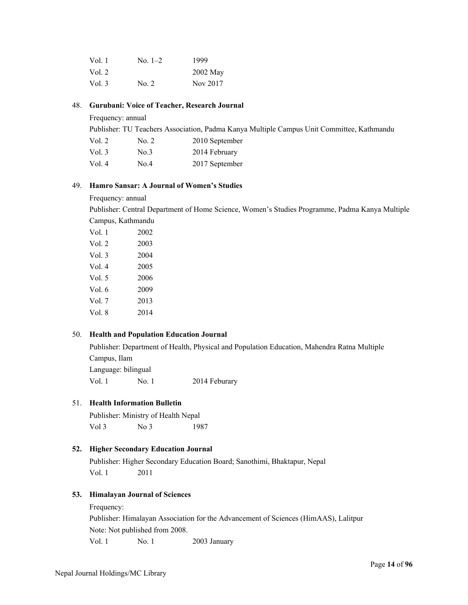| Vol.1    | No. 1–2 | 1999       |
|----------|---------|------------|
| Vol. $2$ |         | $2002$ May |
| Vol. $3$ | No. 2   | Nov 2017   |

### 48. **Gurubani: Voice of Teacher, Research Journal**

Frequency: annual

Publisher: TU Teachers Association, Padma Kanya Multiple Campus Unit Committee, Kathmandu

| Vol. 2   | No. 2 | 2010 September |
|----------|-------|----------------|
| Vol. $3$ | No.3  | 2014 February  |
| Vol. 4   | No.4  | 2017 September |

## 49. **Hamro Sansar: A Journal of Women's Studies**

Frequency: annual

Publisher: Central Department of Home Science, Women's Studies Programme, Padma Kanya Multiple Campus, Kathmandu

| Vol. 1 | 2002 |
|--------|------|
| Vol. 2 | 2003 |
| Vol.3  | 2004 |
| Vol. 4 | 2005 |
| Vol. 5 | 2006 |
| Vol. 6 | 2009 |
| Vol. 7 | 2013 |
| Vol. 8 | 2014 |
|        |      |

### 50. **Health and Population Education Journal**

Publisher: Department of Health, Physical and Population Education, Mahendra Ratna Multiple Campus, Ilam

Language: bilingual

Vol. 1 No. 1 2014 Feburary

### 51. **Health Information Bulletin**

Publisher: Ministry of Health Nepal Vol 3 No 3 1987

### **52. Higher Secondary Education Journal**

Publisher: Higher Secondary Education Board; Sanothimi, Bhaktapur, Nepal Vol. 1 2011

### **53. Himalayan Journal of Sciences**

Frequency:

Publisher: Himalayan Association for the Advancement of Sciences (HimAAS), Lalitpur Note: Not published from 2008.

Vol. 1 No. 1 2003 January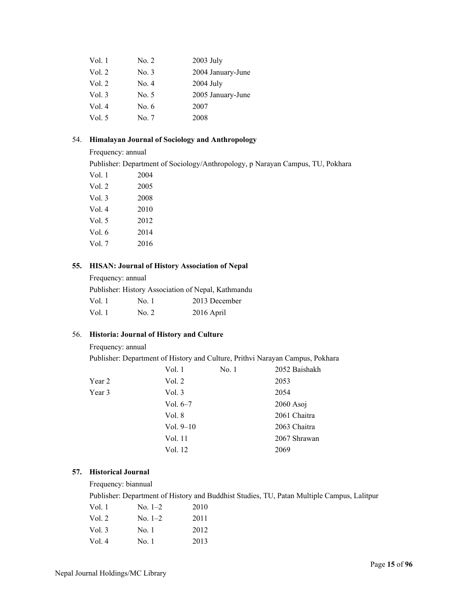| Vol. 1 | No. 2   | 2003 July         |
|--------|---------|-------------------|
| Vol. 2 | No. 3   | 2004 January-June |
| Vol. 2 | No. 4   | 2004 July         |
| Vol. 3 | No. 5   | 2005 January-June |
| Vol. 4 | No. $6$ | 2007              |
| Vol. 5 | No. 7   | 2008              |

# 54. **Himalayan Journal of Sociology and Anthropology**

Frequency: annual

Publisher: Department of Sociology/Anthropology, p Narayan Campus, TU, Pokhara

| Vol. 1   | 2004 |
|----------|------|
| Vol. $2$ | 2005 |
| Vol. $3$ | 2008 |
| Vol. 4   | 2010 |
| Vol. $5$ | 2012 |
| Vol. 6   | 2014 |
| Vol. 7   | 2016 |

# **55. HISAN: Journal of History Association of Nepal**

Frequency: annual

Publisher: History Association of Nepal, Kathmandu

| Vol. 1 | No. 1 | 2013 December |
|--------|-------|---------------|
| Vol. 1 | No. 2 | 2016 April    |

### 56. **Historia: Journal of History and Culture**

Frequency: annual

Publisher: Department of History and Culture, Prithvi Narayan Campus, Pokhara

|        | Vol. 1      | No.1 | 2052 Baishakh |
|--------|-------------|------|---------------|
| Year 2 | Vol. 2      |      | 2053          |
| Year 3 | Vol. 3      |      | 2054          |
|        | Vol. $6-7$  |      | $2060$ Asoj   |
|        | Vol. 8      |      | 2061 Chaitra  |
|        | Vol. $9-10$ |      | 2063 Chaitra  |
|        | Vol. 11     |      | 2067 Shrawan  |
|        | Vol. 12     |      | 2069          |
|        |             |      |               |

# **57. Historical Journal**

Frequency: biannual

Publisher: Department of History and Buddhist Studies, TU, Patan Multiple Campus, Lalitpur

| Vol. 1   | $No. 1-2$     | 2010 |
|----------|---------------|------|
| Vol. 2   | $\rm No. 1–2$ | 2011 |
| Vol. $3$ | No. 1         | 2012 |
| Vol. $4$ | No. 1         | 2013 |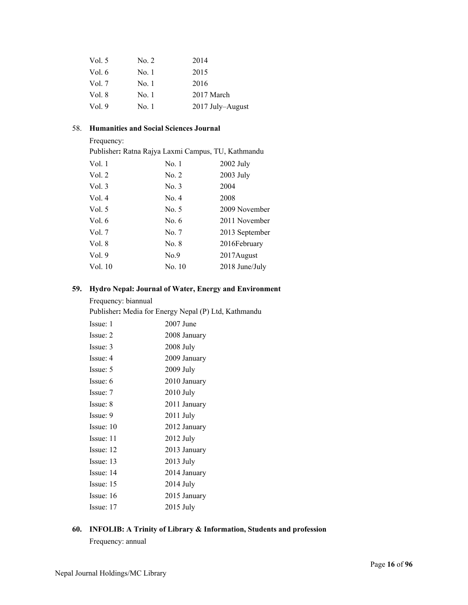| No. 2 | 2014             |
|-------|------------------|
| No. 1 | 2015             |
| No. 1 | 2016             |
| No. 1 | 2017 March       |
| No. 1 | 2017 July–August |
|       |                  |

## 58. **Humanities and Social Sciences Journal**

Frequency:

Publisher**:** Ratna Rajya Laxmi Campus, TU, Kathmandu

| Vol. 1   | No. 1   | $2002$ July    |
|----------|---------|----------------|
| Vol. 2   | No. 2   | 2003 July      |
| Vol.3    | No. 3   | 2004           |
| Vol. $4$ | No. 4   | 2008           |
| Vol. $5$ | No. 5   | 2009 November  |
| Vol. $6$ | No. $6$ | 2011 November  |
| Vol. $7$ | No. 7   | 2013 September |
| Vol. 8   | No. 8   | 2016February   |
| Vol.9    | No.9    | 2017 August    |
| Vol. 10  | No. 10  | 2018 June/July |
|          |         |                |

# **59. Hydro Nepal: Journal of Water, Energy and Environment**

# Frequency: biannual

Publisher**:** Media for Energy Nepal (P) Ltd, Kathmandu

| Issue: 1  | 2007 June    |
|-----------|--------------|
| Issue: 2  | 2008 January |
| Issue: 3  | 2008 July    |
| Issue: 4  | 2009 January |
| Issue: 5  | 2009 July    |
| Issue: 6  | 2010 January |
| Issue: 7  | $2010$ July  |
| Issue: 8  | 2011 January |
| Issue: 9  | 2011 July    |
| Issue: 10 | 2012 January |
| Issue: 11 | 2012 July    |
| Issue: 12 | 2013 January |
| Issue: 13 | 2013 July    |
| Issue: 14 | 2014 January |
| Issue: 15 | 2014 July    |
| Issue: 16 | 2015 January |
| Issue: 17 | 2015 July    |
|           |              |

# **60. INFOLIB: A Trinity of Library & Information, Students and profession**

Frequency: annual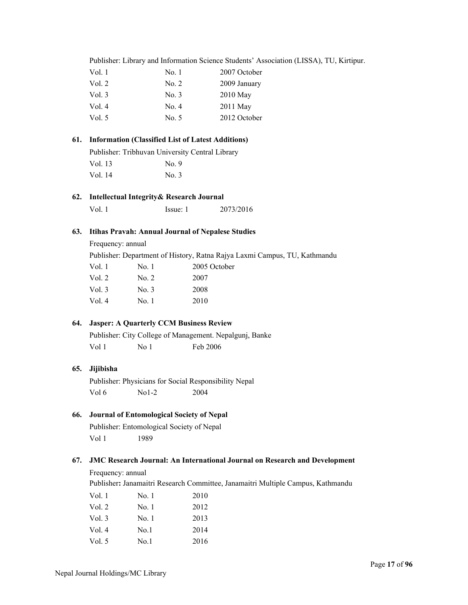|                                                 |                                                                           | Publisher: Library and Information Science Students' Association (LISSA), TU, |          |              |  |
|-------------------------------------------------|---------------------------------------------------------------------------|-------------------------------------------------------------------------------|----------|--------------|--|
|                                                 | Vol. 1                                                                    |                                                                               | No. 1    | 2007 October |  |
|                                                 | Vol. 2                                                                    |                                                                               | No. 2    | 2009 January |  |
|                                                 | Vol. 3                                                                    |                                                                               | No. 3    | 2010 May     |  |
|                                                 | Vol. 4                                                                    |                                                                               | No. 4    | 2011 May     |  |
|                                                 | Vol. 5                                                                    |                                                                               | No. 5    | 2012 October |  |
| 61.                                             | <b>Information (Classified List of Latest Additions)</b>                  |                                                                               |          |              |  |
|                                                 | Publisher: Tribhuvan University Central Library                           |                                                                               |          |              |  |
|                                                 | Vol. 13                                                                   |                                                                               | No. 9    |              |  |
|                                                 | Vol. 14                                                                   |                                                                               | No. 3    |              |  |
| Intellectual Integrity& Research Journal<br>62. |                                                                           |                                                                               |          |              |  |
|                                                 | Vol. 1                                                                    |                                                                               | Issue: 1 | 2073/2016    |  |
| 63.                                             | <b>Itihas Pravah: Annual Journal of Nepalese Studies</b>                  |                                                                               |          |              |  |
|                                                 | Frequency: annual                                                         |                                                                               |          |              |  |
|                                                 | Publisher: Department of History, Ratna Rajya Laxmi Campus, TU, Kathmandu |                                                                               |          |              |  |
|                                                 | Vol. 1                                                                    | No.1                                                                          |          | 2005 October |  |
|                                                 | Vol. 2                                                                    | No. 2                                                                         | 2007     |              |  |
|                                                 | Vol.3                                                                     | No. 3                                                                         | 2008     |              |  |
|                                                 | Vol. 4                                                                    | No.1                                                                          | 2010     |              |  |

### **64. Jasper: A Quarterly CCM Business Review**

Publisher: City College of Management. Nepalgunj, Banke Vol 1 No 1 Feb 2006

### **65. Jijibisha**

Publisher: Physicians for Social Responsibility Nepal Vol 6 No1-2 2004

# **66. Journal of Entomological Society of Nepal**

Publisher: Entomological Society of Nepal Vol 1 1989

### **67. JMC Research Journal: An International Journal on Research and Development**

Frequency: annual

Publisher**:** Janamaitri Research Committee, Janamaitri Multiple Campus, Kathmandu

| Vol. 1   | No.1  | 2010 |
|----------|-------|------|
| Vol. 2   | No. 1 | 2012 |
| Vol. $3$ | No. 1 | 2013 |
| Vol.4    | No.1  | 2014 |
| Vol. $5$ | No.1  | 2016 |
|          |       |      |

(LISSA), TU, Kirtipur.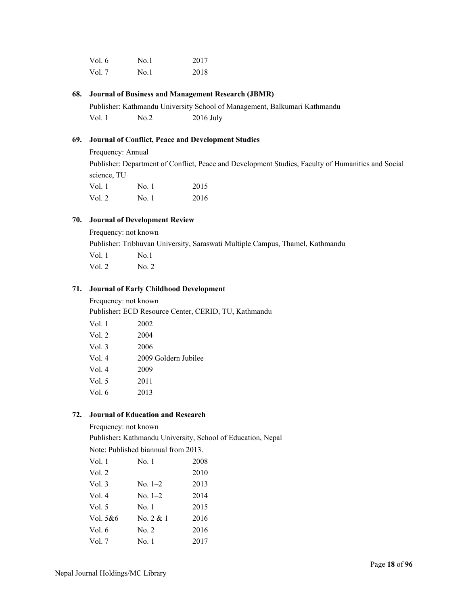| Vol. 6 | No.1 | 2017 |
|--------|------|------|
| Vol. 7 | No.1 | 2018 |

### **68. Journal of Business and Management Research (JBMR)**

Publisher: Kathmandu University School of Management, Balkumari Kathmandu Vol. 1 No.2 2016 July

# **69. Journal of Conflict, Peace and Development Studies**

Frequency: Annual Publisher: Department of Conflict, Peace and Development Studies, Faculty of Humanities and Social science, TU Vol. 1 No. 1 2015 Vol. 2 No. 1 2016

### **70. Journal of Development Review**

Frequency: not known Publisher: Tribhuvan University, Saraswati Multiple Campus, Thamel, Kathmandu Vol. 1 No.1 Vol. 2 No. 2

### **71. Journal of Early Childhood Development**

Frequency: not known Publisher**:** ECD Resource Center, CERID, TU, Kathmandu

| Vol. 1 | 2002                 |
|--------|----------------------|
| Vol. 2 | 2004                 |
| Vol. 3 | 2006                 |
| Vol. 4 | 2009 Goldern Jubilee |
| Vol. 4 | 2009                 |
| Vol. 5 | 2011                 |
| Vol. 6 | 2013                 |
|        |                      |

### **72. Journal of Education and Research**

#### Frequency: not known

Publisher**:** Kathmandu University, School of Education, Nepal

Note: Published biannual from 2013.

| Vol. 1   | No. 1       | 2008 |
|----------|-------------|------|
| Vol. 2   |             | 2010 |
| Vol. 3   | $No. 1-2$   | 2013 |
| Vol. 4   | $No. 1-2$   | 2014 |
| Vol. 5   | No. 1       | 2015 |
| Vol. 5&6 | No. $2 & 1$ | 2016 |
| Vol. 6   | No. 2       | 2016 |
| Vol. 7   | No.1        | 2017 |
|          |             |      |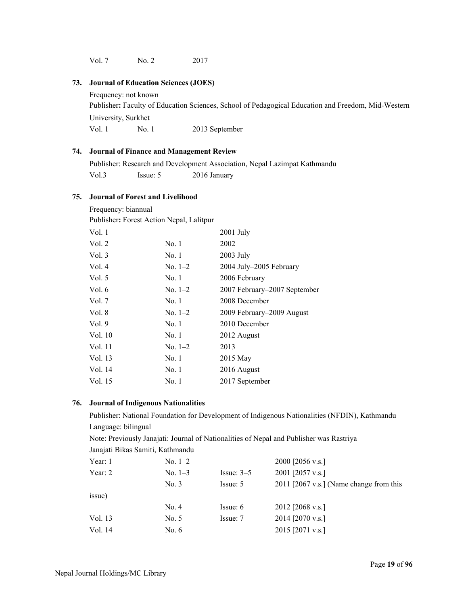Vol. 7 No. 2 2017

### **73. Journal of Education Sciences (JOES)**

Frequency: not known

Publisher**:** Faculty of Education Sciences, School of Pedagogical Education and Freedom, Mid-Western University, Surkhet Vol. 1 No. 1 2013 September

### **74. Journal of Finance and Management Review**

Publisher: Research and Development Association, Nepal Lazimpat Kathmandu Vol.3 Issue: 5 2016 January

#### **75. Journal of Forest and Livelihood**

Frequency: biannual

| Publisher: Forest Action Nepal, Lalitpur |
|------------------------------------------|
|                                          |

| Vol.1    |           | $2001$ July                  |
|----------|-----------|------------------------------|
| Vol. $2$ | No. 1     | 2002                         |
| Vol. $3$ | No. 1     | $2003$ July                  |
| Vol. $4$ | $No. 1-2$ | 2004 July-2005 February      |
| Vol. $5$ | No. 1     | 2006 February                |
| Vol. $6$ | $No. 1-2$ | 2007 February–2007 September |
| Vol. $7$ | No.1      | 2008 December                |
| Vol. 8   | $No. 1-2$ | 2009 February–2009 August    |
| Vol.9    | No. 1     | 2010 December                |
| Vol. 10  | No. 1     | 2012 August                  |
| Vol. 11  | $No. 1-2$ | 2013                         |
| Vol. 13  | No.1      | 2015 May                     |
| Vol. 14  | No. 1     | 2016 August                  |
| Vol. 15  | No. 1     | 2017 September               |
|          |           |                              |

### **76. Journal of Indigenous Nationalities**

Publisher: National Foundation for Development of Indigenous Nationalities (NFDIN), Kathmandu Language: bilingual

Note: Previously Janajati: Journal of Nationalities of Nepal and Publisher was Rastriya

|           | Janajati Bikas Samiti, Kathmandu |              |                                         |
|-----------|----------------------------------|--------------|-----------------------------------------|
| Year: 1   | $No. 1-2$                        |              | 2000 [2056 v.s.]                        |
| Year: $2$ | No. $1-3$                        | Issue: $3-5$ | 2001 [2057 v.s.]                        |
|           | No. 3                            | Issue: 5     | 2011 [2067 v.s.] (Name change from this |
| issue)    |                                  |              |                                         |
|           | No. 4                            | Issue: $6$   | 2012 [2068 v.s.]                        |
| Vol. 13   | No. 5                            | Issue: 7     | 2014 [2070 v.s.]                        |
| Vol. 14   | No. $6$                          |              | 2015 [2071 v.s.]                        |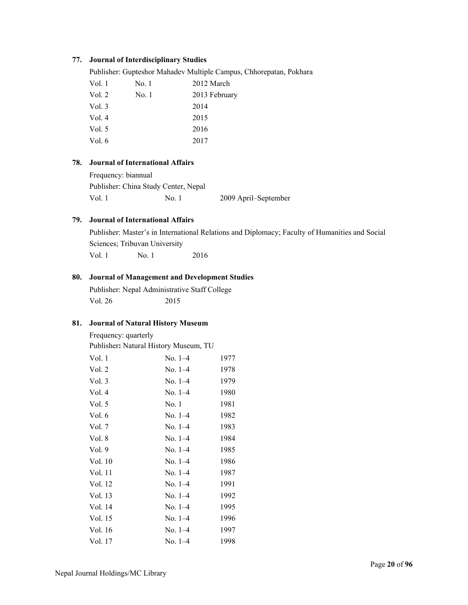### **77. Journal of Interdisciplinary Studies**

Publisher: Gupteshor Mahadev Multiple Campus, Chhorepatan, Pokhara

| Vol. 1 | No. 1 | 2012 March    |
|--------|-------|---------------|
| Vol. 2 | No. 1 | 2013 February |
| Vol. 3 |       | 2014          |
| Vol. 4 |       | 2015          |
| Vol. 5 |       | 2016          |
| Vol. 6 |       | 2017          |

### **78. Journal of International Affairs**

Frequency: biannual Publisher: China Study Center, Nepal Vol. 1 No. 1 2009 April–September

# **79. Journal of International Affairs**

Publisher: Master's in International Relations and Diplomacy; Faculty of Humanities and Social Sciences; Tribuvan University Vol. 1 No. 1 2016

# **80. Journal of Management and Development Studies**

Publisher: Nepal Administrative Staff College Vol. 26 2015

### **81. Journal of Natural History Museum**

Frequency: quarterly

Publisher**:** Natural History Museum, TU

| Vol. 1  | $No. 1-4$ | 1977 |
|---------|-----------|------|
| Vol. 2  | $No. 1-4$ | 1978 |
| Vol.3   | $No. 1-4$ | 1979 |
| Vol.4   | $No. 1-4$ | 1980 |
| Vol. 5  | No. 1     | 1981 |
| Vol. 6  | $No. 1-4$ | 1982 |
| Vol. 7  | $No. 1-4$ | 1983 |
| Vol. 8  | $No. 1-4$ | 1984 |
| Vol. 9  | $No. 1-4$ | 1985 |
| Vol. 10 | $No. 1-4$ | 1986 |
| Vol. 11 | $No. 1-4$ | 1987 |
| Vol. 12 | $No. 1-4$ | 1991 |
| Vol. 13 | $No. 1-4$ | 1992 |
| Vol. 14 | No. $1-4$ | 1995 |
| Vol. 15 | $No. 1-4$ | 1996 |
| Vol. 16 | $No. 1-4$ | 1997 |
| Vol. 17 | $No. 1-4$ | 1998 |
|         |           |      |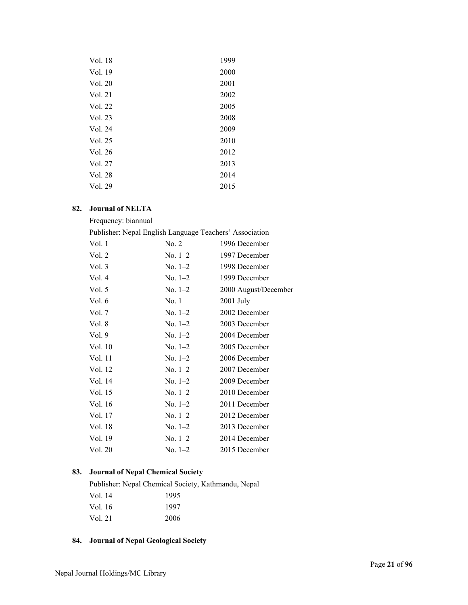| Vol. 18 | 1999 |
|---------|------|
| Vol. 19 | 2000 |
| Vol. 20 | 2001 |
| Vol. 21 | 2002 |
| Vol. 22 | 2005 |
| Vol. 23 | 2008 |
| Vol. 24 | 2009 |
| Vol. 25 | 2010 |
| Vol. 26 | 2012 |
| Vol. 27 | 2013 |
| Vol. 28 | 2014 |
| Vol. 29 | 2015 |

# **82. Journal of NELTA**

| Frequency: biannual                                     |           |                      |
|---------------------------------------------------------|-----------|----------------------|
| Publisher: Nepal English Language Teachers' Association |           |                      |
| Vol. 1                                                  | No. 2     | 1996 December        |
| Vol. 2                                                  | No. 1–2   | 1997 December        |
| Vol. 3                                                  | $No. 1-2$ | 1998 December        |
| Vol. 4                                                  | $No. 1-2$ | 1999 December        |
| Vol. 5                                                  | $No. 1-2$ | 2000 August/December |
| Vol. 6                                                  | No. 1     | 2001 July            |
| Vol. 7                                                  | $No. 1-2$ | 2002 December        |
| Vol. 8                                                  | $No. 1-2$ | 2003 December        |
| Vol. 9                                                  | No. $1-2$ | 2004 December        |
| Vol. 10                                                 | No. $1-2$ | 2005 December        |
| Vol. 11                                                 | $No. 1-2$ | 2006 December        |
| Vol. 12                                                 | $No. 1-2$ | 2007 December        |
| Vol. 14                                                 | $No. 1-2$ | 2009 December        |
| Vol. 15                                                 | $No. 1-2$ | 2010 December        |
| Vol. 16                                                 | No. $1-2$ | 2011 December        |
| Vol. 17                                                 | No. $1-2$ | 2012 December        |
| Vol. 18                                                 | $No. 1-2$ | 2013 December        |
| Vol. 19                                                 | $No. 1-2$ | 2014 December        |
| Vol. 20                                                 | $No. 1-2$ | 2015 December        |

# **83. Journal of Nepal Chemical Society**

|         | Publisher: Nepal Chemical Society, Kathmandu, Nepal |
|---------|-----------------------------------------------------|
| Vol. 14 | 1995                                                |
| Vol. 16 | 1997                                                |
| Vol. 21 | 2006                                                |
|         |                                                     |

# **84. Journal of Nepal Geological Society**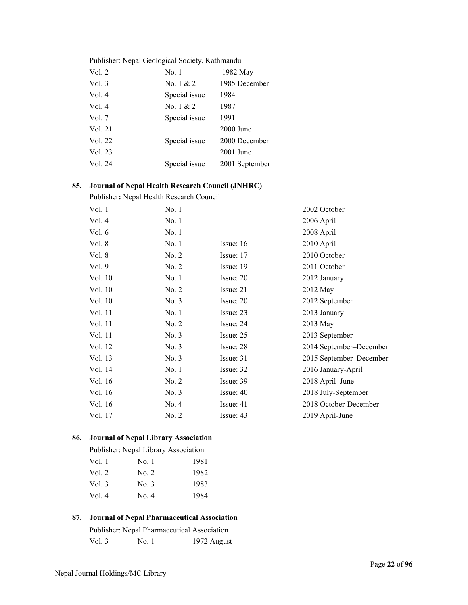# Publisher: Nepal Geological Society, Kathmandu

| Vol. 2  | No. 1         | 1982 May       |
|---------|---------------|----------------|
| Vol. 3  | No. $1 & 2$   | 1985 December  |
| Vol. 4  | Special issue | 1984           |
| Vol. 4  | No. $1 & 2$   | 1987           |
| Vol. 7  | Special issue | 1991           |
| Vol. 21 |               | 2000 June      |
| Vol. 22 | Special issue | 2000 December  |
| Vol. 23 |               | $2001$ June    |
| Vol. 24 | Special issue | 2001 September |
|         |               |                |

# **85. Journal of Nepal Health Research Council (JNHRC)**

Publisher**:** Nepal Health Research Council

| Vol. 1  | No. 1 |             | 2002 October            |
|---------|-------|-------------|-------------------------|
| Vol. 4  | No.1  |             | 2006 April              |
| Vol. 6  | No. 1 |             | 2008 April              |
| Vol. 8  | No. 1 | Issue: $16$ | 2010 April              |
| Vol. 8  | No. 2 | Issue: 17   | 2010 October            |
| Vol. 9  | No. 2 | Issue: 19   | 2011 October            |
| Vol. 10 | No. 1 | Issue: 20   | 2012 January            |
| Vol. 10 | No. 2 | Issue: 21   | 2012 May                |
| Vol. 10 | No. 3 | Issue: 20   | 2012 September          |
| Vol. 11 | No.1  | Issue: 23   | 2013 January            |
| Vol. 11 | No. 2 | Issue: 24   | 2013 May                |
| Vol. 11 | No. 3 | Issue: 25   | 2013 September          |
| Vol. 12 | No. 3 | Issue: 28   | 2014 September-December |
| Vol. 13 | No. 3 | Issue: 31   | 2015 September-December |
| Vol. 14 | No. 1 | Issue: 32   | 2016 January-April      |
| Vol. 16 | No. 2 | Issue: 39   | 2018 April–June         |
| Vol. 16 | No. 3 | Issue: 40   | 2018 July-September     |
| Vol. 16 | No. 4 | Issue: 41   | 2018 October-December   |
| Vol. 17 | No. 2 | Issue: 43   | 2019 April-June         |
|         |       |             |                         |

# **86. Journal of Nepal Library Association**

|          | Publisher: Nepal Library Association |      |
|----------|--------------------------------------|------|
| Vol. 1   | No. 1                                | 1981 |
| Vol. 2   | No. 2                                | 1982 |
| Vol. $3$ | No. 3                                | 1983 |
| Vol. 4   | No. 4                                | 1984 |

# **87. Journal of Nepal Pharmaceutical Association**

|          |       | Publisher: Nepal Pharmaceutical Association |
|----------|-------|---------------------------------------------|
| Vol. $3$ | No. 1 | 1972 August                                 |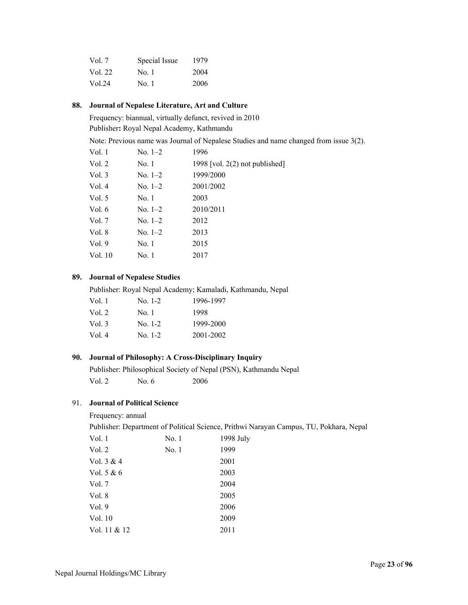| Vol. 7  | Special Issue | 1979 |
|---------|---------------|------|
| Vol. 22 | No. 1         | 2004 |
| Vol.24  | No. 1         | 2006 |

# **88. Journal of Nepalese Literature, Art and Culture**

Frequency: biannual, virtually defunct, revived in 2010

Publisher**:** Royal Nepal Academy, Kathmandu

Note: Previous name was Journal of Nepalese Studies and name changed from issue 3(2).

| Vol. 1  | $No. 1-2$ | 1996                             |
|---------|-----------|----------------------------------|
| Vol. 2  | No. 1     | 1998 [vol. $2(2)$ not published] |
| Vol. 3  | $No. 1-2$ | 1999/2000                        |
| Vol. 4  | No. $1-2$ | 2001/2002                        |
| Vol. 5  | No. 1     | 2003                             |
| Vol. 6  | $No. 1-2$ | 2010/2011                        |
| Vol. 7  | $No. 1-2$ | 2012                             |
| Vol. 8  | $No. 1-2$ | 2013                             |
| Vol. 9  | No. 1     | 2015                             |
| Vol. 10 | No. 1     | 2017                             |
|         |           |                                  |

# **89. Journal of Nepalese Studies**

Publisher: Royal Nepal Academy; Kamaladi, Kathmandu, Nepal

| Vol. 1 | $No. 1-2$ | 1996-1997 |
|--------|-----------|-----------|
| Vol. 2 | No. 1     | 1998      |
| Vol. 3 | No. 1-2   | 1999-2000 |
| Vol. 4 | $No. 1-2$ | 2001-2002 |

# **90. Journal of Philosophy: A Cross-Disciplinary Inquiry**

 Publisher: Philosophical Society of Nepal (PSN), Kathmandu Nepal Vol. 2 No. 6 2006

# 91. **Journal of Political Science**

Frequency: annual

Publisher: Department of Political Science, Prithwi Narayan Campus, TU, Pokhara, Nepal

| Vol. 1       | No. 1 | 1998 July |
|--------------|-------|-----------|
| Vol. 2       | No. 1 | 1999      |
| Vol. 3 & 4   |       | 2001      |
| Vol. 5 & 6   |       | 2003      |
| Vol. 7       |       | 2004      |
| Vol. 8       |       | 2005      |
| Vol. 9       |       | 2006      |
| Vol. 10      |       | 2009      |
| Vol. 11 & 12 |       | 2011      |
|              |       |           |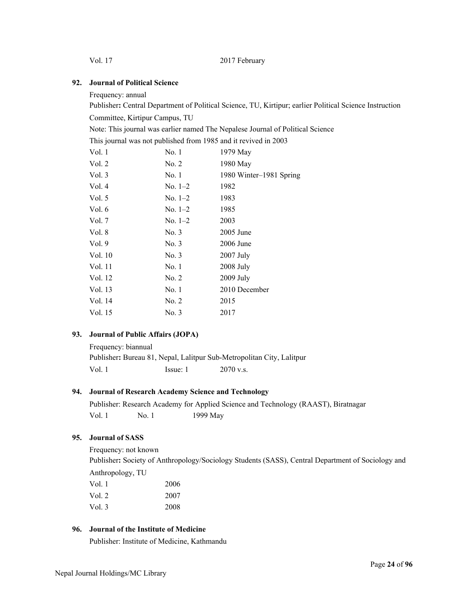Vol. 17 2017 February

### **92. Journal of Political Science**

Frequency: annual

Publisher**:** Central Department of Political Science, TU, Kirtipur; earlier Political Science Instruction

Committee, Kirtipur Campus, TU

Note: This journal was earlier named The Nepalese Journal of Political Science

This journal was not published from 1985 and it revived in 2003

| Vol. 1   | No. 1     | 1979 May                |
|----------|-----------|-------------------------|
| Vol. 2   | No. 2     | 1980 May                |
| Vol. $3$ | No. 1     | 1980 Winter-1981 Spring |
| Vol. 4   | $No. 1-2$ | 1982                    |
| Vol. $5$ | $No. 1-2$ | 1983                    |
| Vol. 6   | $No. 1-2$ | 1985                    |
| Vol. $7$ | $No. 1-2$ | 2003                    |
| Vol. 8   | No. 3     | $2005$ June             |
| Vol. 9   | No. 3     | 2006 June               |
| Vol. 10  | No. 3     | $2007$ July             |
| Vol. 11  | No. 1     | $2008$ July             |
| Vol. 12  | No. 2     | $2009$ July             |
| Vol. 13  | No. 1     | 2010 December           |
| Vol. 14  | No. 2     | 2015                    |
| Vol. 15  | No. 3     | 2017                    |
|          |           |                         |

# **93. Journal of Public Affairs (JOPA)**

| Frequency: biannual |                                                                       |             |  |
|---------------------|-----------------------------------------------------------------------|-------------|--|
|                     | Publisher: Bureau 81, Nepal, Lalitpur Sub-Metropolitan City, Lalitpur |             |  |
| Vol. 1              | Issue: 1                                                              | $2070$ v.s. |  |

### **94. Journal of Research Academy Science and Technology**

 Publisher: Research Academy for Applied Science and Technology (RAAST), Biratnagar Vol. 1 No. 1 1999 May

# **95. Journal of SASS**

Frequency: not known Publisher**:** Society of Anthropology/Sociology Students (SASS), Central Department of Sociology and Anthropology, TU

| 2006 |
|------|
| 2007 |
| 2008 |
|      |

# **96. Journal of the Institute of Medicine**

Publisher: Institute of Medicine, Kathmandu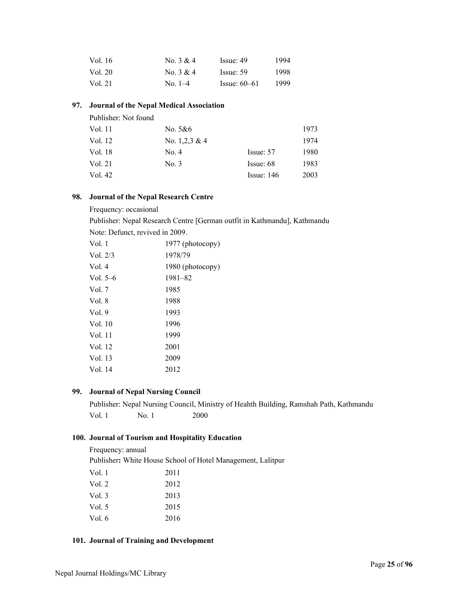| Vol. 16 | No. $3 & 4$   | Issue: 49      | 1994 |
|---------|---------------|----------------|------|
| Vol. 20 | No. 3 & 4     | Issue: 59      | 1998 |
| Vol. 21 | $\rm No. 1-4$ | $Issue: 60-61$ | 1999 |

# **97. Journal of the Nepal Medical Association**

| Publisher: Not found |                  |              |      |
|----------------------|------------------|--------------|------|
| Vol. 11              | No. 5&6          |              | 1973 |
| Vol. 12              | No. $1,2,3 \& 4$ |              | 1974 |
| Vol. 18              | No. 4            | Issue: 57    | 1980 |
| Vol. 21              | No. 3            | Issue: 68    | 1983 |
| Vol. 42              |                  | Issue: $146$ | 2003 |

### **98. Journal of the Nepal Research Centre**

### Frequency: occasional

Publisher: Nepal Research Centre [German outfit in Kathmandu], Kathmandu

Note: Defunct, revived in 2009.

| Vol. 1     | 1977 (photocopy) |
|------------|------------------|
| Vol. $2/3$ | 1978/79          |
| Vol. 4     | 1980 (photocopy) |
| Vol. $5-6$ | $1981 - 82$      |
| Vol. 7     | 1985             |
| Vol. 8     | 1988             |
| Vol.9      | 1993             |
| Vol. 10    | 1996             |
| Vol. 11    | 1999             |
| Vol. 12    | 2001             |
| Vol. 13    | 2009             |
| Vol. 14    | 2012             |

# **99. Journal of Nepal Nursing Council**

Publisher: Nepal Nursing Council, Ministry of Heahth Building, Ramshah Path, Kathmandu Vol. 1 No. 1 2000

# **100. Journal of Tourism and Hospitality Education**

Frequency: annual

Publisher**:** White House School of Hotel Management, Lalitpur

| Vol. 1 | 2011 |
|--------|------|
| Vol. 2 | 2012 |
| Vol. 3 | 2013 |
| Vol. 5 | 2015 |
| Vol. 6 | 2016 |
|        |      |

# **101. Journal of Training and Development**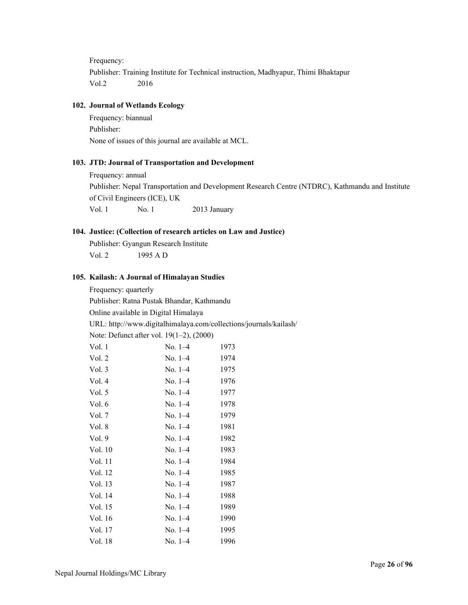Frequency:

Publisher: Training Institute for Technical instruction, Madhyapur, Thimi Bhaktapur Vol.2 2016

# **102. Journal of Wetlands Ecology**

Frequency: biannual Publisher: None of issues of this journal are available at MCL.

### **103. JTD: Journal of Transportation and Development**

Frequency: annual Publisher: Nepal Transportation and Development Research Centre (NTDRC), Kathmandu and Institute of Civil Engineers (ICE), UK Vol. 1 No. 1 2013 January

# **104. Justice: (Collection of research articles on Law and Justice)**

Publisher: Gyangun Research Institute Vol. 2 1995 A D

# **105. Kailash: A Journal of Himalayan Studies**

Frequency: quarterly

Publisher: Ratna Pustak Bhandar, Kathmandu

Online available in Digital Himalaya

URL: http://www.digitalhimalaya.com/collections/journals/kailash/

Note: Defunct after vol. 19(1–2), (2000)

| Vol. 1   | $No. 1-4$ | 1973 |
|----------|-----------|------|
| Vol. 2   | $No. 1-4$ | 1974 |
| Vol. 3   | $No. 1-4$ | 1975 |
| Vol. 4   | $No. 1-4$ | 1976 |
| Vol. $5$ | $No. 1-4$ | 1977 |
| Vol. 6   | $No. 1-4$ | 1978 |
| Vol. 7   | $No. 1-4$ | 1979 |
| Vol. 8   | $No. 1-4$ | 1981 |
| Vol.9    | $No. 1-4$ | 1982 |
| Vol. 10  | $No. 1-4$ | 1983 |
| Vol. 11  | $No. 1-4$ | 1984 |
| Vol. 12  | $No. 1-4$ | 1985 |
| Vol. 13  | $No. 1-4$ | 1987 |
| Vol. 14  | $No. 1-4$ | 1988 |
| Vol. 15  | $No. 1-4$ | 1989 |
| Vol. 16  | $No. 1-4$ | 1990 |
| Vol. 17  | $No. 1-4$ | 1995 |
| Vol. 18  | $No. 1-4$ | 1996 |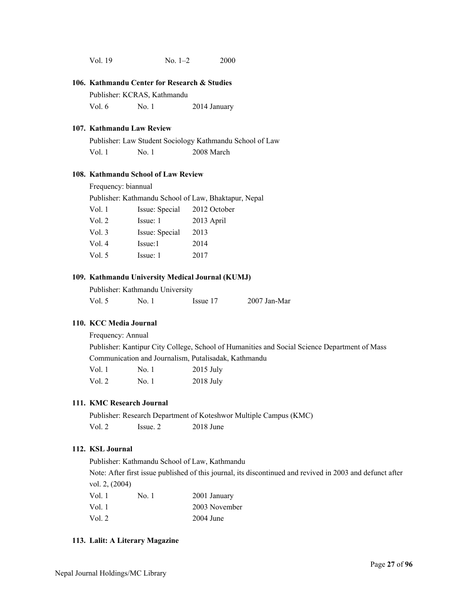| Vol. 19 | $No. 1-2$ | 2000 |
|---------|-----------|------|
|         |           |      |

#### **106. Kathmandu Center for Research & Studies**

Publisher: KCRAS, Kathmandu

Vol. 6 No. 1 2014 January

### **107. Kathmandu Law Review**

Publisher: Law Student Sociology Kathmandu School of Law Vol. 1 No. 1 2008 March

### **108. Kathmandu School of Law Review**

Frequency: biannual

Publisher: Kathmandu School of Law, Bhaktapur, Nepal

| Vol. 1 | Issue: Special | 2012 October |
|--------|----------------|--------------|
| Vol. 2 | Issue: 1       | 2013 April   |
| Vol. 3 | Issue: Special | 2013         |
| Vol. 4 | Issue:1        | 2014         |
| Vol. 5 | Issue: 1       | 2017         |

# **109. Kathmandu University Medical Journal (KUMJ)**

Publisher: Kathmandu University

| $2007$ Jan-Mar<br>Vol. $5$<br>No. 1<br>Issue 17 |
|-------------------------------------------------|
|-------------------------------------------------|

# **110. KCC Media Journal**

Frequency: Annual

Publisher: Kantipur City College, School of Humanities and Social Science Department of Mass Communication and Journalism, Putalisadak, Kathmandu

| Vol.1  | No. 1 | $2015$ July |
|--------|-------|-------------|
| Vol. 2 | No. 1 | $2018$ July |

# **111. KMC Research Journal**

Publisher: Research Department of Koteshwor Multiple Campus (KMC) Vol. 2 Issue. 2 2018 June

# **112. KSL Journal**

Publisher: Kathmandu School of Law, Kathmandu

Note: After first issue published of this journal, its discontinued and revived in 2003 and defunct after vol. 2, (2004)

| Vol. 1 | No. 1 | 2001 January  |
|--------|-------|---------------|
| Vol. 1 |       | 2003 November |
| Vol. 2 |       | $2004$ June   |

### **113. Lalit: A Literary Magazine**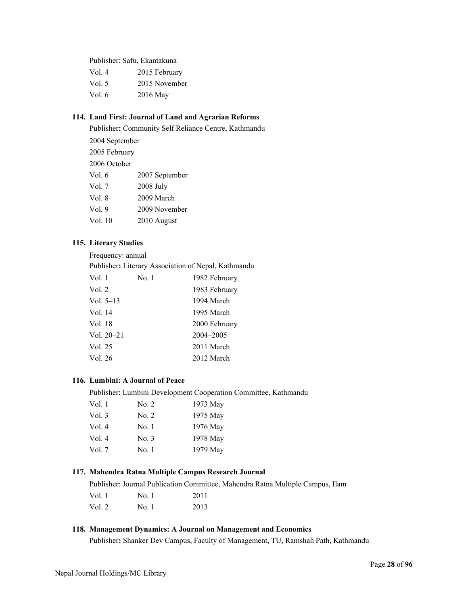Publisher: Safu, Ekantakuna

| Vol. 4 | 2015 February |
|--------|---------------|
| Vol. 5 | 2015 November |
| Vol. 6 | 2016 May      |

# **114. Land First: Journal of Land and Agrarian Reforms**

Publisher**:** Community Self Reliance Centre, Kathmandu 2004 September 2005 February 2006 October Vol. 6 2007 September Vol. 7 2008 July Vol. 8 2009 March Vol. 9 2009 November Vol. 10 2010 August

### **115. Literary Studies**

Frequency: annual

Publisher**:** Literary Association of Nepal, Kathmandu

| Vol. 1       | No. 1 | 1982 February |
|--------------|-------|---------------|
| Vol. 2       |       | 1983 February |
| Vol. $5-13$  |       | 1994 March    |
| Vol. 14      |       | 1995 March    |
| Vol. 18      |       | 2000 February |
| Vol. $20-21$ |       | 2004-2005     |
| Vol. 25      |       | 2011 March    |
| Vol. 26      |       | 2012 March    |

### **116. Lumbini: A Journal of Peace**

Publisher: Lumbini Development Cooperation Committee, Kathmandu

| Vol. 1 | No. 2 | 1973 May |
|--------|-------|----------|
| Vol. 3 | No. 2 | 1975 May |
| Vol. 4 | No. 1 | 1976 May |
| Vol.4  | No. 3 | 1978 May |
| Vol. 7 | No. 1 | 1979 May |
|        |       |          |

### **117. Mahendra Ratna Multiple Campus Research Journal**

Publisher: Journal Publication Committee, Mahendra Ratna Multiple Campus, Ilam

| Vol. $1$ | No. 1 | 2011 |
|----------|-------|------|
| Vol. 2   | No. 1 | 2013 |

# **118. Management Dynamics: A Journal on Management and Economics**

Publisher**:** Shanker Dev Campus, Faculty of Management, TU, Ramshah Path, Kathmandu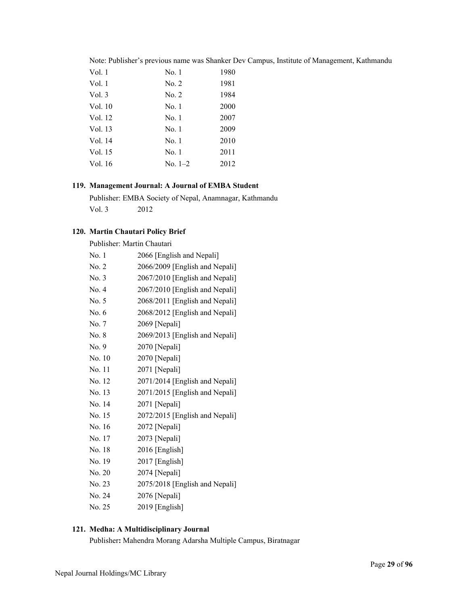|  |  |  |  |  |  |  |  |  |  | Note: Publisher's previous name was Shanker Dev Campus, Institute of Management, Kathmandu |
|--|--|--|--|--|--|--|--|--|--|--------------------------------------------------------------------------------------------|
|--|--|--|--|--|--|--|--|--|--|--------------------------------------------------------------------------------------------|

| Vol. 1  | No. 1     | 1980 |
|---------|-----------|------|
| Vol. 1  | No. 2     | 1981 |
| Vol.3   | No. 2     | 1984 |
| Vol. 10 | No. 1     | 2000 |
| Vol. 12 | No. 1     | 2007 |
| Vol. 13 | No. 1     | 2009 |
| Vol. 14 | No. 1     | 2010 |
| Vol. 15 | No. 1     | 2011 |
| Vol. 16 | $No. 1-2$ | 2012 |
|         |           |      |

# **119. Management Journal: A Journal of EMBA Student**

Publisher: EMBA Society of Nepal, Anamnagar, Kathmandu Vol. 3 2012

# **120. Martin Chautari Policy Brief**

|        | Publisher: Martin Chautari     |
|--------|--------------------------------|
| No. 1  | 2066 [English and Nepali]      |
| No. 2  | 2066/2009 [English and Nepali] |
| No. 3  | 2067/2010 [English and Nepali] |
| No. 4  | 2067/2010 [English and Nepali] |
| No. 5  | 2068/2011 [English and Nepali] |
| No. 6  | 2068/2012 [English and Nepali] |
| No. 7  | 2069 [Nepali]                  |
| No. 8  | 2069/2013 [English and Nepali] |
| No. 9  | 2070 [Nepali]                  |
| No. 10 | 2070 [Nepali]                  |
| No. 11 | 2071 [Nepali]                  |
| No. 12 | 2071/2014 [English and Nepali] |
| No. 13 | 2071/2015 [English and Nepali] |
| No. 14 | 2071 [Nepali]                  |
| No. 15 | 2072/2015 [English and Nepali] |
| No. 16 | 2072 [Nepali]                  |
| No. 17 | 2073 [Nepali]                  |
| No. 18 | 2016 [English]                 |
| No. 19 | $2017$ [English]               |
| No. 20 | 2074 [Nepali]                  |
| No. 23 | 2075/2018 [English and Nepali] |
| No. 24 | 2076 [Nepali]                  |
| No. 25 | 2019 [English]                 |

# **121. Medha: A Multidisciplinary Journal**

Publisher**:** Mahendra Morang Adarsha Multiple Campus, Biratnagar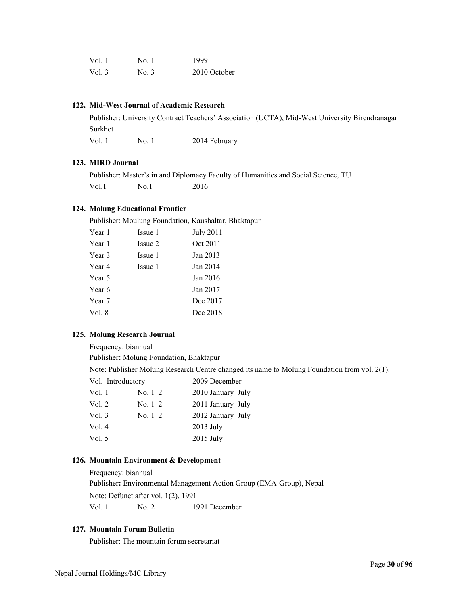| Vol.1    | No. 1 | 1999         |
|----------|-------|--------------|
| Vol. $3$ | No. 3 | 2010 October |

# **122. Mid-West Journal of Academic Research**

Publisher: University Contract Teachers' Association (UCTA), Mid-West University Birendranagar Surkhet

Vol. 1 No. 1 2014 February

### **123. MIRD Journal**

Publisher: Master's in and Diplomacy Faculty of Humanities and Social Science, TU Vol.1 No.1 2016

### **124. Molung Educational Frontier**

Publisher: Moulung Foundation, Kaushaltar, Bhaktapur

| Year 1 | Issue 1 | July 2011 |
|--------|---------|-----------|
| Year 1 | Issue 2 | Oct 2011  |
| Year 3 | Issue 1 | Jan 2013  |
| Year 4 | Issue 1 | Jan 2014  |
| Year 5 |         | Jan 2016  |
| Year 6 |         | Jan 2017  |
| Year 7 |         | Dec 2017  |
| Vol. 8 |         | Dec 2018  |
|        |         |           |

#### **125. Molung Research Journal**

Frequency: biannual

Publisher**:** Molung Foundation, Bhaktapur

Note: Publisher Molung Research Centre changed its name to Molung Foundation from vol. 2(1).

| Vol. Introductory |           | 2009 December     |
|-------------------|-----------|-------------------|
| Vol. 1            | $No. 1-2$ | 2010 January-July |
| Vol. $2$          | $No. 1-2$ | 2011 January–July |
| Vol. $3$          | $No. 1-2$ | 2012 January-July |
| Vol. 4            |           | $2013$ July       |
| Vol. $5$          |           | 2015 July         |
|                   |           |                   |

# **126. Mountain Environment & Development**

Frequency: biannual Publisher**:** Environmental Management Action Group (EMA-Group), Nepal Note: Defunct after vol. 1(2), 1991 Vol. 1 No. 2 1991 December

# **127. Mountain Forum Bulletin**

Publisher: The mountain forum secretariat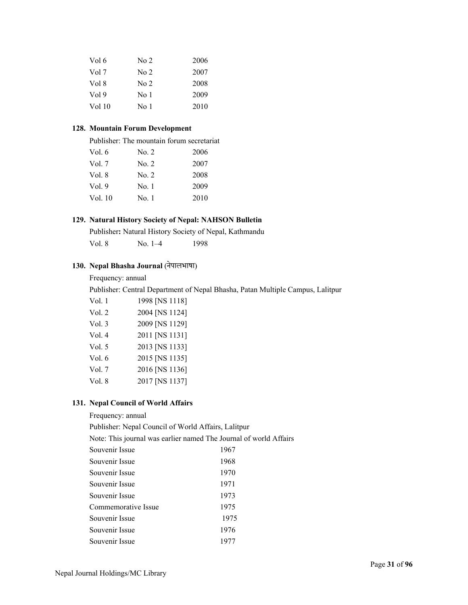| Vol 6            | No 2            | 2006 |
|------------------|-----------------|------|
| Vol 7            | No <sub>2</sub> | 2007 |
| Vol 8            | No <sub>2</sub> | 2008 |
| Vol <sub>9</sub> | No 1            | 2009 |
| Vol 10           | No 1            | 2010 |

### **128. Mountain Forum Development**

Publisher: The mountain forum secretariat

| No. 2 | 2006 |
|-------|------|
| No. 2 | 2007 |
| No. 2 | 2008 |
| No. 1 | 2009 |
| No. 1 | 2010 |
|       |      |

# **129. Natural History Society of Nepal: NAHSON Bulletin**

Publisher**:** Natural History Society of Nepal, Kathmandu

Vol. 8 No. 1–4 1998

# **130. Nepal Bhasha Journal** (नेपालभाषा)

# Frequency: annual

Publisher: Central Department of Nepal Bhasha, Patan Multiple Campus, Lalitpur

| Vol. 1 | 1998 [NS 1118] |
|--------|----------------|
| Vol. 2 | 2004 [NS 1124] |
| Vol. 3 | 2009 [NS 1129] |
| Vol. 4 | 2011 [NS 1131] |
| Vol. 5 | 2013 [NS 1133] |
| Vol. 6 | 2015 [NS 1135] |
| Vol. 7 | 2016 [NS 1136] |
| Vol. 8 | 2017 [NS 1137] |

# **131. Nepal Council of World Affairs**

Frequency: annual Publisher: Nepal Council of World Affairs, Lalitpur Note: This journal was earlier named The Journal of world Affairs Souvenir Issue 1967 Souvenir Issue 1968 Souvenir Issue 1970 Souvenir Issue 1971 Souvenir Issue 1973 Commemorative Issue 1975 Souvenir Issue 1975 Souvenir Issue 1976 Souvenir Issue 1977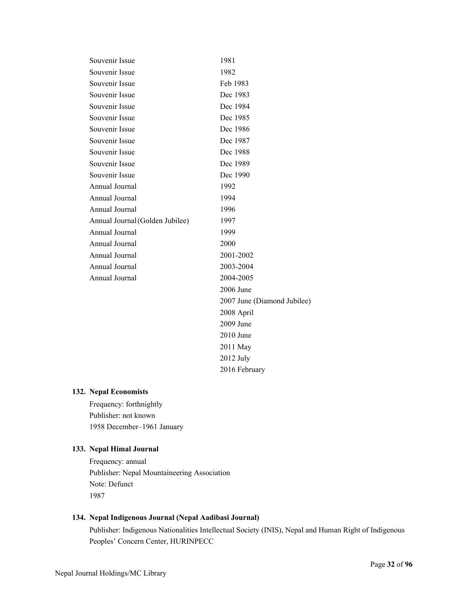| Souvenir Issue                  | 1981                        |
|---------------------------------|-----------------------------|
| Souvenir Issue                  | 1982                        |
| Souvenir Issue                  | Feb 1983                    |
| Souvenir Issue                  | Dec 1983                    |
| Souvenir Issue                  | Dec 1984                    |
| Souvenir Issue                  | Dec 1985                    |
| Souvenir Issue                  | Dec 1986                    |
| Souvenir Issue                  | Dec 1987                    |
| Souvenir Issue                  | Dec 1988                    |
| Souvenir Issue                  | Dec 1989                    |
| Souvenir Issue                  | Dec 1990                    |
| Annual Journal                  | 1992                        |
| Annual Journal                  | 1994                        |
| Annual Journal                  | 1996                        |
| Annual Journal (Golden Jubilee) | 1997                        |
| Annual Journal                  | 1999                        |
| Annual Journal                  | 2000                        |
| Annual Journal                  | 2001-2002                   |
| Annual Journal                  | 2003-2004                   |
| Annual Journal                  | 2004-2005                   |
|                                 | 2006 June                   |
|                                 | 2007 June (Diamond Jubilee) |
|                                 | 2008 April                  |
|                                 | 2009 June                   |
|                                 | 2010 June                   |
|                                 | 2011 May                    |
|                                 | $2012$ July                 |
|                                 | 2016 February               |

# **132. Nepal Economists**

Frequency: forthnightly Publisher: not known 1958 December–1961 January

# **133. Nepal Himal Journal**

Frequency: annual Publisher: Nepal Mountaineering Association Note: Defunct 1987

# **134. Nepal Indigenous Journal (Nepal Aadibasi Journal)**

Publisher: Indigenous Nationalities Intellectual Society (INIS), Nepal and Human Right of Indigenous Peoples' Concern Center, HURINPECC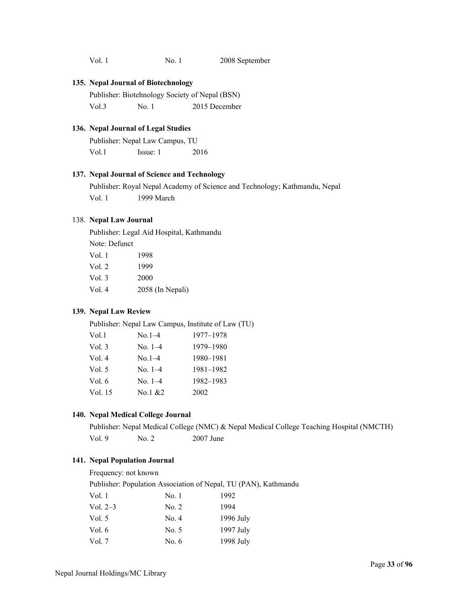Vol. 1 No. 1 2008 September

#### **135. Nepal Journal of Biotechnology**

Publisher: Biotehnology Society of Nepal (BSN) Vol.3 No. 1 2015 December

# **136. Nepal Journal of Legal Studies**

Publisher: Nepal Law Campus, TU Vol.1 **Issue: 1** 2016

### **137. Nepal Journal of Science and Technology**

 Publisher: Royal Nepal Academy of Science and Technology; Kathmandu, Nepal Vol. 1 1999 March

### 138. **Nepal Law Journal**

Publisher: Legal Aid Hospital, Kathmandu

Note: Defunct

| Vol. 1 | 1998             |
|--------|------------------|
| Vol. 2 | 1999             |
| Vol. 3 | 2000             |
| Vol. 4 | 2058 (In Nepali) |

## **139. Nepal Law Review**

Publisher: Nepal Law Campus, Institute of Law (TU)

| Vol.1    | $No.1-4$  | 1977-1978 |
|----------|-----------|-----------|
| Vol.3    | $No. 1-4$ | 1979-1980 |
| Vol.4    | $No.1-4$  | 1980-1981 |
| Vol. $5$ | No. $1-4$ | 1981-1982 |
| Vol. $6$ | No. $1-4$ | 1982-1983 |
| Vol. 15  | No.1 $&2$ | 2002      |

#### **140. Nepal Medical College Journal**

Publisher: Nepal Medical College (NMC) & Nepal Medical College Teaching Hospital (NMCTH) Vol. 9 No. 2 2007 June

# **141. Nepal Population Journal**

Frequency: not known Publisher: Population Association of Nepal, TU (PAN), Kathmandu Vol. 1 No. 1 1992 Vol. 2–3 No. 2 1994 Vol. 5 No. 4 1996 July Vol. 6 No. 5 1997 July Vol. 7 No. 6 1998 July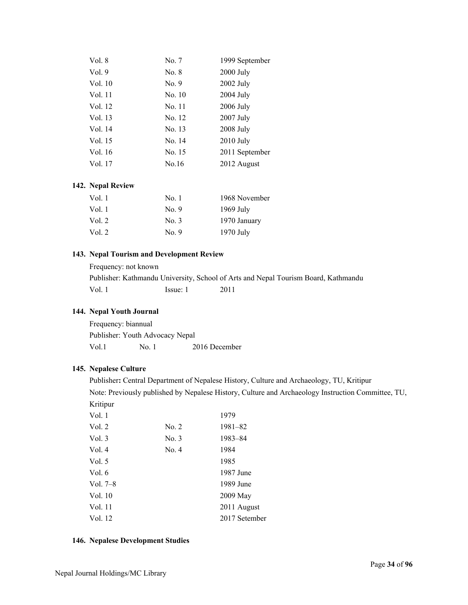| No. 7  | 1999 September |
|--------|----------------|
| No. 8  | 2000 July      |
| No. 9  | 2002 July      |
| No. 10 | 2004 July      |
| No. 11 | 2006 July      |
| No. 12 | 2007 July      |
| No. 13 | 2008 July      |
| No. 14 | $2010$ July    |
| No. 15 | 2011 September |
| No.16  | 2012 August    |
|        |                |

### **142. Nepal Review**

| Vol. 1 | No. 1 | 1968 November |
|--------|-------|---------------|
| Vol. 1 | No. 9 | $1969$ July   |
| Vol. 2 | No. 3 | 1970 January  |
| Vol. 2 | No. 9 | $1970$ July   |

### **143. Nepal Tourism and Development Review**

Frequency: not known Publisher: Kathmandu University, School of Arts and Nepal Tourism Board, Kathmandu Vol. 1 **Issue: 1** 2011

# **144. Nepal Youth Journal**

Frequency: biannual Publisher: Youth Advocacy Nepal Vol.1 No. 1 2016 December

#### **145. Nepalese Culture**

Publisher**:** Central Department of Nepalese History, Culture and Archaeology, TU, Kritipur Note: Previously published by Nepalese History, Culture and Archaeology Instruction Committee, TU, Kritipur

| Vol. 1     |       | 1979          |
|------------|-------|---------------|
| Vol. 2     | No. 2 | 1981-82       |
| Vol. 3     | No. 3 | 1983-84       |
| Vol. $4$   | No. 4 | 1984          |
| Vol. $5$   |       | 1985          |
| Vol. $6$   |       | 1987 June     |
| Vol. $7-8$ |       | 1989 June     |
| Vol. 10    |       | 2009 May      |
| Vol. 11    |       | 2011 August   |
| Vol. 12    |       | 2017 Setember |
|            |       |               |

### **146. Nepalese Development Studies**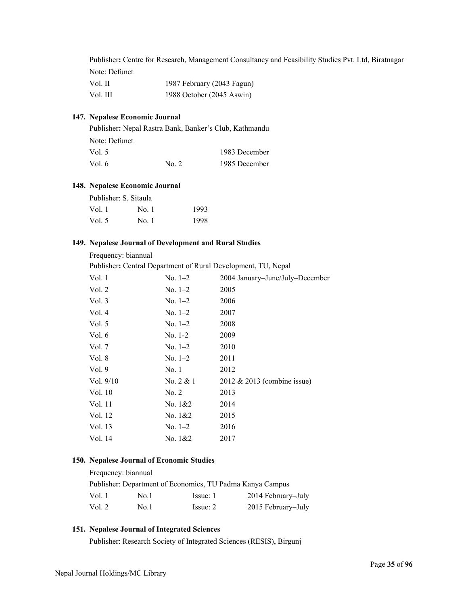Publisher**:** Centre for Research, Management Consultancy and Feasibility Studies Pvt. Ltd, Biratnagar Note: Defunct

| Vol. II  | 1987 February (2043 Fagun) |
|----------|----------------------------|
| Vol. III | 1988 October (2045 Aswin)  |

# **147. Nepalese Economic Journal**

| Publisher: Nepal Rastra Bank, Banker's Club, Kathmandu |                 |               |
|--------------------------------------------------------|-----------------|---------------|
| Note: Defunct                                          |                 |               |
| Vol. 5                                                 |                 | 1983 December |
| Vol. 6                                                 | $\mathrm{No}$ 2 | 1985 December |

### **148. Nepalese Economic Journal**

| Publisher: S. Sitaula |       |      |
|-----------------------|-------|------|
| Vol. 1                | No. 1 | 1993 |
| Vol. 5                | No. 1 | 1998 |

### **149. Nepalese Journal of Development and Rural Studies**

Frequency: biannual

Publisher**:** Central Department of Rural Development, TU, Nepal

| Vol. 1      | $No. 1-2$     | 2004 January-June/July-December |
|-------------|---------------|---------------------------------|
| Vol. 2      | No. $1-2$     | 2005                            |
| Vol. $3$    | $No. 1-2$     | 2006                            |
| Vol. 4      | $No. 1-2$     | 2007                            |
| Vol. $5$    | $No. 1-2$     | 2008                            |
| Vol. 6      | $No. 1-2$     | 2009                            |
| Vol. 7      | $No. 1-2$     | 2010                            |
| Vol. 8      | $No. 1-2$     | 2011                            |
| Vol. 9      | No.1          | 2012                            |
| Vol. $9/10$ | No. $2 & 1$   | $2012 \& 2013$ (combine issue)  |
| Vol. 10     | No. 2         | 2013                            |
| Vol. 11     | No. $1&2$     | 2014                            |
| Vol. 12     | No. $1&2$     | 2015                            |
| Vol. 13     | $\rm No. 1–2$ | 2016                            |
| Vol. 14     | No. 1&2       | 2017                            |
|             |               |                                 |

### **150. Nepalese Journal of Economic Studies**

| Frequency: biannual |      |                                                           |                    |
|---------------------|------|-----------------------------------------------------------|--------------------|
|                     |      | Publisher: Department of Economics, TU Padma Kanya Campus |                    |
| Vol. 1              | No.1 | Issue: 1                                                  | 2014 February–July |
| Vol. 2              | No.1 | Issue: 2                                                  | 2015 February–July |

# **151. Nepalese Journal of Integrated Sciences**

Publisher: Research Society of Integrated Sciences (RESIS), Birgunj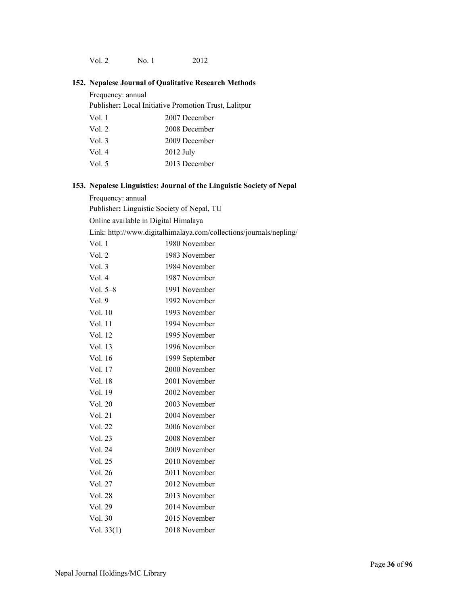Vol. 2 No. 1 2012

# **152. Nepalese Journal of Qualitative Research Methods**

Frequency: annual

Publisher**:** Local Initiative Promotion Trust, Lalitpur

| Vol. 1   | 2007 December |
|----------|---------------|
| Vol. $2$ | 2008 December |
| Vol. $3$ | 2009 December |
| Vol. 4   | $2012$ July   |
| Vol. 5   | 2013 December |

# **153. Nepalese Linguistics: Journal of the Linguistic Society of Nepal**

Frequency: annual

Publisher**:** Linguistic Society of Nepal, TU

Online available in Digital Himalaya

Link: http://www.digitalhimalaya.com/collections/journals/nepling/

| Vol.1      | 1980 November  |
|------------|----------------|
| Vol. 2     | 1983 November  |
| Vol.3      | 1984 November  |
| Vol. 4     | 1987 November  |
| Vol. $5-8$ | 1991 November  |
| Vol. 9     | 1992 November  |
| Vol. 10    | 1993 November  |
| Vol. 11    | 1994 November  |
| Vol. 12    | 1995 November  |
| Vol. 13    | 1996 November  |
| Vol. 16    | 1999 September |
| Vol. 17    | 2000 November  |
| Vol. 18    | 2001 November  |
| Vol. 19    | 2002 November  |
| Vol. 20    | 2003 November  |
| Vol. 21    | 2004 November  |
| Vol. 22    | 2006 November  |
| Vol. 23    | 2008 November  |
| Vol. 24    | 2009 November  |
| Vol. 25    | 2010 November  |
| Vol. 26    | 2011 November  |
| Vol. 27    | 2012 November  |
| Vol. 28    | 2013 November  |
| Vol. 29    | 2014 November  |
| Vol. 30    | 2015 November  |
| Vol. 33(1) | 2018 November  |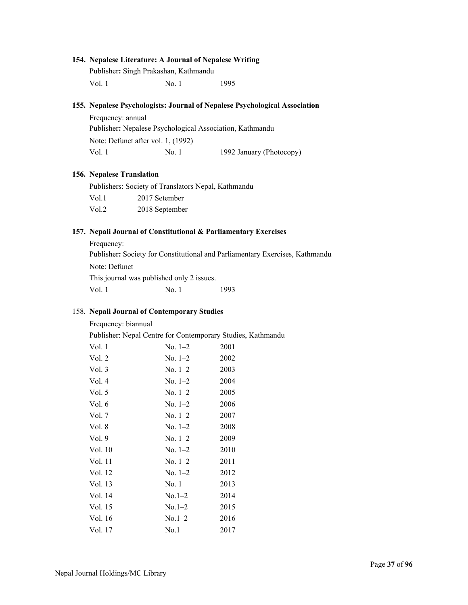#### **154. Nepalese Literature: A Journal of Nepalese Writing**

Publisher**:** Singh Prakashan, Kathmandu Vol. 1 No. 1 1995

#### **155. Nepalese Psychologists: Journal of Nepalese Psychological Association**

Frequency: annual Publisher**:** Nepalese Psychological Association, Kathmandu Note: Defunct after vol. 1, (1992) Vol. 1 No. 1 1992 January (Photocopy)

#### **156. Nepalese Translation**

Publishers: Society of Translators Nepal, Kathmandu Vol.1 2017 Setember Vol.2 2018 September

#### **157. Nepali Journal of Constitutional & Parliamentary Exercises**

Frequency: Publisher**:** Society for Constitutional and Parliamentary Exercises, Kathmandu Note: Defunct This journal was published only 2 issues. Vol. 1 No. 1 1993

#### 158. **Nepali Journal of Contemporary Studies**

Frequency: biannual

Publisher: Nepal Centre for Contemporary Studies, Kathmandu

| Vol. 1   | $No. 1-2$ | 2001 |
|----------|-----------|------|
| Vol. 2   | $No. 1-2$ | 2002 |
| Vol.3    | $No. 1-2$ | 2003 |
| Vol. 4   | $No. 1-2$ | 2004 |
| Vol. $5$ | $No. 1-2$ | 2005 |
| Vol. 6   | $No. 1-2$ | 2006 |
| Vol. 7   | $No. 1-2$ | 2007 |
| Vol. 8   | $No. 1-2$ | 2008 |
| Vol.9    | $No. 1-2$ | 2009 |
| Vol. 10  | $No. 1-2$ | 2010 |
| Vol. 11  | $No. 1-2$ | 2011 |
| Vol. 12  | $No. 1-2$ | 2012 |
| Vol. 13  | No. 1     | 2013 |
| Vol. 14  | $No.1-2$  | 2014 |
| Vol. 15  | $No.1-2$  | 2015 |
| Vol. 16  | $No.1-2$  | 2016 |
| Vol. 17  | No.1      | 2017 |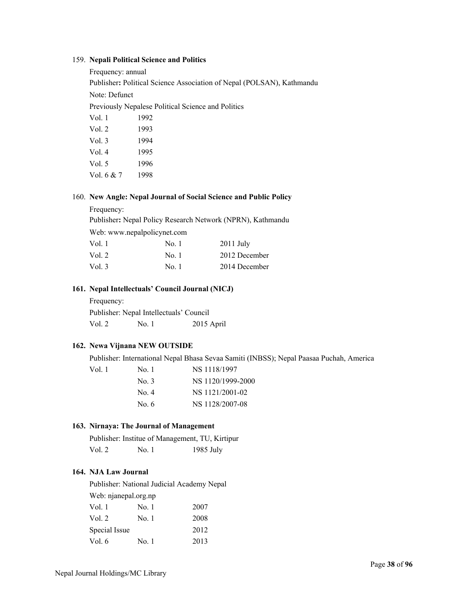#### 159. **Nepali Political Science and Politics**

| Frequency: annual |      |                                                                       |
|-------------------|------|-----------------------------------------------------------------------|
|                   |      | Publisher: Political Science Association of Nepal (POLSAN), Kathmandu |
| Note: Defunct     |      |                                                                       |
|                   |      | Previously Nepalese Political Science and Politics                    |
| Vol. 1            | 1992 |                                                                       |
| Vol. 2            | 1993 |                                                                       |
| Vol.3             | 1994 |                                                                       |
| Vol.4             | 1995 |                                                                       |
| Vol. 5            | 1996 |                                                                       |

Vol. 6 & 7 1998

#### 160. **New Angle: Nepal Journal of Social Science and Public Policy**

Frequency:

Publisher**:** Nepal Policy Research Network (NPRN), Kathmandu

Web: www.nepalpolicynet.com

| Vol. 1  | No. 1 | $2011$ July   |
|---------|-------|---------------|
| Vol. 2- | No. 1 | 2012 December |
| Vol. 3  | No. 1 | 2014 December |

#### **161. Nepal Intellectuals' Council Journal (NICJ)**

Frequency: Publisher: Nepal Intellectuals' Council Vol. 2 No. 1 2015 April

#### **162. Newa Vijnana NEW OUTSIDE**

Publisher: International Nepal Bhasa Sevaa Samiti (INBSS); Nepal Paasaa Puchah, America

| Vol. 1– | No. 1 | NS 1118/1997      |
|---------|-------|-------------------|
|         | No. 3 | NS 1120/1999-2000 |
|         | No. 4 | NS 1121/2001-02   |
|         | No. 6 | NS 1128/2007-08   |
|         |       |                   |

#### **163. Nirnaya: The Journal of Management**

|        | Publisher: Institue of Management, TU, Kirtipur |             |
|--------|-------------------------------------------------|-------------|
| Vol. 2 | No. 1                                           | $1985$ July |

#### **164. NJA Law Journal**

Publisher: National Judicial Academy Nepal Web: njanepal.org.np Vol. 1 No. 1 2007 Vol. 2 No. 1 2008 Special Issue 2012

Vol. 6 No. 1 2013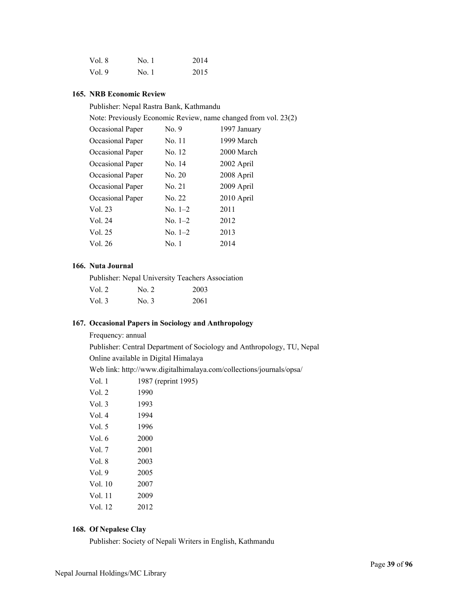| Vol. 8 | No. 1 | 2014 |
|--------|-------|------|
| Vol. 9 | No. 1 | 2015 |

#### **165. NRB Economic Review**

Publisher: Nepal Rastra Bank, Kathmandu

| Note: Previously Economic Review, name changed from vol. 23(2) |           |              |  |
|----------------------------------------------------------------|-----------|--------------|--|
| Occasional Paper                                               | No. 9     | 1997 January |  |
| Occasional Paper                                               | No. 11    | 1999 March   |  |
| Occasional Paper                                               | No. 12    | 2000 March   |  |
| Occasional Paper                                               | No. 14    | 2002 April   |  |
| Occasional Paper                                               | No. 20    | 2008 April   |  |
| Occasional Paper                                               | No. 21    | 2009 April   |  |
| Occasional Paper                                               | No. 22    | 2010 April   |  |
| Vol. 23                                                        | $No. 1-2$ | 2011         |  |
| Vol. 24                                                        | $No. 1-2$ | 2012         |  |
| Vol. 25                                                        | No. $1-2$ | 2013         |  |
| Vol. 26                                                        | No. 1     | 2014         |  |

#### **166. Nuta Journal**

| Publisher: Nepal University Teachers Association |         |      |
|--------------------------------------------------|---------|------|
| Vol. $2$                                         | No. $2$ | 2003 |
| Vol. $3$                                         | No. 3   | 2061 |

#### **167. Occasional Papers in Sociology and Anthropology**

Frequency: annual

Publisher: Central Department of Sociology and Anthropology, TU, Nepal Online available in Digital Himalaya

Web link: http://www.digitalhimalaya.com/collections/journals/opsa/

|          | web this. http://www.uighanninaia |
|----------|-----------------------------------|
| Vol. 1   | 1987 (reprint 1995)               |
| Vol. 2   | 1990                              |
| Vol. $3$ | 1993                              |
| Vol.4    | 1994                              |
| Vol. $5$ | 1996                              |
| Vol. 6   | 2000                              |
| Vol. 7   | 2001                              |
| Vol. 8   | 2003                              |
| Vol.9    | 2005                              |
| Vol. 10  | 2007                              |
| Vol. 11  | 2009                              |
| Vol. 12  | 2012                              |
|          |                                   |

#### **168. Of Nepalese Clay**

Publisher: Society of Nepali Writers in English, Kathmandu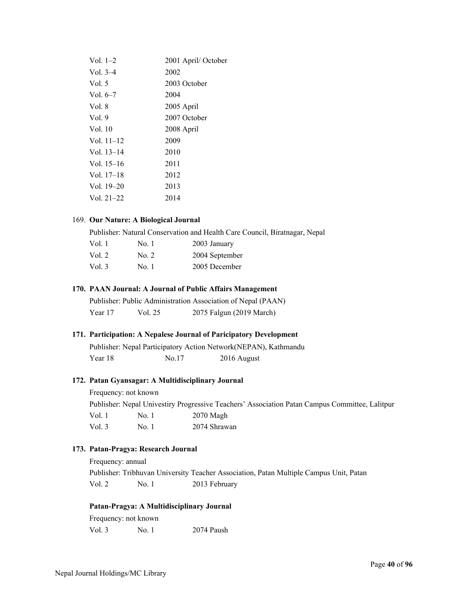| Vol. $1-2$   | 2001 April/October |
|--------------|--------------------|
| Vol. $3-4$   | 2002               |
| Vol. 5       | 2003 October       |
| Vol. 6–7     | 2004               |
| Vol. 8       | 2005 April         |
| Vol.9        | 2007 October       |
| Vol. 10      | 2008 April         |
| Vol. 11–12   | 2009               |
| Vol. $13-14$ | 2010               |
| Vol. 15–16   | 2011               |
| Vol. $17-18$ | 2012               |
| Vol. $19-20$ | 2013               |
| Vol. $21-22$ | 2014               |
|              |                    |

#### 169. **Our Nature: A Biological Journal**

Publisher: Natural Conservation and Health Care Council, Biratnagar, Nepal

| Vol. 1   | No. 1 | 2003 January   |
|----------|-------|----------------|
| Vol. 2   | No. 2 | 2004 September |
| Vol. $3$ | No. 1 | 2005 December  |

#### **170. PAAN Journal: A Journal of Public Affairs Management**

Publisher: Public Administration Association of Nepal (PAAN) Year 17 Vol. 25 2075 Falgun (2019 March)

#### **171. Participation: A Nepalese Journal of Paricipatory Development**

|         |       | Publisher: Nepal Participatory Action Network (NEPAN), Kathmandu |
|---------|-------|------------------------------------------------------------------|
| Year 18 | No.17 | 2016 August                                                      |

#### **172. Patan Gyansagar: A Multidisciplinary Journal**

Frequency: not known Publisher: Nepal Univestiry Progressive Teachers' Association Patan Campus Committee, Lalitpur Vol. 1 No. 1 2070 Magh Vol. 3 No. 1 2074 Shrawan

#### **173. Patan-Pragya: Research Journal**

Frequency: annual

Publisher: Tribhuvan University Teacher Association, Patan Multiple Campus Unit, Patan Vol. 2 No. 1 2013 February

#### **Patan-Pragya: A Multidisciplinary Journal**

Frequency: not known Vol. 3 No. 1 2074 Paush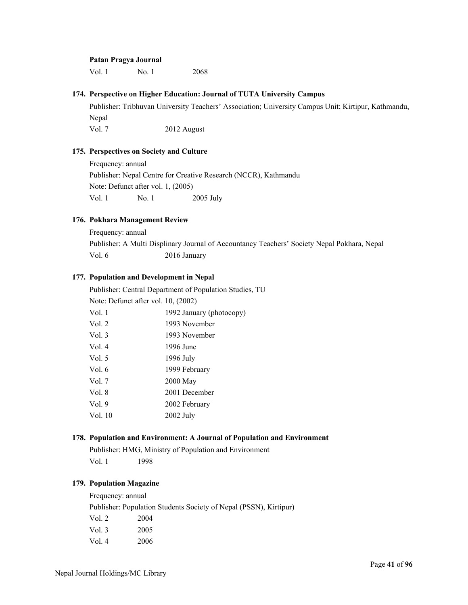#### **Patan Pragya Journal**

Vol. 1 No. 1 2068

#### **174. Perspective on Higher Education: Journal of TUTA University Campus**

Publisher: Tribhuvan University Teachers' Association; University Campus Unit; Kirtipur, Kathmandu, Nepal Vol. 7 2012 August

#### **175. Perspectives on Society and Culture**

Frequency: annual Publisher: Nepal Centre for Creative Research (NCCR), Kathmandu Note: Defunct after vol. 1, (2005) Vol. 1 No. 1 2005 July

#### **176. Pokhara Management Review**

Frequency: annual

Publisher: A Multi Displinary Journal of Accountancy Teachers' Society Nepal Pokhara, Nepal Vol. 6 2016 January

#### **177. Population and Development in Nepal**

Publisher: Central Department of Population Studies, TU Note: Defunct after vol. 10, (2002) Vol. 1 1992 January (photocopy) Vol. 2 1993 November<br>Vol. 3 1003 November

| Vol. 3 | 1993 November |
|--------|---------------|
| Vol. 4 | 1996 June     |
| Vol. 5 | 1996 July     |
| Vol. 6 | 1999 February |
| Vol. 7 | 2000 May      |
| Vol. 8 | 2001 December |

Vol. 9 2002 February

Vol. 10 2002 July

#### **178. Population and Environment: A Journal of Population and Environment**

Publisher: HMG, Ministry of Population and Environment Vol. 1 1998

#### **179. Population Magazine**

Frequency: annual

Publisher: Population Students Society of Nepal (PSSN), Kirtipur) Vol. 2 2004 Vol. 3 2005 Vol. 4 2006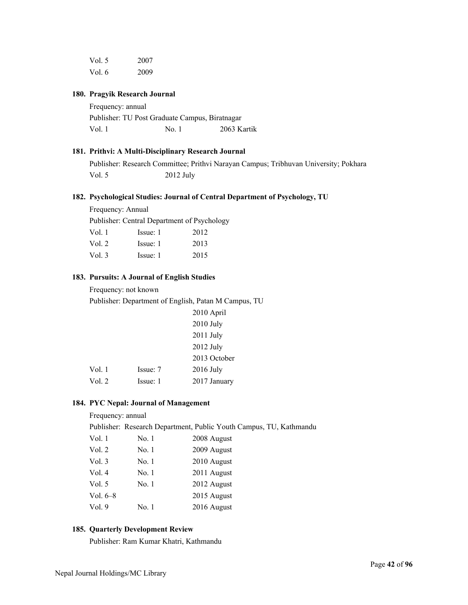| Vol. 5 | 2007 |
|--------|------|
| Vol. 6 | 2009 |

#### **180. Pragyik Research Journal**

Frequency: annual Publisher: TU Post Graduate Campus, Biratnagar Vol. 1 No. 1 2063 Kartik

#### **181. Prithvi: A Multi-Disciplinary Research Journal**

Publisher: Research Committee; Prithvi Narayan Campus; Tribhuvan University; Pokhara Vol. 5 2012 July

#### **182. Psychological Studies: Journal of Central Department of Psychology, TU**

Frequency: Annual

Publisher: Central Department of Psychology

| Vol. 1 | Issue: 1 | 2012 |
|--------|----------|------|
| Vol. 2 | Issue: 1 | 2013 |
| Vol. 3 | Issue: 1 | 2015 |

#### **183. Pursuits: A Journal of English Studies**

Frequency: not known

Publisher: Department of English, Patan M Campus, TU

|          | 2010 April   |
|----------|--------------|
|          | $2010$ July  |
|          | $2011$ July  |
|          | 2012 July    |
|          | 2013 October |
| Issue: 7 | $2016$ July  |
| Issue: 1 | 2017 January |
|          |              |

#### **184. PYC Nepal: Journal of Management**

#### Frequency: annual

Publisher: Research Department, Public Youth Campus, TU, Kathmandu

| Vol. 1   | No. 1 | 2008 August |
|----------|-------|-------------|
| Vol. 2   | No. 1 | 2009 August |
| Vol. 3   | No. 1 | 2010 August |
| Vol. 4   | No. 1 | 2011 August |
| Vol. 5   | No. 1 | 2012 August |
| Vol. 6–8 |       | 2015 August |
| Vol. 9   | No. 1 | 2016 August |
|          |       |             |

#### **185. Quarterly Development Review**

Publisher: Ram Kumar Khatri, Kathmandu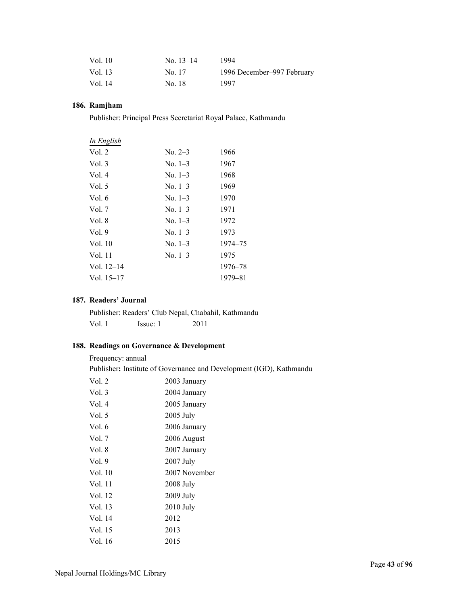| Vol. 10 | No. $13-14$ | 1994                       |
|---------|-------------|----------------------------|
| Vol. 13 | No. 17      | 1996 December–997 February |
| Vol. 14 | No. 18      | 1997                       |

#### **186. Ramjham**

Publisher: Principal Press Secretariat Royal Palace, Kathmandu

| In English   |           |         |
|--------------|-----------|---------|
| Vol. 2       | $No. 2-3$ | 1966    |
| Vol. 3       | $No. 1-3$ | 1967    |
| Vol. 4       | $No. 1-3$ | 1968    |
| Vol. 5       | $No. 1-3$ | 1969    |
| Vol. 6       | $No. 1-3$ | 1970    |
| Vol. 7       | $No. 1-3$ | 1971    |
| Vol. 8       | $No. 1-3$ | 1972    |
| Vol.9        | $No. 1-3$ | 1973    |
| Vol. 10      | $No. 1-3$ | 1974–75 |
| Vol. 11      | $No. 1-3$ | 1975    |
| Vol. $12-14$ |           | 1976–78 |
| Vol. 15–17   |           | 1979–81 |
|              |           |         |

#### **187. Readers' Journal**

Publisher: Readers' Club Nepal, Chabahil, Kathmandu Vol. 1 Issue: 1 2011

#### **188. Readings on Governance & Development**

Frequency: annual

Publisher**:** Institute of Governance and Development (IGD), Kathmandu

| Vol. 2   | 2003 January  |
|----------|---------------|
| Vol.3    | 2004 January  |
| Vol. 4   | 2005 January  |
| Vol. $5$ | 2005 July     |
| Vol. 6   | 2006 January  |
| Vol. 7   | 2006 August   |
| Vol. 8   | 2007 January  |
| Vol.9    | 2007 July     |
| Vol. 10  | 2007 November |
| Vol. 11  | $2008$ July   |
| Vol. 12  | 2009 July     |
| Vol. 13  | $2010$ July   |
| Vol. 14  | 2012          |
| Vol. 15  | 2013          |
| Vol. 16  | 2015          |
|          |               |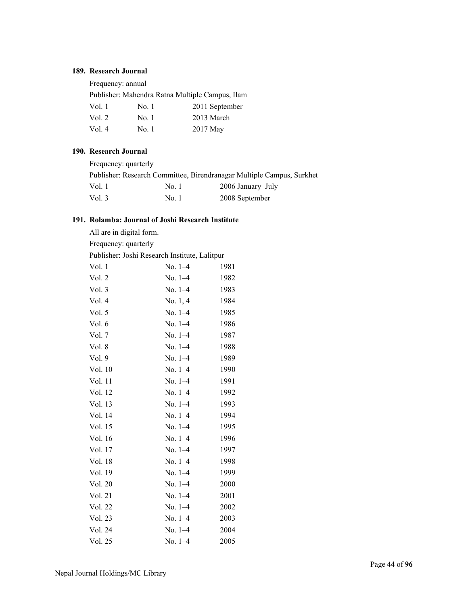#### **189. Research Journal**

Frequency: annual

Publisher: Mahendra Ratna Multiple Campus, Ilam

| Vol. 1 | No. 1 | 2011 September |
|--------|-------|----------------|
| Vol. 2 | No. 1 | 2013 March     |
| Vol.4  | No. 1 | 2017 May       |

#### **190. Research Journal**

| Frequency: quarterly |       |                                                                       |
|----------------------|-------|-----------------------------------------------------------------------|
|                      |       | Publisher: Research Committee, Birendranagar Multiple Campus, Surkhet |
| Vol. 1               | No. 1 | 2006 January–July                                                     |
| Vol. $3$             | No. 1 | 2008 September                                                        |

### **191. Rolamba: Journal of Joshi Research Institute**

| All are in digital form.                      |           |      |  |
|-----------------------------------------------|-----------|------|--|
| Frequency: quarterly                          |           |      |  |
| Publisher: Joshi Research Institute, Lalitpur |           |      |  |
| Vol. 1                                        | No. 1-4   | 1981 |  |
| Vol. 2                                        | $No. 1-4$ | 1982 |  |
| Vol. 3                                        | $No. 1-4$ | 1983 |  |
| Vol. 4                                        | No. 1, 4  | 1984 |  |
| Vol. 5                                        | $No. 1-4$ | 1985 |  |
| Vol. 6                                        | No. 1-4   | 1986 |  |
| Vol. 7                                        | $No. 1-4$ | 1987 |  |
| Vol. 8                                        | $No. 1-4$ | 1988 |  |
| Vol. 9                                        | $No. 1-4$ | 1989 |  |
| Vol. 10                                       | $No. 1-4$ | 1990 |  |
| Vol. 11                                       | No. $1-4$ | 1991 |  |
| Vol. 12                                       | $No. 1-4$ | 1992 |  |
| Vol. 13                                       | $No. 1-4$ | 1993 |  |
| Vol. 14                                       | $No. 1-4$ | 1994 |  |
| Vol. 15                                       | No. 1-4   | 1995 |  |
| Vol. 16                                       | $No. 1-4$ | 1996 |  |
| Vol. 17                                       | $No. 1-4$ | 1997 |  |
| Vol. 18                                       | $No. 1-4$ | 1998 |  |
| Vol. 19                                       | $No. 1-4$ | 1999 |  |
| Vol. 20                                       | No. $1-4$ | 2000 |  |
| Vol. 21                                       | No. 1-4   | 2001 |  |
| Vol. 22                                       | No. 1-4   | 2002 |  |
| Vol. 23                                       | $No. 1-4$ | 2003 |  |
| Vol. 24                                       | No. 1-4   | 2004 |  |
| Vol. 25                                       | $No. 1-4$ | 2005 |  |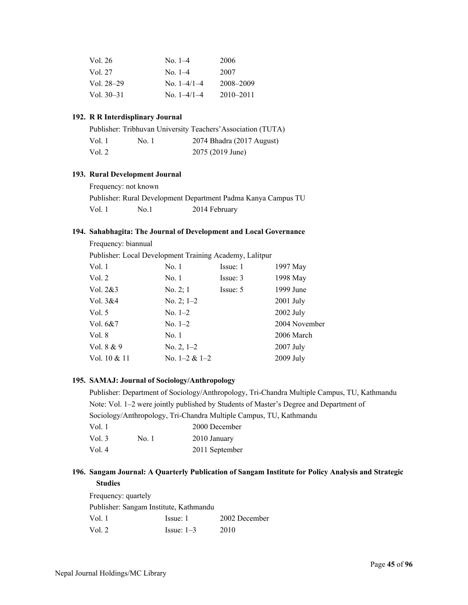| No. $1-4$     | 2006          |
|---------------|---------------|
| No. $1-4$     | 2007          |
| No. $1-4/1-4$ | 2008-2009     |
| No. $1-4/1-4$ | $2010 - 2011$ |
|               |               |

#### **192. R R Interdisplinary Journal**

|        |       | Publisher: Tribhuvan University Teachers' Association (TUTA) |
|--------|-------|--------------------------------------------------------------|
| Vol. 1 | No. 1 | 2074 Bhadra (2017 August)                                    |
| Vol. 2 |       | 2075 (2019 June)                                             |

#### **193. Rural Development Journal**

Frequency: not known Publisher: Rural Development Department Padma Kanya Campus TU

Vol. 1 No.1 2014 February

#### **194. Sahabhagita: The Journal of Development and Local Governance**

| No. 1           | Issue: 1 | 1997 May                                                |
|-----------------|----------|---------------------------------------------------------|
| No. 1           | Issue: 3 | 1998 May                                                |
| No. $2; 1$      | Issue: 5 | 1999 June                                               |
| No. 2; $1-2$    |          | $2001$ July                                             |
| No. $1-2$       |          | $2002$ July                                             |
| $No. 1-2$       |          | 2004 November                                           |
| No. 1           |          | 2006 March                                              |
| No. $2, 1-2$    |          | $2007$ July                                             |
| No. $1-2 & 1-2$ |          | 2009 July                                               |
|                 |          | Publisher: Local Development Training Academy, Lalitpur |

#### **195. SAMAJ: Journal of Sociology/Anthropology**

Publisher: Department of Sociology/Anthropology, Tri-Chandra Multiple Campus, TU, Kathmandu Note: Vol. 1–2 were jointly published by Students of Master's Degree and Department of Sociology/Anthropology, Tri-Chandra Multiple Campus, TU, Kathmandu Vol. 1 2000 December

| Vol. 3 | No. 1 | 2010 January   |
|--------|-------|----------------|
| Vol. 4 |       | 2011 September |

#### **196. Sangam Journal: A Quarterly Publication of Sangam Institute for Policy Analysis and Strategic Studies**

Frequency: quartely Publisher: Sangam Institute, Kathmandu Vol. 1 Issue: 1 2002 December Vol. 2 **Issue:** 1–3 2010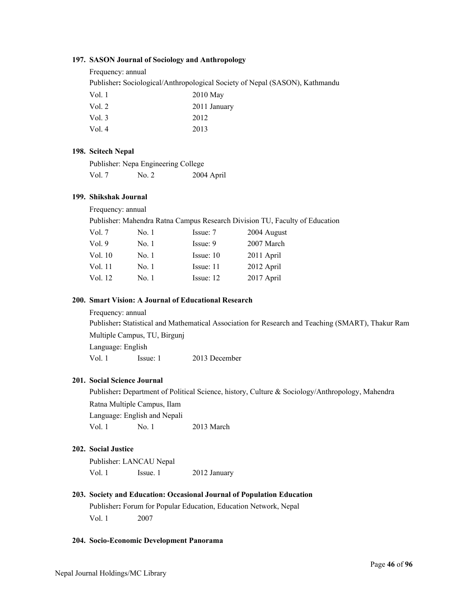#### **197. SASON Journal of Sociology and Anthropology**

Frequency: annual

Publisher**:** Sociological/Anthropological Society of Nepal (SASON), Kathmandu

| $2010$ May   |
|--------------|
| 2011 January |
| 2012         |
| 2013         |
|              |

#### **198. Scitech Nepal**

|        | Publisher: Nepa Engineering College |            |
|--------|-------------------------------------|------------|
| Vol. 7 | No. 2                               | 2004 April |

#### **199. Shikshak Journal**

Frequency: annual

Publisher: Mahendra Ratna Campus Research Division TU, Faculty of Education

| Vol. 7  | No. 1 | Issue: 7    | 2004 August |
|---------|-------|-------------|-------------|
| Vol.9   | No. 1 | Issue: 9    | 2007 March  |
| Vol. 10 | No. 1 | Issue: 10   | 2011 April  |
| Vol. 11 | No. 1 | Issue: 11   | 2012 April  |
| Vol. 12 | No. 1 | Issue: $12$ | 2017 April  |

#### **200. Smart Vision: A Journal of Educational Research**

Frequency: annual

Publisher**:** Statistical and Mathematical Association for Research and Teaching (SMART), Thakur Ram Multiple Campus, TU, Birgunj Language: English Vol. 1 Issue: 1 2013 December

#### **201. Social Science Journal**

Publisher**:** Department of Political Science, history, Culture & Sociology/Anthropology, Mahendra Ratna Multiple Campus, Ilam Language: English and Nepali Vol. 1 No. 1 2013 March

#### **202. Social Justice**

Publisher: LANCAU Nepal Vol. 1 Issue. 1 2012 January

## **203. Society and Education: Occasional Journal of Population Education**  Publisher**:** Forum for Popular Education, Education Network, Nepal Vol. 1 2007

#### **204. Socio-Economic Development Panorama**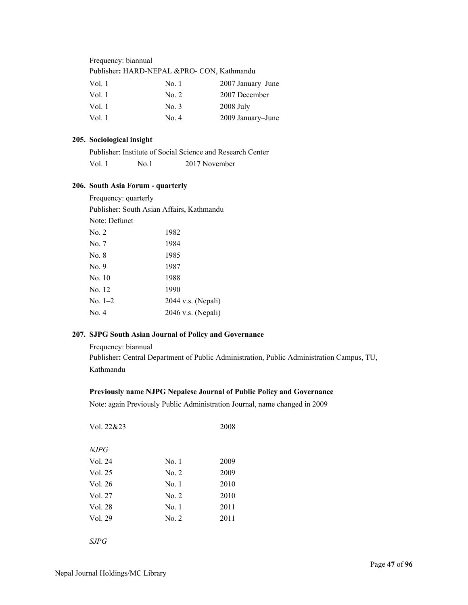| Frequency: biannual                        |       |                   |
|--------------------------------------------|-------|-------------------|
| Publisher: HARD-NEPAL &PRO- CON, Kathmandu |       |                   |
| Vol. 1                                     | No. 1 | 2007 January–June |
| Vol.1                                      | No. 2 | 2007 December     |
| Vol.1                                      | No. 3 | 2008 July         |
| Vol.1                                      | No. 4 | 2009 January-June |

#### **205. Sociological insight**

|        |      | Publisher: Institute of Social Science and Research Center |  |
|--------|------|------------------------------------------------------------|--|
| Vol. 1 | No 1 | 2017 November                                              |  |

#### **206. South Asia Forum - quarterly**

| Publisher: South Asian Affairs, Kathmandu |
|-------------------------------------------|
|                                           |
| 1982                                      |
| 1984                                      |
| 1985                                      |
| 1987                                      |
| 1988                                      |
| 1990                                      |
| 2044 v.s. (Nepali)                        |
| $2046$ v.s. (Nepali)                      |
|                                           |

#### **207. SJPG South Asian Journal of Policy and Governance**

Frequency: biannual Publisher**:** Central Department of Public Administration, Public Administration Campus, TU, Kathmandu

#### **Previously name NJPG Nepalese Journal of Public Policy and Governance**

Note: again Previously Public Administration Journal, name changed in 2009

| Vol. 22&23 |       | 2008 |
|------------|-------|------|
| NJPG       |       |      |
| Vol. 24    | No. 1 | 2009 |
| Vol. 25    | No. 2 | 2009 |
| Vol. 26    | No. 1 | 2010 |
| Vol. 27    | No. 2 | 2010 |
| Vol. 28    | No. 1 | 2011 |
| Vol. 29    | No. 2 | 2011 |
|            |       |      |
| SJPG       |       |      |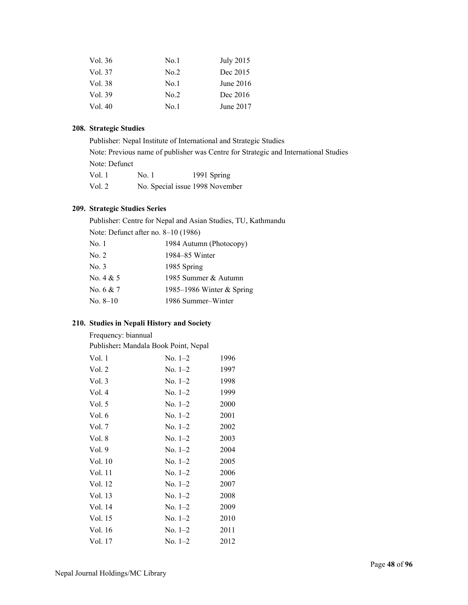| No.1 | July 2015   |
|------|-------------|
| No.2 | Dec 2015    |
| No.1 | June $2016$ |
| No.2 | Dec 2016    |
| No.1 | June 2017   |
|      |             |

#### **208. Strategic Studies**

Publisher: Nepal Institute of International and Strategic Studies Note: Previous name of publisher was Centre for Strategic and International Studies Note: Defunct Vol. 1 No. 1 1991 Spring Vol. 2 No. Special issue 1998 November

#### **209. Strategic Studies Series**

Publisher: Centre for Nepal and Asian Studies, TU, Kathmandu

| Note: Defunct after no. 8–10 (1986) |                           |
|-------------------------------------|---------------------------|
| No. 1                               | 1984 Autumn (Photocopy)   |
| No. 2                               | 1984–85 Winter            |
| No. 3                               | 1985 Spring               |
| No. 4 & 5                           | 1985 Summer & Autumn      |
| No. 6 & 7                           | 1985–1986 Winter & Spring |
| No. 8–10                            | 1986 Summer-Winter        |
|                                     |                           |

#### **210. Studies in Nepali History and Society**

Frequency: biannual

Publisher**:** Mandala Book Point, Nepal

| Vol. 1   | $No. 1-2$ | 1996 |
|----------|-----------|------|
| Vol. 2   | $No. 1-2$ | 1997 |
| Vol.3    | $No. 1-2$ | 1998 |
| Vol. 4   | $No. 1-2$ | 1999 |
| Vol. $5$ | $No. 1-2$ | 2000 |
| Vol. 6   | No. $1-2$ | 2001 |
| Vol. 7   | $No. 1-2$ | 2002 |
| Vol. 8   | $No. 1-2$ | 2003 |
| Vol.9    | $No. 1-2$ | 2004 |
| Vol. 10  | $No. 1-2$ | 2005 |
| Vol. 11  | $No. 1-2$ | 2006 |
| Vol. 12  | $No. 1-2$ | 2007 |
| Vol. 13  | $No. 1-2$ | 2008 |
| Vol. 14  | $No. 1-2$ | 2009 |
| Vol. 15  | $No. 1-2$ | 2010 |
| Vol. 16  | $No. 1-2$ | 2011 |
| Vol. 17  | $No. 1-2$ | 2012 |
|          |           |      |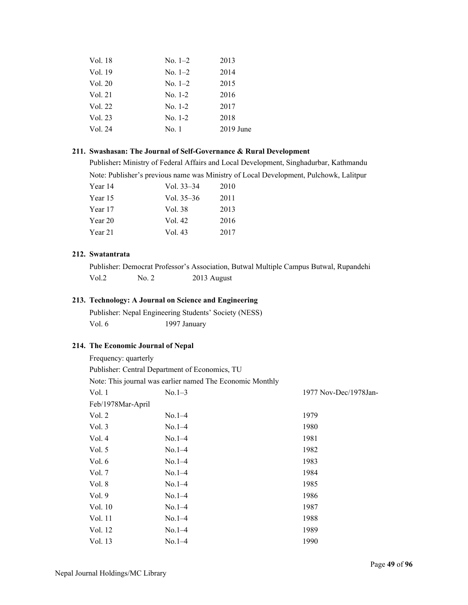| Vol. 18 | $No. 1-2$ | 2013        |
|---------|-----------|-------------|
| Vol. 19 | $No. 1-2$ | 2014        |
| Vol. 20 | $No. 1-2$ | 2015        |
| Vol. 21 | $No. 1-2$ | 2016        |
| Vol. 22 | $No. 1-2$ | 2017        |
| Vol. 23 | $No. 1-2$ | 2018        |
| Vol. 24 | No. 1     | $2019$ June |
|         |           |             |

#### **211. Swashasan: The Journal of Self-Governance & Rural Development**

Publisher**:** Ministry of Federal Affairs and Local Development, Singhadurbar, Kathmandu Note: Publisher's previous name was Ministry of Local Development, Pulchowk, Lalitpur

| Year 14 | Vol. $33-34$ | 2010 |
|---------|--------------|------|
| Year 15 | Vol. 35–36   | 2011 |
| Year 17 | Vol. 38      | 2013 |
| Year 20 | Vol. 42      | 2016 |
| Year 21 | Vol. 43      | 2017 |

#### **212. Swatantrata**

Publisher: Democrat Professor's Association, Butwal Multiple Campus Butwal, Rupandehi Vol.2 No. 2 2013 August

## **213. Technology: A Journal on Science and Engineering**

Publisher: Nepal Engineering Students' Society (NESS) Vol. 6 1997 January

#### **214. The Economic Journal of Nepal**

| Frequency: quarterly                                      |          |                       |
|-----------------------------------------------------------|----------|-----------------------|
| Publisher: Central Department of Economics, TU            |          |                       |
| Note: This journal was earlier named The Economic Monthly |          |                       |
| Vol. 1                                                    | $No.1-3$ | 1977 Nov-Dec/1978Jan- |
| Feb/1978Mar-April                                         |          |                       |
| Vol. 2                                                    | $No.1-4$ | 1979                  |
| Vol. $3$                                                  | $No.1-4$ | 1980                  |
| Vol. 4                                                    | $No.1-4$ | 1981                  |
| Vol. $5$                                                  | $No.1-4$ | 1982                  |
| Vol. 6                                                    | $No.1-4$ | 1983                  |
| Vol. 7                                                    | $No.1-4$ | 1984                  |
| Vol. 8                                                    | $No.1-4$ | 1985                  |
| Vol.9                                                     | $No.1-4$ | 1986                  |
| Vol. 10                                                   | $No.1-4$ | 1987                  |
| Vol. 11                                                   | $No.1-4$ | 1988                  |
| Vol. 12                                                   | $No.1-4$ | 1989                  |
| Vol. 13                                                   | $No.1-4$ | 1990                  |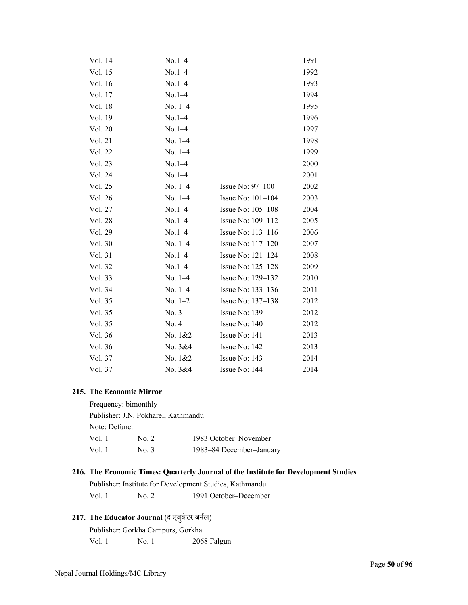| Vol. 14 | $No.1-4$  |                     | 1991 |
|---------|-----------|---------------------|------|
| Vol. 15 | $No.1-4$  |                     | 1992 |
| Vol. 16 | $No.1-4$  |                     | 1993 |
| Vol. 17 | $No.1-4$  |                     | 1994 |
| Vol. 18 | $No. 1-4$ |                     | 1995 |
| Vol. 19 | $No.1-4$  |                     | 1996 |
| Vol. 20 | $No.1-4$  |                     | 1997 |
| Vol. 21 | $No. 1-4$ |                     | 1998 |
| Vol. 22 | $No. 1-4$ |                     | 1999 |
| Vol. 23 | $No.1-4$  |                     | 2000 |
| Vol. 24 | $No.1-4$  |                     | 2001 |
| Vol. 25 | $No. 1-4$ | Issue No: $97-100$  | 2002 |
| Vol. 26 | $No. 1-4$ | Issue No: $101-104$ | 2003 |
| Vol. 27 | $No.1-4$  | Issue No: 105-108   | 2004 |
| Vol. 28 | $No.1-4$  | Issue No: 109-112   | 2005 |
| Vol. 29 | $No.1-4$  | Issue No: 113–116   | 2006 |
| Vol. 30 | $No. 1-4$ | Issue No: $117-120$ | 2007 |
| Vol. 31 | $No.1-4$  | Issue No: $121-124$ | 2008 |
| Vol. 32 | $No.1-4$  | Issue No: 125-128   | 2009 |
| Vol. 33 | $No. 1-4$ | Issue No: 129-132   | 2010 |
| Vol. 34 | $No. 1-4$ | Issue No: 133-136   | 2011 |
| Vol. 35 | $No. 1-2$ | Issue No: 137-138   | 2012 |
| Vol. 35 | No. 3     | Issue No: 139       | 2012 |
| Vol. 35 | No. 4     | Issue No: 140       | 2012 |
| Vol. 36 | No. 1&2   | Issue No: 141       | 2013 |
| Vol. 36 | No. 3&4   | Issue No: 142       | 2013 |
| Vol. 37 | No. 1&2   | Issue No: 143       | 2014 |
| Vol. 37 | No. 3&4   | Issue No: 144       | 2014 |

#### **215. The Economic Mirror**

Frequency: bimonthly Publisher: J.N. Pokharel, Kathmandu Note: Defunct Vol. 1 No. 2 1983 October–November Vol. 1 No. 3 1983–84 December–January

#### **216. The Economic Times: Quarterly Journal of the Institute for Development Studies**

Publisher: Institute for Development Studies, Kathmandu Vol. 1 No. 2 1991 October–December

## 217. The Educator Journal (द एजुकेटर जर्नल)

Publisher: Gorkha Campurs, Gorkha Vol. 1 No. 1 2068 Falgun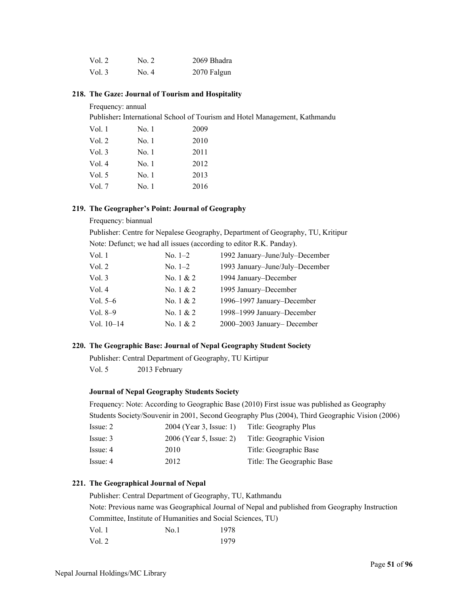| Vol. 2   | No. 2 | 2069 Bhadra |
|----------|-------|-------------|
| Vol. $3$ | No. 4 | 2070 Falgun |

#### **218. The Gaze: Journal of Tourism and Hospitality**

#### Frequency: annual

Publisher**:** International School of Tourism and Hotel Management, Kathmandu

| Vol. 1   | No. 1 | 2009 |
|----------|-------|------|
| Vol. 2   | No. 1 | 2010 |
| Vol.3    | No. 1 | 2011 |
| Vol. $4$ | No. 1 | 2012 |
| Vol. $5$ | No. 1 | 2013 |
| Vol. $7$ | No. 1 | 2016 |

#### **219. The Geographer's Point: Journal of Geography**

#### Frequency: biannual

Publisher: Centre for Nepalese Geography, Department of Geography, TU, Kritipur Note: Defunct; we had all issues (according to editor R.K. Panday).

| Vol. 2<br>No. $1-2$<br>Vol. 3<br>1994 January-December<br>No. $1 & 2$<br>Vol. 4<br>No. 1 & 2<br>1995 January–December<br>1996-1997 January-December<br>No. $1 & 2$<br>Vol. 5–6<br>1998-1999 January-December<br>Vol. $8-9$<br>No. $1 & 2$<br>2000-2003 January-December<br>Vol. $10-14$<br>No. $1 & 2$ | Vol. 1 | No. $1-2$ | 1992 January-June/July-December |
|--------------------------------------------------------------------------------------------------------------------------------------------------------------------------------------------------------------------------------------------------------------------------------------------------------|--------|-----------|---------------------------------|
|                                                                                                                                                                                                                                                                                                        |        |           | 1993 January-June/July-December |
|                                                                                                                                                                                                                                                                                                        |        |           |                                 |
|                                                                                                                                                                                                                                                                                                        |        |           |                                 |
|                                                                                                                                                                                                                                                                                                        |        |           |                                 |
|                                                                                                                                                                                                                                                                                                        |        |           |                                 |
|                                                                                                                                                                                                                                                                                                        |        |           |                                 |

#### **220. The Geographic Base: Journal of Nepal Geography Student Society**

Publisher: Central Department of Geography, TU Kirtipur Vol. 5 2013 February

#### **Journal of Nepal Geography Students Society**

Frequency: Note: According to Geographic Base (2010) First issue was published as Geography Students Society/Souvenir in 2001, Second Geography Plus (2004), Third Geographic Vision (2006)

| Issue: 2 | 2004 (Year 3, Issue: 1) | Title: Geography Plus      |
|----------|-------------------------|----------------------------|
| Issue: 3 | 2006 (Year 5, Issue: 2) | Title: Geographic Vision   |
| Issue: 4 | 2010                    | Title: Geographic Base     |
| Issue: 4 | 2012                    | Title: The Geographic Base |

#### **221. The Geographical Journal of Nepal**

Publisher: Central Department of Geography, TU, Kathmandu Note: Previous name was Geographical Journal of Nepal and published from Geography Instruction Committee, Institute of Humanities and Social Sciences, TU) Vol. 1 No.1 1978 Vol. 2 1979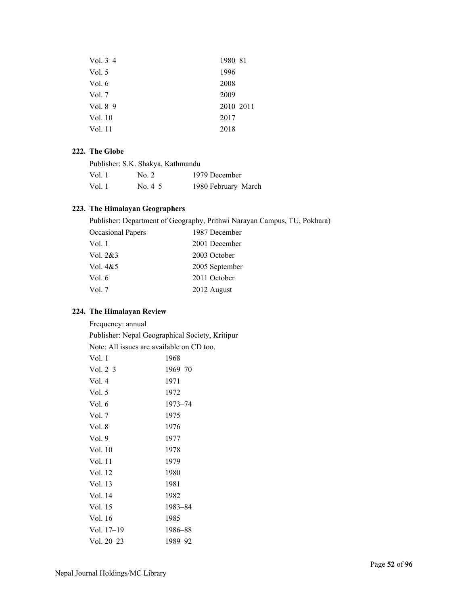| Vol. $3-4$ | 1980-81       |
|------------|---------------|
| Vol. 5     | 1996          |
| Vol. 6     | 2008          |
| Vol. 7     | 2009          |
| Vol. $8-9$ | $2010 - 2011$ |
| Vol. 10    | 2017          |
| Vol. 11    | 2018          |
|            |               |

#### **222. The Globe**

| Publisher: S.K. Shakya, Kathmandu |           |                     |
|-----------------------------------|-----------|---------------------|
| Vol. 1                            | No. 2     | 1979 December       |
| Vol. 1                            | No. $4-5$ | 1980 February-March |

#### **223. The Himalayan Geographers**

Publisher: Department of Geography, Prithwi Narayan Campus, TU, Pokhara)

| <b>Occasional Papers</b> | 1987 December  |
|--------------------------|----------------|
| Vol. 1                   | 2001 December  |
| Vol. $2&3$               | 2003 October   |
| Vol. $4&5$               | 2005 September |
| Vol. 6                   | 2011 October   |
| Vol. 7                   | 2012 August    |
|                          |                |

#### **224. The Himalayan Review**

Frequency: annual

Publisher: Nepal Geographical Society, Kritipur

Note: All issues are available on CD too.

| 1968    |
|---------|
| 1969–70 |
| 1971    |
| 1972    |
| 1973–74 |
| 1975    |
| 1976    |
| 1977    |
| 1978    |
| 1979    |
| 1980    |
| 1981    |
| 1982    |
| 1983–84 |
| 1985    |
| 1986–88 |
| 1989–92 |
|         |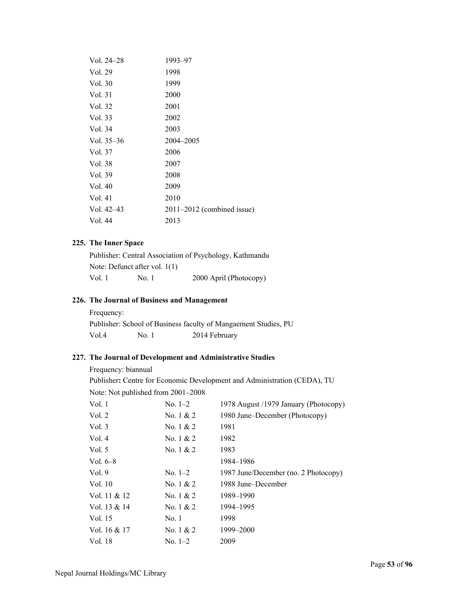| Vol. $24-28$ | 1993–97                        |
|--------------|--------------------------------|
| Vol. 29      | 1998                           |
| Vol. 30      | 1999                           |
| Vol. 31      | 2000                           |
| Vol. 32      | 2001                           |
| Vol. 33      | 2002                           |
| Vol. 34      | 2003                           |
| Vol. $35-36$ | 2004-2005                      |
| Vol. 37      | 2006                           |
| Vol. 38      | 2007                           |
| Vol. 39      | 2008                           |
| Vol. 40      | 2009                           |
| Vol. 41      | 2010                           |
| Vol. $42-43$ | $2011 - 2012$ (combined issue) |
| Vol. 44      | 2013                           |
|              |                                |

#### **225. The Inner Space**

|                                 |       | Publisher: Central Association of Psychology, Kathmandu |
|---------------------------------|-------|---------------------------------------------------------|
| Note: Defunct after vol. $1(1)$ |       |                                                         |
| Vol. 1                          | No. 1 | 2000 April (Photocopy)                                  |

#### **226. The Journal of Business and Management**

| Frequency: |       |                                                                 |
|------------|-------|-----------------------------------------------------------------|
|            |       | Publisher: School of Business faculty of Mangaement Studies, PU |
| Vol.4      | No. 1 | 2014 February                                                   |

#### **227. The Journal of Development and Administrative Studies**

#### Frequency: biannual

Publisher**:** Centre for Economic Development and Administration (CEDA), TU

Note: Not published from 2001–2008

| $No. 1-2$   | 1978 August /1979 January (Photocopy) |
|-------------|---------------------------------------|
| No. $1 & 2$ | 1980 June–December (Photocopy)        |
| No. $1 & 2$ | 1981                                  |
| No. $1 & 2$ | 1982                                  |
| No. $1 & 2$ | 1983                                  |
|             | 1984–1986                             |
| $No. 1-2$   | 1987 June/December (no. 2 Photocopy)  |
| No. $1 & 2$ | 1988 June–December                    |
| No. $1 & 2$ | 1989–1990                             |
| No. $1 & 2$ | 1994-1995                             |
| No. 1       | 1998                                  |
| No. $1 & 2$ | 1999-2000                             |
| $No. 1-2$   | 2009                                  |
|             |                                       |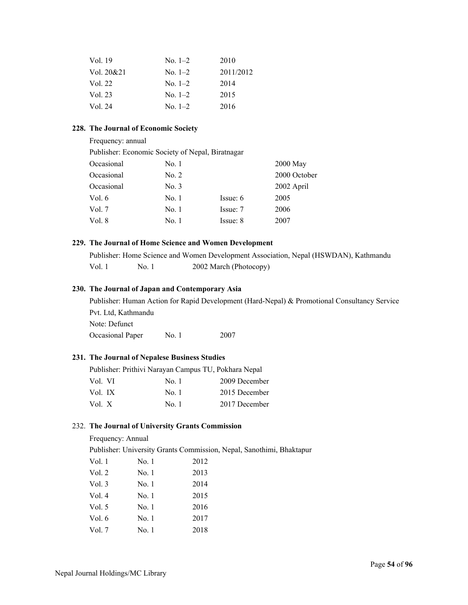| Vol. 19<br>$No. 1-2$<br>2010         |  |
|--------------------------------------|--|
| 2011/2012<br>Vol. 20&21<br>$No. 1-2$ |  |
| Vol. 22<br>2014<br>$No. 1-2$         |  |
| Vol. 23<br>2015<br>No. $1-2$         |  |
| Vol. 24<br>2016<br>$No. 1-2$         |  |

#### **228. The Journal of Economic Society**

| Frequency: annual                                |       |          |              |
|--------------------------------------------------|-------|----------|--------------|
| Publisher: Economic Society of Nepal, Biratnagar |       |          |              |
| Occasional                                       | No. 1 |          | 2000 May     |
| Occasional                                       | No. 2 |          | 2000 October |
| Occasional                                       | No. 3 |          | 2002 April   |
| Vol. $6$                                         | No. 1 | Issue: 6 | 2005         |
| Vol. $7$                                         | No. 1 | Issue: 7 | 2006         |
| Vol. 8                                           | No. 1 | Issue: 8 | 2007         |

#### **229. The Journal of Home Science and Women Development**

Publisher: Home Science and Women Development Association, Nepal (HSWDAN), Kathmandu Vol. 1 No. 1 2002 March (Photocopy)

#### **230. The Journal of Japan and Contemporary Asia**

Publisher: Human Action for Rapid Development (Hard-Nepal) & Promotional Consultancy Service Pvt. Ltd, Kathmandu Note: Defunct

Occasional Paper No. 1 2007

#### **231. The Journal of Nepalese Business Studies**

|         | Publisher: Prithivi Narayan Campus TU, Pokhara Nepal |       |               |
|---------|------------------------------------------------------|-------|---------------|
| Vol. VI |                                                      | No. 1 | 2009 December |
| Vol. IX |                                                      | No. 1 | 2015 December |
| Vol. X  |                                                      | No. 1 | 2017 December |

#### 232. **The Journal of University Grants Commission**

Frequency: Annual

Publisher: University Grants Commission, Nepal, Sanothimi, Bhaktapur

| Vol. 1 | No. 1 | 2012 |
|--------|-------|------|
| Vol. 2 | No. 1 | 2013 |
| Vol. 3 | No. 1 | 2014 |
| Vol. 4 | No. 1 | 2015 |
| Vol. 5 | No. 1 | 2016 |
| Vol. 6 | No. 1 | 2017 |
| Vol. 7 | No. 1 | 2018 |
|        |       |      |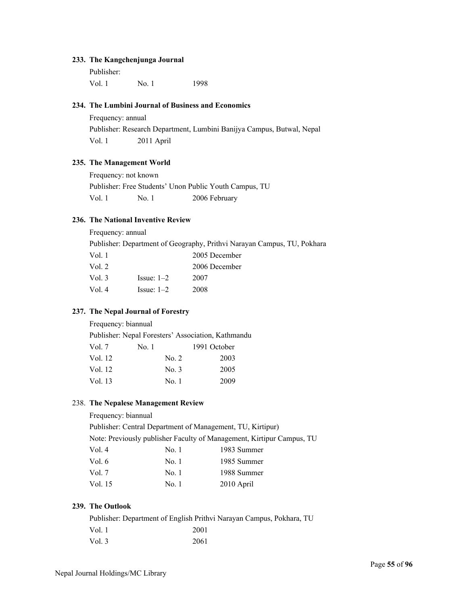#### **233. The Kangchenjunga Journal**

Publisher: Vol. 1 No. 1 1998

#### **234. The Lumbini Journal of Business and Economics**

Frequency: annual Publisher: Research Department, Lumbini Banijya Campus, Butwal, Nepal Vol. 1 2011 April

#### **235. The Management World**

Frequency: not known Publisher: Free Students' Unon Public Youth Campus, TU Vol. 1 No. 1 2006 February

#### **236. The National Inventive Review**

Frequency: annual

Publisher: Department of Geography, Prithvi Narayan Campus, TU, Pokhara

| Vol. 1   |              | 2005 December |
|----------|--------------|---------------|
| Vol. $2$ |              | 2006 December |
| Vol. $3$ | Issue: $1-2$ | 2007          |
| Vol. 4   | $Issue: 1-2$ | 2008          |
|          |              |               |

#### **237. The Nepal Journal of Forestry**

Frequency: biannual

Publisher: Nepal Foresters' Association, Kathmandu Vol. 7 No. 1 1991 October

| Vol. 12 | No. 2 | 2003 |
|---------|-------|------|
| Vol. 12 | No. 3 | 2005 |
| Vol. 13 | No. 1 | 2009 |

#### 238. **The Nepalese Management Review**

Frequency: biannual

Publisher: Central Department of Management, TU, Kirtipur) Note: Previously publisher Faculty of Management, Kirtipur Campus, TU Vol. 4 No. 1 1983 Summer Vol. 6 No. 1 1985 Summer Vol. 7 No. 1 1988 Summer Vol. 15 No. 1 2010 April

#### **239. The Outlook**

|        | Publisher: Department of English Prithvi Narayan Campus, Pokhara, TU |
|--------|----------------------------------------------------------------------|
| Vol. 1 | 2001                                                                 |
| Vol. 3 | 2061                                                                 |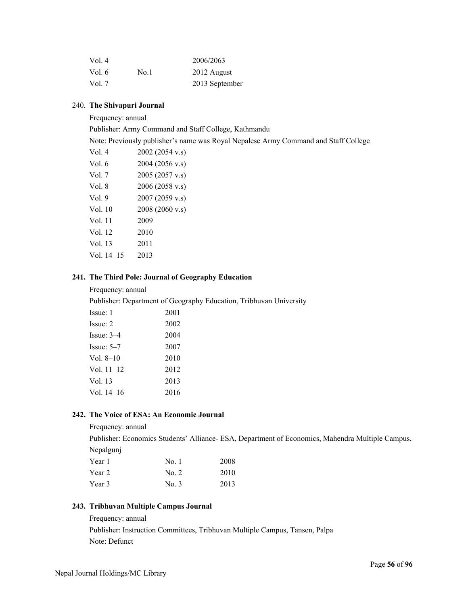| Vol. $4$ |      | 2006/2063      |
|----------|------|----------------|
| Vol. $6$ | No.1 | 2012 August    |
| Vol. $7$ |      | 2013 September |

#### 240. **The Shivapuri Journal**

Frequency: annual

Publisher: Army Command and Staff College, Kathmandu

Note: Previously publisher's name was Royal Nepalese Army Command and Staff College

| Vol. 4     | 2002 (2054 v.s) |
|------------|-----------------|
| Vol. 6     | 2004 (2056 v.s) |
| Vol. 7     | 2005 (2057 v.s) |
| Vol. 8     | 2006 (2058 v.s) |
| Vol. 9     | 2007 (2059 v.s) |
| Vol. 10    | 2008 (2060 v.s) |
| Vol. 11    | 2009            |
| Vol. 12    | 2010            |
| Vol. 13    | 2011            |
| Vol. 14–15 | 2013            |
|            |                 |

#### **241. The Third Pole: Journal of Geography Education**

Frequency: annual

Publisher: Department of Geography Education, Tribhuvan University

| Issue: 1     | 2001 |
|--------------|------|
| Issue: 2     | 2002 |
| $Issue: 3-4$ | 2004 |
| $Isque: 5-7$ | 2007 |
| Vol. $8-10$  | 2010 |
| Vol. $11-12$ | 2012 |
| Vol. 13      | 2013 |
| Vol. 14–16   | 2016 |

#### **242. The Voice of ESA: An Economic Journal**

Frequency: annual

Publisher: Economics Students' Alliance- ESA, Department of Economics, Mahendra Multiple Campus, Nepalgunj

| Year 1 | No. 1 | 2008 |
|--------|-------|------|
| Year 2 | No. 2 | 2010 |
| Year 3 | No. 3 | 2013 |

#### **243. Tribhuvan Multiple Campus Journal**

Frequency: annual Publisher: Instruction Committees, Tribhuvan Multiple Campus, Tansen, Palpa Note: Defunct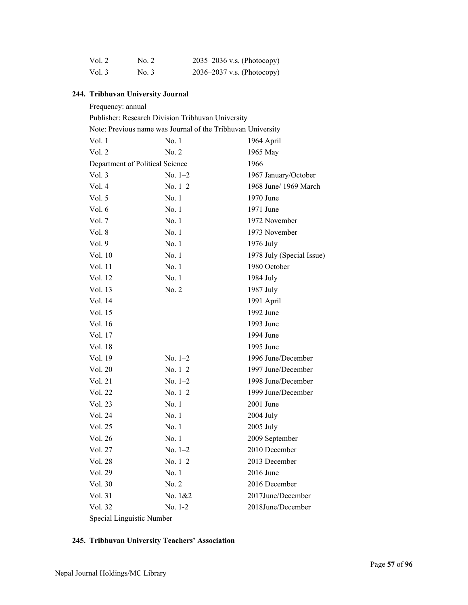| Vol. 2   | No. 2 | 2035–2036 v.s. (Photocopy) |
|----------|-------|----------------------------|
| Vol. $3$ | No. 3 | 2036–2037 v.s. (Photocopy) |

# **244. Tribhuvan University Journal**

| Frequency: annual                                           |                                                   |                           |  |
|-------------------------------------------------------------|---------------------------------------------------|---------------------------|--|
|                                                             | Publisher: Research Division Tribhuvan University |                           |  |
| Note: Previous name was Journal of the Tribhuvan University |                                                   |                           |  |
| Vol. 1                                                      | No.1                                              | 1964 April                |  |
| Vol. 2                                                      | No. 2                                             | 1965 May                  |  |
| Department of Political Science                             |                                                   | 1966                      |  |
| Vol. 3                                                      | No. $1-2$                                         | 1967 January/October      |  |
| Vol. 4                                                      | No. $1-2$                                         | 1968 June/ 1969 March     |  |
| Vol. 5                                                      | No.1                                              | 1970 June                 |  |
| Vol. $6$                                                    | No.1                                              | 1971 June                 |  |
| Vol. 7                                                      | No.1                                              | 1972 November             |  |
| Vol. 8                                                      | No.1                                              | 1973 November             |  |
| Vol.9                                                       | No.1                                              | 1976 July                 |  |
| Vol. 10                                                     | No.1                                              | 1978 July (Special Issue) |  |
| Vol. 11                                                     | No.1                                              | 1980 October              |  |
| Vol. 12                                                     | No.1                                              | 1984 July                 |  |
| Vol. 13                                                     | No. 2                                             | 1987 July                 |  |
| Vol. 14                                                     |                                                   | 1991 April                |  |
| Vol. 15                                                     |                                                   | 1992 June                 |  |
| Vol. 16                                                     |                                                   | 1993 June                 |  |
| Vol. 17                                                     |                                                   | 1994 June                 |  |
| Vol. 18                                                     |                                                   | 1995 June                 |  |
| Vol. 19                                                     | No. $1-2$                                         | 1996 June/December        |  |
| Vol. 20                                                     | No. $1-2$                                         | 1997 June/December        |  |
| Vol. 21                                                     | $No. 1-2$                                         | 1998 June/December        |  |
| Vol. 22                                                     | No. $1-2$                                         | 1999 June/December        |  |
| Vol. 23                                                     | No. 1                                             | $2001$ June               |  |
| Vol. 24                                                     | No. 1                                             | 2004 July                 |  |
| Vol. 25                                                     | No. 1                                             | 2005 July                 |  |
| Vol. 26                                                     | No. 1                                             | 2009 September            |  |
| Vol. 27                                                     | No. 1-2                                           | 2010 December             |  |
| Vol. 28                                                     | No. $1-2$                                         | 2013 December             |  |
| Vol. 29                                                     | No. 1                                             | $2016$ June               |  |
| Vol. 30                                                     | No. 2                                             | 2016 December             |  |
| Vol. 31                                                     | No. 1&2                                           | 2017June/December         |  |
| Vol. 32                                                     | $No. 1-2$                                         | 2018June/December         |  |
|                                                             |                                                   |                           |  |

Special Linguistic Number

## **245. Tribhuvan University Teachers' Association**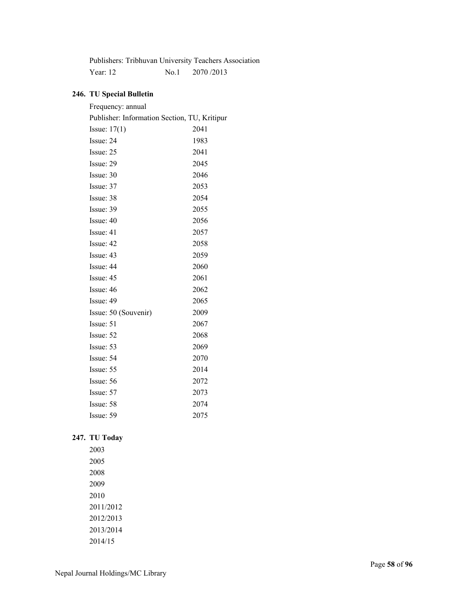|            |       | Publishers: Tribhuvan University Teachers Association |
|------------|-------|-------------------------------------------------------|
| Year: $12$ | No. 1 | 2070/2013                                             |

## **246. TU Special Bulletin**

| Frequency: annual                            |      |
|----------------------------------------------|------|
| Publisher: Information Section, TU, Kritipur |      |
| Issue: $17(1)$                               | 2041 |
| Issue: 24                                    | 1983 |
| Issue: 25                                    | 2041 |
| Issue: 29                                    | 2045 |
| Issue: 30                                    | 2046 |
| Issue: 37                                    | 2053 |
| Issue: 38                                    | 2054 |
| Issue: 39                                    | 2055 |
| Issue: 40                                    | 2056 |
| Issue: 41                                    | 2057 |
| Issue: 42                                    | 2058 |
| Issue: 43                                    | 2059 |
| Issue: 44                                    | 2060 |
| Issue: 45                                    | 2061 |
| Issue: 46                                    | 2062 |
| Issue: 49                                    | 2065 |
| Issue: 50 (Souvenir)                         | 2009 |
| Issue: 51                                    | 2067 |
| Issue: 52                                    | 2068 |
| Issue: 53                                    | 2069 |
| Issue: 54                                    | 2070 |
| Issue: 55                                    | 2014 |
| Issue: 56                                    | 2072 |
| Issue: 57                                    | 2073 |
| Issue: 58                                    | 2074 |
| Issue: 59                                    | 2075 |

## **247. TU Today**

2003 2005 2008 2009 2010 2011/2012 2012/2013 2013/2014 2014/15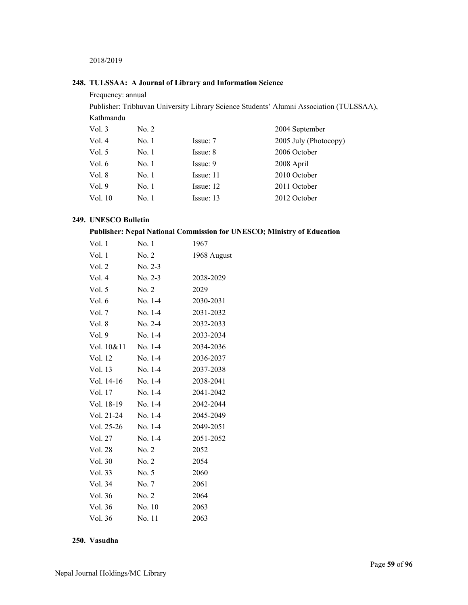2018/2019

#### **248. TULSSAA: A Journal of Library and Information Science**

Frequency: annual Publisher: Tribhuvan University Library Science Students' Alumni Association (TULSSAA), Kathmandu Vol. 3 No. 2 2004 September Vol. 4 No. 1 Issue: 7 2005 July (Photocopy) Vol. 5 No. 1 Issue: 8 2006 October Vol. 6 No. 1 Issue: 9 2008 April Vol. 8 No. 1 Issue: 11 2010 October Vol. 9 No. 1 Issue: 12 2011 October<br>
Vol. 10 No. 1 Issue: 13 2012 October Vol. 10 No. 1 Issue: 13 2012 October

#### **249. UNESCO Bulletin**

#### **Publisher: Nepal National Commission for UNESCO; Ministry of Education**

| Vol. 1     | No. 1     | 1967        |
|------------|-----------|-------------|
| Vol. 1     | No. 2     | 1968 August |
| Vol. 2     | $No. 2-3$ |             |
| Vol. 4     | $No. 2-3$ | 2028-2029   |
| Vol. 5     | No. 2     | 2029        |
| Vol. 6     | $No. 1-4$ | 2030-2031   |
| Vol. 7     | No. 1-4   | 2031-2032   |
| Vol. 8     | $No. 2-4$ | 2032-2033   |
| Vol. 9     | No. 1-4   | 2033-2034   |
| Vol. 10&11 | No. 1-4   | 2034-2036   |
| Vol. 12    | No. 1-4   | 2036-2037   |
| Vol. 13    | No. 1-4   | 2037-2038   |
| Vol. 14-16 | No. $1-4$ | 2038-2041   |
| Vol. 17    | No. $1-4$ | 2041-2042   |
| Vol. 18-19 | No. 1-4   | 2042-2044   |
| Vol. 21-24 | No. 1-4   | 2045-2049   |
| Vol. 25-26 | No. 1-4   | 2049-2051   |
| Vol. 27    | $No. 1-4$ | 2051-2052   |
| Vol. 28    | No. 2     | 2052        |
| Vol. 30    | No. 2     | 2054        |
| Vol. 33    | No. 5     | 2060        |
| Vol. 34    | No. 7     | 2061        |
| Vol. 36    | No. 2     | 2064        |
| Vol. 36    | No. 10    | 2063        |
| Vol. 36    | No. 11    | 2063        |
|            |           |             |

#### **250. Vasudha**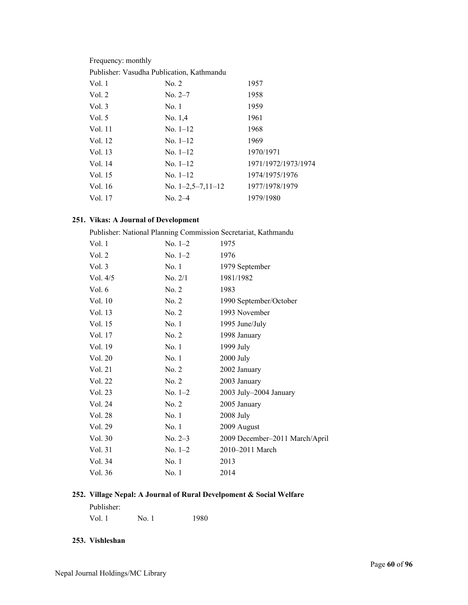Frequency: monthly

| Publisher: Vasudha Publication, Kathmandu |  |  |
|-------------------------------------------|--|--|
|-------------------------------------------|--|--|

| Vol. 1   | No. 2               | 1957                |
|----------|---------------------|---------------------|
| Vol. 2   | No. 2–7             | 1958                |
| Vol.3    | No.1                | 1959                |
| Vol. $5$ | No. $1,4$           | 1961                |
| Vol. 11  | No. $1-12$          | 1968                |
| Vol. 12  | No. $1-12$          | 1969                |
| Vol. 13  | $No. 1-12$          | 1970/1971           |
| Vol. 14  | No. $1-12$          | 1971/1972/1973/1974 |
| Vol. 15  | No. $1-12$          | 1974/1975/1976      |
| Vol. 16  | No. $1-2,5-7,11-12$ | 1977/1978/1979      |
| Vol. 17  | $No. 2-4$           | 1979/1980           |
|          |                     |                     |

## **251. Vikas: A Journal of Development**

| Publisher: National Planning Commission Secretariat, Kathmandu |           |                                |
|----------------------------------------------------------------|-----------|--------------------------------|
| Vol.1                                                          | No. $1-2$ | 1975                           |
| Vol. 2                                                         | $No. 1-2$ | 1976                           |
| Vol. 3                                                         | No.1      | 1979 September                 |
| Vol. $4/5$                                                     | No. 2/1   | 1981/1982                      |
| Vol. 6                                                         | No. 2     | 1983                           |
| Vol. 10                                                        | No. 2     | 1990 September/October         |
| Vol. 13                                                        | No. 2     | 1993 November                  |
| Vol. 15                                                        | No.1      | 1995 June/July                 |
| Vol. 17                                                        | No. 2     | 1998 January                   |
| Vol. 19                                                        | No.1      | 1999 July                      |
| Vol. 20                                                        | No.1      | 2000 July                      |
| Vol. 21                                                        | No. 2     | 2002 January                   |
| Vol. 22                                                        | No. 2     | 2003 January                   |
| Vol. 23                                                        | No. $1-2$ | 2003 July-2004 January         |
| Vol. 24                                                        | No. 2     | 2005 January                   |
| Vol. 28                                                        | No.1      | 2008 July                      |
| Vol. 29                                                        | No. 1     | 2009 August                    |
| Vol. 30                                                        | $No. 2-3$ | 2009 December-2011 March/April |
| Vol. 31                                                        | No. $1-2$ | 2010–2011 March                |
| Vol. 34                                                        | No.1      | 2013                           |
| Vol. 36                                                        | No.1      | 2014                           |

## **252. Village Nepal: A Journal of Rural Develpoment & Social Welfare**

| Publisher: |      |      |
|------------|------|------|
| Vol. 1     | No.1 | 1980 |

#### **253. Vishleshan**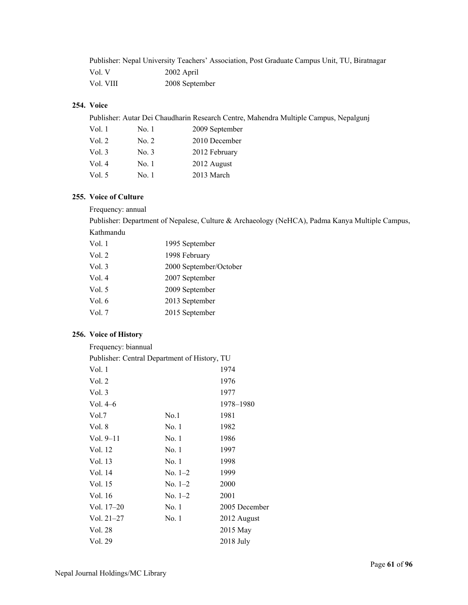|           | Publisher: Nepal University Teachers' Association, Post Graduate Campus Unit, TU, Biratnagar |
|-----------|----------------------------------------------------------------------------------------------|
| Vol. V    | 2002 April                                                                                   |
| Vol. VIII | 2008 September                                                                               |

## **254. Voice**

Publisher: Autar Dei Chaudharin Research Centre, Mahendra Multiple Campus, Nepalgunj

| Vol. 1   | No. 1 | 2009 September |
|----------|-------|----------------|
| Vol. $2$ | No. 2 | 2010 December  |
| Vol. $3$ | No. 3 | 2012 February  |
| Vol.4    | No. 1 | 2012 August    |
| Vol. $5$ | No. 1 | 2013 March     |

#### **255. Voice of Culture**

Frequency: annual

Publisher: Department of Nepalese, Culture & Archaeology (NeHCA), Padma Kanya Multiple Campus, Kathmandu

| Vol. 1 | 1995 September         |
|--------|------------------------|
| Vol. 2 | 1998 February          |
| Vol. 3 | 2000 September/October |
| Vol. 4 | 2007 September         |
| Vol. 5 | 2009 September         |
| Vol. 6 | 2013 September         |
| Vol. 7 | 2015 September         |
|        |                        |

#### **256. Voice of History**

| Frequency: biannual                          |           |               |
|----------------------------------------------|-----------|---------------|
| Publisher: Central Department of History, TU |           |               |
| Vol. 1                                       |           | 1974          |
| Vol. 2                                       |           | 1976          |
| Vol. 3                                       |           | 1977          |
| Vol. $4-6$                                   |           | 1978-1980     |
| Vol.7                                        | No.1      | 1981          |
| Vol. 8                                       | No. 1     | 1982          |
| Vol. $9-11$                                  | No. 1     | 1986          |
| Vol. 12                                      | No. 1     | 1997          |
| Vol. 13                                      | No. 1     | 1998          |
| Vol. 14                                      | $No. 1-2$ | 1999          |
| Vol. 15                                      | $No. 1-2$ | 2000          |
| Vol. 16                                      | $No. 1-2$ | 2001          |
| Vol. $17-20$                                 | No. 1     | 2005 December |
| $Vol. 21-27$                                 | No. 1     | 2012 August   |
| Vol. 28                                      |           | 2015 May      |
| Vol. 29                                      |           | 2018 July     |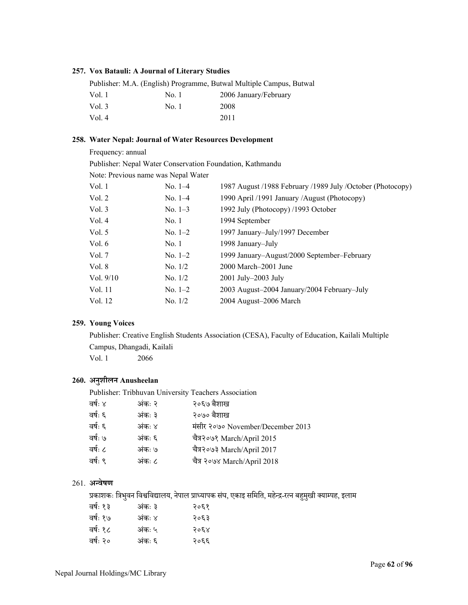#### **257. Vox Batauli: A Journal of Literary Studies**

|          |       | Publisher: M.A. (English) Programme, Butwal Multiple Campus, Butwal |
|----------|-------|---------------------------------------------------------------------|
| Vol. 1   | No. 1 | 2006 January/February                                               |
| Vol. 3   | No. 1 | 2008                                                                |
| Vol. $4$ |       | 2011                                                                |

#### **258. Water Nepal: Journal of Water Resources Development**

Frequency: annual

Publisher: Nepal Water Conservation Foundation, Kathmandu

Note: Previous name was Nepal Water

| Vol. 1    | $No. 1-4$ | 1987 August /1988 February /1989 July /October (Photocopy) |
|-----------|-----------|------------------------------------------------------------|
| Vol. 2    | $No. 1-4$ | 1990 April /1991 January /August (Photocopy)               |
| Vol. 3    | No. $1-3$ | 1992 July (Photocopy) /1993 October                        |
| Vol. 4    | No. 1     | 1994 September                                             |
| Vol. 5    | No. $1-2$ | 1997 January-July/1997 December                            |
| Vol. 6    | No.1      | 1998 January–July                                          |
| Vol. 7    | No. $1-2$ | 1999 January-August/2000 September-February                |
| Vol. 8    | No. 1/2   | 2000 March–2001 June                                       |
| Vol. 9/10 | No. $1/2$ | 2001 July-2003 July                                        |
| Vol. 11   | No. $1-2$ | 2003 August-2004 January/2004 February-July                |
| Vol. 12   | No. $1/2$ | 2004 August-2006 March                                     |
|           |           |                                                            |

#### **259. Young Voices**

Publisher: Creative English Students Association (CESA), Faculty of Education, Kailali Multiple Campus, Dhangadi, Kailali Vol. 1 2066

## **260. अनु शीलन Anusheelan**

Publisher: Tribhuvan University Teachers Association

| वर्षः ४ | अंकः २ | २०६७ बैशाख                        |
|---------|--------|-----------------------------------|
| वर्षः ६ | अंकः ३ | २०७० बैशाख                        |
| वर्षः ६ | अंकः ४ | मंसीर २०७० November/December 2013 |
| वर्षः ७ | अंकः ६ | चैत्र२०७१ March/April 2015        |
| वर्षः ८ | अंकः ७ | चैत्र२०७३ March/April 2017        |
| वर्षः ९ | अंकः ८ | चैत्र २०७४ March/April 2018       |
|         |        |                                   |

### 261. **अÆवेषण**

प्रकाशकः त्रिभुवन विश्वविद्यालय, नेपाल प्राध्यापक संघ, एकाइ समिति, महेन्द्र-रत्न बहुमुखी क्याम्पह, इलाम

| वर्षः १३ | अंकः ३ | २०६१ |
|----------|--------|------|
| वर्षः १७ | अंकः ४ | २०६३ |
| वर्षः १८ | अंकः ५ | २०६४ |
| वर्षः २० | अंकः ६ | २०६६ |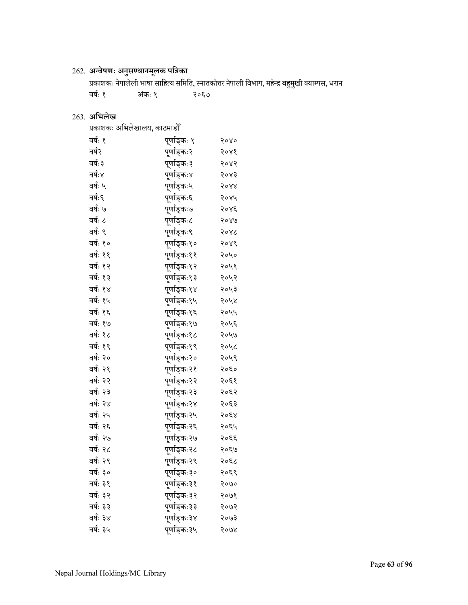## 262. **अÆवेषणः अनु सÁधानमू लक पित्रका**

प्रकाशकः नेपालेली भाषा साहित्य समिति, स्नातकोत्तर नेपाली विभाग, महेन्द्र बहुमुखी क्याम्पस, धरान वर्षः १ अंकः १ कः १ २०६७

## 263. **अिभलेख**

| प्रकाशकः अभिलेखालय, काठमाडौँ |                            |      |
|------------------------------|----------------------------|------|
| वर्षः १                      | पूर्णाङ्कः १               | २०४० |
| वर्ष२                        | पूर्णाङ्कः२                | २०४१ |
| वर्षः ३                      | पूर्णाङ्कः३                | २०४२ |
| वर्षः४                       | पूर्णाङ्कः४                | २०४३ |
| वर्षः ५                      | पूर्णाङ्कः५                | 5088 |
| वर्षः६                       | पूर्णाङ्कः६                | २०४५ |
| वर्षः ७                      | पूर्णाङ्कः७                | २०४६ |
| वर्षः ८                      | पूर्णाङ्कः८                | २०४७ |
| वर्षः ९                      | पूर्णाङ्कः९                | २०४८ |
| वर्षः १०                     | पूर्णाङ्कः१०               | २०४९ |
| वर्षः ११                     | पूर्णाङ्कः११               | २०५० |
| वर्षः १२                     | पूर्णाङ्कः१२               | २०५१ |
| वर्षः १३                     | पूर्णाङ्कः१३               | २०५२ |
| वर्षः १४                     | पूर्णाङ्कः१४               | २०५३ |
| वर्षः १५                     | पूर्णाङ्कः१५               | २०५४ |
| वर्षः १६                     | पूर्णाङ्कः१६               | २०५५ |
| वर्षः १७                     | पूर्णाङ्कः१७               | २०५६ |
| वर्षः १८                     | पूर्णाङ्कः१ <mark>८</mark> | २०५७ |
| वर्षः १९                     | पूर्णाङ्कः१९               | २०५८ |
| वर्षः २०                     | पूर्णाङ्कः२०               | २०५९ |
| वर्षः २१                     | पूर्णाङ्कः२१               | २०६० |
| वर्षः २२                     | पूर्णाङ्कः२२               | २०६१ |
| वर्षः २३                     | पूर्णाङ्कः२३               | २०६२ |
| वर्षः २४                     | पूर्णाङ्कः२४               | २०६३ |
| वर्षः २५                     | पूर्णाङ्कः२५               | २०६४ |
| वर्षः २६                     | पूर्णाङ्कः२६               | २०६५ |
| वर्षः २७                     | पूर्णाङ्कः२७               | २०६६ |
| वर्षः २८                     | पूर्णाङ्कः२८               | २०६७ |
| वर्षः २९                     | पूर्णाङ्कः२९               | २०६८ |
| वर्षः ३०                     | पूर्णाङ्कः३०               | २०६९ |
| वर्षः ३१                     | पूर्णाङ्कः३१               | २०७० |
| वर्षः ३२                     | पूर्णाङ्कः३२               | २०७१ |
| वर्षः ३३                     | पूर्णाङ्कः ३३              | २०७२ |
| वर्षः ३४                     | पूर्णाङ्कः३४               | २०७३ |
| वर्षः ३५                     | पूर्णाङ्कः३५               | २०७४ |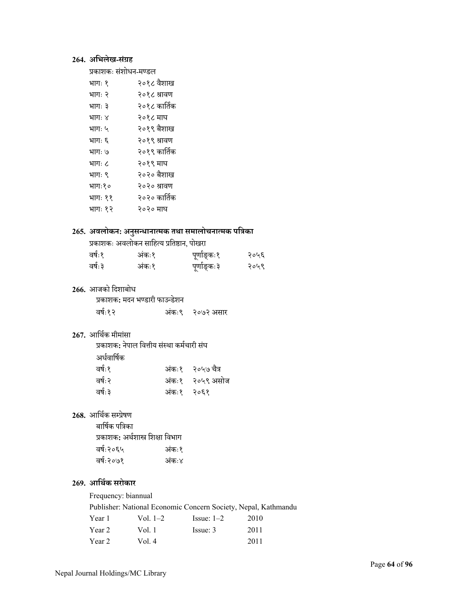## **264. अिभलेख-सं ग्रह**

| प्रकाशकः संशोधन-मण्डल |  |
|-----------------------|--|
|                       |  |

| भागः १  | २०१८ वैशाख   |
|---------|--------------|
| भागः २  | २०१८ श्रावण  |
| भागः ३  | २०१८ कार्तिक |
| भागः ४  | २०१८ माघ     |
| भागः ५  | २०१९ बैशाख   |
| भागः ६  | २०१९ श्रावण  |
| भागः ७  | २०१९ कार्तिक |
| भागः ८  | २०१९ माघ     |
| भागः ९  | २०२० बैशाख   |
| भागः१०  | २०२० श्रावण  |
| भागः ११ | २०२० कार्तिक |
| भागः १२ | २०२० माघ     |
|         |              |

## **265. अवलोकन: अनु सÆधानाÂमक तथा समालोचनाÂमक पित्रका**

| प्रकाशकः अवलोकन साहित्य प्रतिष्ठान, पोखरा |  |  |
|-------------------------------------------|--|--|
|                                           |  |  |

| वर्षः१  | अंकः१ | पूर्णाङ्कः१ | २०५६ |
|---------|-------|-------------|------|
| वर्षः ३ | अंकः१ | पूर्णाङ्कः३ | २०५९ |

## **266.** आजको िदशाबोध

| प्रकाशक: मदन भण्डारी फाउन्डेशन |                 |
|--------------------------------|-----------------|
| वर्षः१२                        | अंकः९ २०७२ असार |

## 267. आर्थिक मीमांसा

| प्रकाशक: नेपाल वित्तीय संस्था कर्मचारी संघ |            |                  |
|--------------------------------------------|------------|------------------|
| अर्धवार्षिक                                |            |                  |
| वर्षः१                                     |            | अंकः१ २०५७ चैत्र |
| वर्षः २                                    |            | अंकः१ २०५९ असोज  |
| वर्षः ३                                    | अंकः१ २०६१ |                  |

## 268. आर्थिक सम्प्रेषण

| प्रकाशक: अर्थशास्त्र शिक्षा विभाग |
|-----------------------------------|
| अंकः१                             |
| अंक:४                             |
|                                   |

## **269. आिथर्क सरोकार**

#### Frequency: biannual

Publisher: National Economic Concern Society, Nepal, Kathmandu<br>
Year 1 Vol. 1–2 Issue: 1–2 2010 Year 1 Vol. 1–2 Issue: 1–2 2010

| I VUL I | , v., . 2 | $100uv + 1$ | $\sim$ $\sim$ |
|---------|-----------|-------------|---------------|
| Year 2  | Vol. 1    | Issue: 3    | 2011          |
| Year 2  | Vol. $4$  |             | 2011          |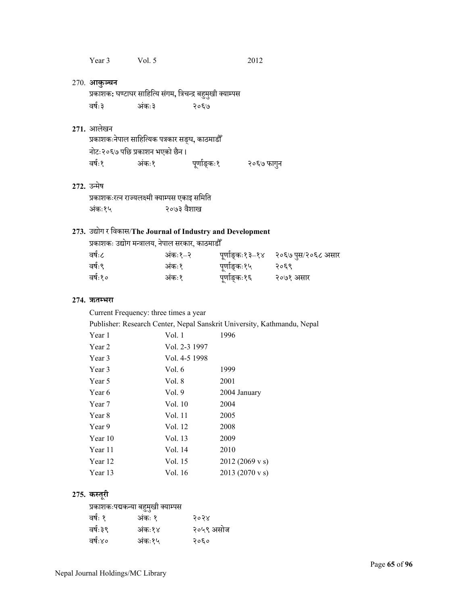| Year 3 | Vol. $5$ | 2012 |
|--------|----------|------|
|        |          |      |

#### 270. **आकु¼चन**

प्रकाशक**:** घण्टाघर साहित्यि संगम, त्रिचन्द्र बहुमुखी क्याम्पस वर्षः३ कः३ २०६७

#### **271.** आलेखन

|        |                                | प्रकाशकःनेपाल साहित्यिक पत्रकार सङ्घ, काठमाडौँ |            |
|--------|--------------------------------|------------------------------------------------|------------|
|        | नोटः२०६७ पछि प्रकाशन भएको छैन। |                                                |            |
| वर्षः१ | अंकः१                          | पूर्णाङ्कः१                                    | २०६७ फागुन |

### 272. उन्मेष

प्रकाशकःरत्न राज्यलक्ष्मी क्याम्पस एकाइ समिति अंकः१५ २०७३ वैशाख

## **273.** उद्योग र िवकास/**The Journal of Industry and Development**

| प्रकाशकः उद्योग मन्त्रालय, नेपाल सरकार, काठमाडौँ |        |              |                                    |
|--------------------------------------------------|--------|--------------|------------------------------------|
| वर्षः८                                           | अकः१–२ |              | पूर्णाङ्कः१३–१४ २०६७ पुस/२०६८ असार |
| वर्षः९                                           | अंकः१  | पूर्णाङ्कः१५ | २०६९                               |
| वर्षः१०                                          | अंकः१  | पूर्णाङ्कः१६ | २०७१ असार                          |

#### **274. ऋतÌभरा**

Current Frequency: three times a year

Publisher: Research Center, Nepal Sanskrit University, Kathmandu, Nepal

| Year 1  | Vol. 1        | 1996                     |
|---------|---------------|--------------------------|
| Year 2  | Vol. 2-3 1997 |                          |
| Year 3  | Vol. 4-5 1998 |                          |
| Year 3  | Vol. 6        | 1999                     |
| Year 5  | Vol. 8        | 2001                     |
| Year 6  | Vol.9         | 2004 January             |
| Year 7  | Vol. 10       | 2004                     |
| Year 8  | Vol. 11       | 2005                     |
| Year 9  | Vol. 12       | 2008                     |
| Year 10 | Vol. 13       | 2009                     |
| Year 11 | Vol. 14       | 2010                     |
| Year 12 | Vol. 15       | $2012(2069 \text{ v s})$ |
| Year 13 | Vol. 16       | 2013 (2070 v s)          |

#### **275.** कस्तूरी

## प्रकाशकःपद्मकन्या बहुमुखी क्याम्पस

| वर्षः १ | अंकः १ | २०२४      |
|---------|--------|-----------|
| वर्षः३९ | अंकः१४ | २०५९ असोज |
| वर्षः४० | अंकः१५ | २०६०      |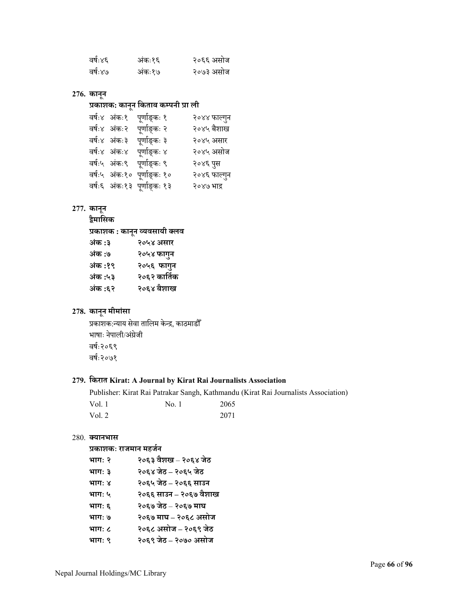| वर्षः४६ | अंकः१६ | २०६६ असोज |
|---------|--------|-----------|
| वर्षः४७ | अंकः१७ | २०७३ असोज |

## **276. कानू न**

## **प्रकाशक: कानू न िकताब कÌपनी प्रा ली**

| वर्षः४ अंकः१ | पूर्णाङ्कः १                | २०४४ फाल्गुन |
|--------------|-----------------------------|--------------|
| वर्षः४ अंकः२ | पूर्णाङ्कः २                | २०४५ बैशाख   |
| वर्षः४ अंकः३ | पूर्णाङ्कः ३                | २०४५ असार    |
| वर्षः४ अंकः४ | पूर्णाङ्कः ४                | २०४५ असोज    |
|              | वर्षः५ अंकः९ पूर्णाङ्कः ९   | २०४६ पुस     |
|              | वर्षः५ अंकः१० पूर्णाङ्कः १० | २०४६ फाल्गुन |
|              | वर्षः६ अंकः१३ पूर्णाङ्कः१३  | २०४७ भाद्र   |
|              |                             |              |

## **277. कानू न**

**द्वैमािसक**

**प्रकाशक : कानू न Óयवसायी क्लव**

| अंक :३  | २०५४ असार    |
|---------|--------------|
| अंक :७  | २०५४ फागुन   |
| अंक :१९ | २०५६ फागुन   |
| अंक :५३ | २०६२ कार्तिक |
| अंक :६२ | २०६४ बैशाख   |
|         |              |

## **278. कानू न मीमां सा**

प्रकाशक:न्याय सेवा तालिम केन्द्र, काठमाडौँ भाषाः नेपाली/अंग्रेज<mark>ी</mark> वषर्ः२०६९ वषर्ः२०७१

## **279. िकरात Kirat: A Journal by Kirat Rai Journalists Association**

Publisher: Kirat Rai Patrakar Sangh, Kathmandu (Kirat Rai Journalists Association) Vol. 1 No. 1 2065 Vol. 2 2071

#### 280. **क्यानभास**

## **प्रकाशकः राजमान महजर्न**

| भागः २ | २०६३ वैशख – २०६४ जेठ   |
|--------|------------------------|
| भागः ३ | २०६४ जेठ – २०६५ जेठ    |
| भागः ४ | २०६५ जेठ – २०६६ साउन   |
| भागः ५ | २०६६ साउन – २०६७ वैशाख |
| भागः ६ | २०६७ जेठ – २०६७ माघ    |
| भागः ७ | २०६७ माघ – २०६८ असोज   |
| भागः ८ | २०६८ असोज – २०६९ जेठ   |
| भागः ९ | २०६९ जेठ – २०७० असोज   |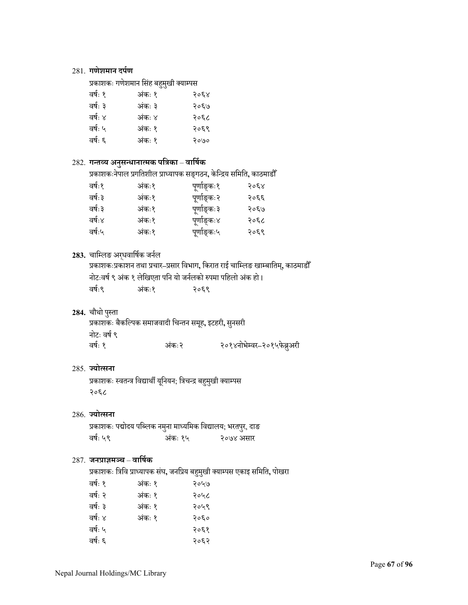#### 281. **गणेशमान दपर्ण**

## प्रकाशकः गणेशमान सिंह बहुमुखी क्याम्पस

| वर्षः १ | अंकः १ | २०६४ |
|---------|--------|------|
| वर्षः ३ | अंकः ३ | २०६७ |
| वर्षः ४ | अंकः ४ | २०६८ |
| वर्षः ५ | अंकः १ | २०६९ |
| वर्षः ६ | अंकः १ | २०७० |
|         |        |      |

## 282. **गÆतÓय अनु सÆधानाÂमक पित्रका**– **वािषर्क**

प्रकाशकःनेपाल प्रगितशील प्राÅयापक सङ्गठन**,** केिÆद्रय सिमित**,** काठमाडौँ

| वर्षः१  | अंकः१ | पूर्णाङ्कः१ | २०६४ |
|---------|-------|-------------|------|
| वर्षः ३ | अंकः१ | पूर्णाङ्कः२ | २०६६ |
| वर्षः ३ | अंकः१ | पूर्णाङ्कः३ | २०६७ |
| वर्षः४  | अंकः१ | पूर्णाङ्कः४ | २०६८ |
| वर्षः५  | अंकः१ | पूर्णाङ्कः५ | २०६९ |
|         |       |             |      |

#### 283. चाम्लिङ अरधवार्षिक जर्नल

प्रकाशकःप्रकाशन तथा प्रचार**–**प्रसार िवभाग**,** िकरात राई चािÌलङ खाÌबाितम**,** ्काठमाडौँ नोटःवर्ष ९ अंक १ लेखिएता पनि यो जर्नलको रुपमा पहिलो अंक हो <mark>।</mark> वषर्ः९ अं कः१ २०६९

## 284. चौथो पुस्ता

| चौथो पुस्ता |                                                       |                            |
|-------------|-------------------------------------------------------|----------------------------|
|             | प्रकाशकः बैकल्पिक समाजवादी चिन्तन समूह, इटहरी, सुनसरी |                            |
| नोटः वर्ष ९ |                                                       |                            |
| वर्षः १     | अंकः२                                                 | २०१४नोभेम्वर–२०१५फेब्रुअरी |

#### 285. **ºयोÂसना**

प्रकाशकः स्वतन्त्र विद्यार्थी यूनियन; त्रिचन्द्र बहुमुखी क्याम्पस २०६८

#### 286. **ºयोÂसना**

प्रकाशकः पद्मोदय पब्लिक नमुना माध्यमिक विद्यालय; भरतपुर, दाङ वर्षः ५९ कः १५ २०७४ असार

## 287. **जनप्राज्ञम¼च** – **वािषर्क**

प्रकाशकः त्रिवि प्राध्यापक संघ, जनप्रिय बहुमुखी क्याम्पस एकाइ समिति, पोखरा

| वर्षः १ | अंकः १ | २०५७ |
|---------|--------|------|
| वर्षः २ | अंकः १ | २०५८ |
| वर्षः ३ | अंकः १ | २०५९ |
| वर्षः ४ | अंकः १ | २०६० |
| वर्षः ५ |        | २०६१ |
| वर्षः ६ |        | २०६२ |
|         |        |      |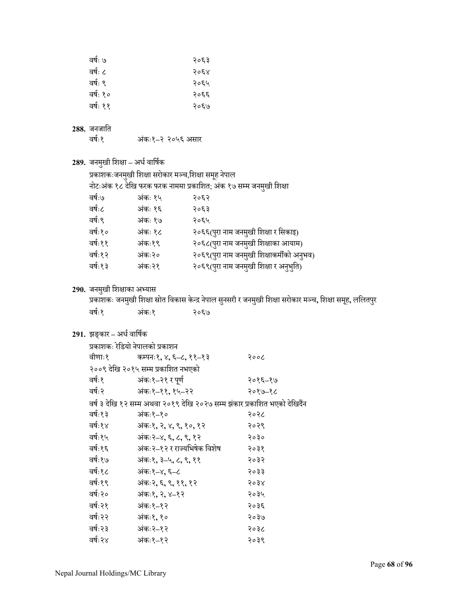| वर्षः ७  | २०६३ |
|----------|------|
| वर्षः ८  | २०६४ |
| वर्षः ९  | २०६५ |
| वर्षः १० | २०६६ |
| वर्षः ११ | २०६७ |

# **288.** जनजाित

वषर्ः१ अं कः१**–**२ २०५६ असार

**289.** जनमखी ु िशक्षा **–** अधर्वािषर्क

प्रकाशकःजनमुखी शिक्षा सरोकार मञ्च,शिक्षा समूह नेपाल<br>-

नोटःअंक १८ देखि फरक फरक नाममा प्रकाशित; अंक १७ सम्म जनमुखी शिक्षा<br>'

| वर्षः७   | अंकः १५ | २०६२                                      |
|----------|---------|-------------------------------------------|
| वर्षः८   | अंकः १६ | २०६३                                      |
| वर्षः९   | अंकः १७ | २०६५                                      |
| वर्षः१०  | अंकः १८ | २०६६(पुरा नाम जनमुखी शिक्षा र सिकाइ)      |
| वर्षः११  | अंकः१९  | २०६८(पुरा नाम जनमुखी शिक्षाका आयाम)       |
| वर्षः१२  | अंकः२०  | २०६९(पुरा नाम जनमुखी शिक्षाकर्मीको अनुभव) |
| वर्षः १३ | अंकः २१ | २०६९(पुरा नाम जनमुखी शिक्षा र अनुभुति)    |
|          |         |                                           |

## 290. जनमुखी शिक्षाका अभ्यास

प्रकाशकः जनमुखी शिक्षा स्रोत विकास केन्द्र नेपाल सुनसरी र जनमुखी शिक्षा सरोकार मञ्च, शिक्षा समूह, ललितपुर ु वर्षः१ अंकः१ कः१ २०६७

## **291.** झङ्कार**–** अधर्वािषर्क

| प्रकाशकः रेडियो नेपालको प्रकाशन |                                                                           |         |  |  |
|---------------------------------|---------------------------------------------------------------------------|---------|--|--|
| वीणाः१                          | कम्पनः१, ४, ६–८, ११–१३                                                    | २००८    |  |  |
|                                 | २००९ देखि २०१५ सम्म प्रकाशित नभएको                                        |         |  |  |
| वर्षः १                         | अंकः१-२१ र पूर्ण                                                          | २०१६–१७ |  |  |
| वर्षः २                         | अंकः१–११,१५–२२                                                            | २०१७–१८ |  |  |
|                                 | वर्ष ३ देखि १२ सम्म अथवा २०१९ देखि २०२७ सम्म झंकार प्रकाशित भएको देखिदैंन |         |  |  |
| वर्षः१३                         | अंकः१–१०                                                                  | २०२८    |  |  |
| वर्षः१४                         | अंकः१, २, ४, ९, १०, १२                                                    | २०२९    |  |  |
| वर्षः१५                         | अंकः२–४, ६, ८, ९, १२                                                      | २०३०    |  |  |
| वर्षः१६                         | अंकः २–१२ र राज्यभिषेक विशेष                                              | २०३१    |  |  |
| वर्षः१७                         | अंकः१, ३–५, ८, ९, ११                                                      | २०३२    |  |  |
| वर्षः१८                         | अंकः१–४, ६–८                                                              | २०३३    |  |  |
| वर्षः१९                         | अंकः२, ६, ९, ११, १२                                                       | २०३४    |  |  |
| वर्षः२०                         | अंकः१, २, ४–१२                                                            | २०३५    |  |  |
| वर्षः २१                        | अंकः१–१२                                                                  | २०३६    |  |  |
| वर्षः २२                        | अंकः१,१०                                                                  | २०३७    |  |  |
| वर्षः २३                        | अंकः २–१२                                                                 | २०३८    |  |  |
| वर्षः२४                         | अंकः१–१२                                                                  | २०३९    |  |  |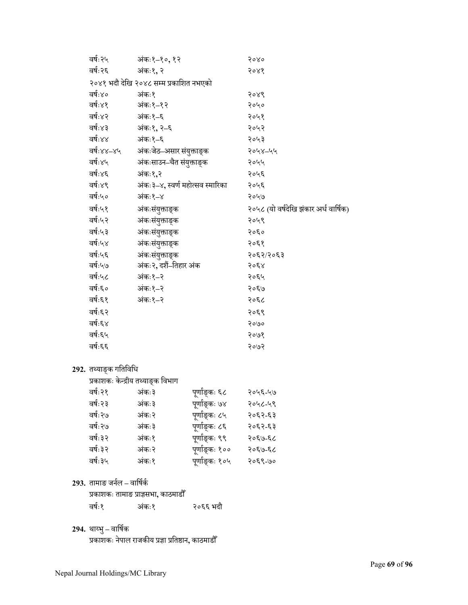| वर्षः २५   | अंकः१–१०,१२                            | २०४०                                  |
|------------|----------------------------------------|---------------------------------------|
| वर्षः २६   | अंकः१, २                               | २०४१                                  |
|            | २०४१ भदौ देखि २०४८ सम्म प्रकाशित नभएको |                                       |
| वर्षः४०    | अंकः१                                  | २०४९                                  |
| वर्षः४१    | अंकः१–१२                               | २०५०                                  |
| वर्षः४२    | अंकः१–६                                | २०५१                                  |
| वर्षः४३    | अंकः१, २–६                             | २०५२                                  |
| वर्षः४४    | अंकः१–६                                | २०५३                                  |
| वर्षः४४–४५ | अंकःजेठ–असार संयुक्ताङ्क               | २०५४-५५                               |
| वर्षः४५    | अंकःसाउन–चैत संयुक्ताङ्क               | २०५५                                  |
| वर्षः४६    | अंकः१,२                                | २०५६                                  |
| वर्षः४९    | अंकः ३–४, स्वर्ण महोत्सव स्मारिका      | २०५६                                  |
| वर्षः५०    | अंकः१–४                                | २०५७                                  |
| वर्षः५१    | अंकःसंयुक्ताङ्क                        | २०५८ (यो वर्षदेखि झंकार अर्ध वार्षिक) |
| वर्षः५२    | अंकःसंयुक्ताङ्क                        | २०५९                                  |
| वर्षः५३    | अंकःसंयुक्ताङ्क                        | २०६०                                  |
| वर्षः५४    | अंकःसंयुक्ताङ्क                        | २०६१                                  |
| वर्षः५६    | अंकःसंयुक्ताङ्क                        | २०६२/२०६३                             |
| वर्षः५७    | अंकः२, दशैं–तिहार अंक                  | २०६४                                  |
| वर्षः५८    | अंकः१–२                                | २०६५                                  |
| वर्षः६०    | अंकः१–२                                | २०६७                                  |
| वर्षः६१    | अंकः१–२                                | २०६८                                  |
| वर्षः६२    |                                        | २०६९                                  |
| वर्षः६४    |                                        | २०७०                                  |
| वर्षः६५    |                                        | २०७१                                  |
| वर्षः६६    |                                        | २०७२                                  |
|            |                                        |                                       |

# 292. तथ्याङ्क गतिविधि<br>प्र<u>काशक</u>ः केन्टीय व

|  | प्रकाशकः केन्द्रीय तथ्याङक विभाग |  |
|--|----------------------------------|--|

|          | प्रकाशकः केन्द्रीय तथ्याङ्क विभाग |                |         |
|----------|-----------------------------------|----------------|---------|
| वर्षः २१ | अंकः३                             | पूर्णाङ्कः ६८  | २०५६-५७ |
| वर्षः २३ | अंकः३                             | पूर्णाङ्कः ७४  | २०५८-५९ |
| वर्षः २७ | अंकः२                             | पूर्णाङ्कः ८५  | २०६२-६३ |
| वर्षः २७ | अंकः३                             | पूर्णाङ्कः ८६  | २०६२-६३ |
| वर्षः ३२ | अंकः१                             | पूर्णाङ्कः ९९  | २०६७-६८ |
| वर्षः ३२ | अंकः२                             | पूर्णाङ्कः १०० | २०६७-६८ |
| वर्षः ३५ | अंकः१                             | पूर्णाङ्कः १०५ | २०६९-७० |
|          |                                   |                |         |

**293.** तामाङ जनर्ल **–** वािषर्कर्

## प्रकाशकः तामाङ प्राज्ञसभा**,** काठमाडौँ

| वर्षः१ | अंकः१ | २०६६ भदौ |
|--------|-------|----------|
|        |       |          |

294. थाय्भु – वार्षिक प्रकाशकः नेपाल राजकीय प्रज्ञा प्रितķान**,** काठमाडौँ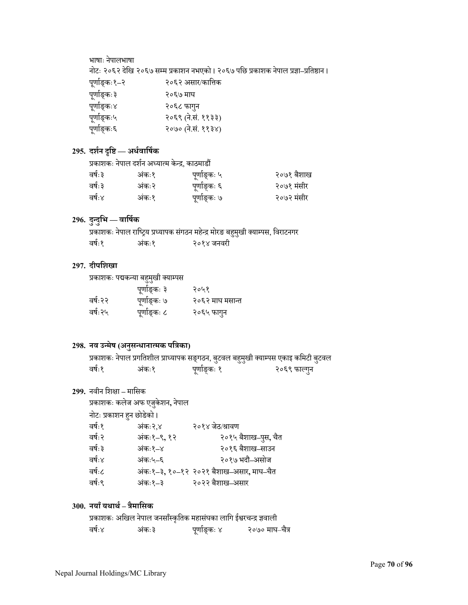भाषाः नेपालभाषा

नोटः २०६२ दिखे २०६७ सÌम प्रकाशन नभएको । २०६७ पिछ प्रकाशक नेपाल प्रज्ञा**–**प्रितķान ।

| पूर्णाङ्कः१–२ | २०६२ असार/कात्तिक  |
|---------------|--------------------|
| पूर्णाङ्कः३   | २०६७ माघ           |
| पूर्णाङ्कः४   | २०६८ फागुन         |
| पूर्णाङ्कः५   | २०६९ (ने.सं. ११३३) |
| पूर्णाङ्कः६   | २०७० (ने.सं. ११३४) |

## **295. दशर्न ŀिĶ — अधर्वािषर्क**

|         | प्रकाशकः नेपाल दर्शन अध्यात्म केन्द्र, काठमाडौं |              |            |
|---------|-------------------------------------------------|--------------|------------|
| वर्षः ३ | अंकः१                                           | पूर्णाङ्कः ५ | २०७१ बैशाख |
| वर्षः ३ | अंकः२                                           | पूर्णाङ्कः ६ | २०७१ मंसीर |
| वर्षः४  | अंकः१                                           | पूर्णाङ्कः ७ | २०७२ मंसीर |

## **296. दुÆदुिभ — वािषर्क**

प्रकाशकः नेपाल राष्ट्रिय प्रध्यापक संगठन महेन्द्र मोरङ बहुमुखी क्याम्पस, विराटनगर वर्षः१ अंकः१ २०१४ जनवरी

### **297. दीपिशखा**

प्रकाशकः पद्मकन्या बहुमुखी क्याम्पस

|          | पूर्णाङ्कः ३ | २०५१            |
|----------|--------------|-----------------|
| वर्षः२२  | पूर्णाङ्कः ७ | २०६२ माघ मसान्त |
| वर्षः २५ | पूर्णाङ्कः ८ | २०६५ फागुन      |

## **298. नव उÆमेष (अनु सÆधानाÂमक पित्रका)**

प्रकाशकः नेपाल प्रगतिशील प्राध्यापक सङ्गठन, बुटवल बहुमुखी क्याम्पस एकाइ कमिटी बुटवल वर्षः१ कः१ पूर्णाङ्कः १ २०६९ फाल्गुन

## **299.** नवीन िशक्षा **–** मािसक

|                          | प्रकाशकः कलेज अफ एजुकेशन, नेपाल |                                         |
|--------------------------|---------------------------------|-----------------------------------------|
| नोटः प्रकाशन हुन छोडेको। |                                 |                                         |
| वर्षः१                   | अंकः२.४                         | २०१४ जेठ/श्रावण                         |
| वर्षः २                  | अंकः१-९,१२                      | २०१५ बैशाख-पुस, चैत                     |
| वर्षः ३                  | अंकः१–४                         | २०१६ बैशाख–साउन                         |
| वर्षः४                   | अंकः५–६                         | २०१७ भदौ–असोज                           |
| वर्षः८                   |                                 | अंकः१–३, १०–१२ २०२१ बैशाख–असार, माघ–चैत |
| वर्षः९                   | अंकः१–३                         | २०२२ बैशाख–असार                         |
|                          |                                 |                                         |

## **300. नयाँयथाथर् – त्रैमािसक**

|        |       |              | प्रकाशकः अखिल नेपाल जनसाँस्कृतिक महासंघका लागि ईश्वरचन्द्र ज्ञवाली |                |
|--------|-------|--------------|--------------------------------------------------------------------|----------------|
| वर्षः४ | अंकः३ | पूर्णाङ्कः ४ |                                                                    | २०७० माघ–चैत्र |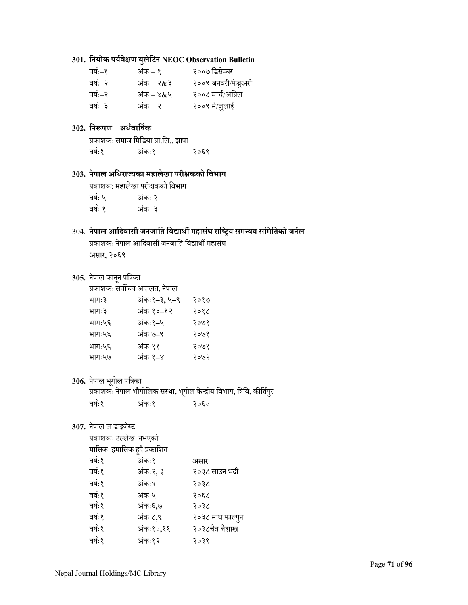## **301. िनयोक पयर्वेक्षण बु लेिटन NEOC Observation Bulletin**

| २००७ डिसेम्बर        |
|----------------------|
| २००९ जनवरी/फेब्रुअरी |
| २००८ मार्च/अप्रिल    |
| २००९ मे/जुलाई        |
|                      |

## **302. िनłपण – अधर्वािषर्क**

```
प्रकाशकः समाज मिडिया प्रा.लि., झापा<br>वर्षः१
वषर्ः१ अं
कः१ २०६९
```
## **303. नेपाल अिधराºयका महालेखा परीक्षकको िवभाग**

प्रकाशक: महालेखा परीक्षकको िवभाग वर्षः ५ कः २ वर्षः १ कः ३

## 304. **नेपाल आिदवासी जनजाित िवद्याथीर् महासं घ रािÕट्रय समÆवय सिमितको जनर्ल**

प्रकाशकः नेपाल आदिवासी जनजाति विद्यार्थी महासंघ असार, २०६९

# **305.** नेपाल काननू पित्रका

| प्रकाशकः सर्वोच्च अदालत, नेपाल |             |      |
|--------------------------------|-------------|------|
| भागः ३                         | अंकः१–३,५–९ | २०१७ |
| भागः ३                         | अंकः१०–१२   | २०१८ |
| भागः५६                         | अंकः१–५     | २०७१ |
| भागः५६                         | अंकः७–९     | २०७१ |
| भागः५६                         | अंकः११      | २०७१ |
| भागः५७                         | अंकः१–४     | २०७२ |
|                                |             |      |

## 306. नेपाल भूगोल पत्रिका

प्रकाशकः नेपाल भौगोिलक सÖथा ं **,** भगोलू केÆद्रीय िवभाग**,** ित्रिव**,** कीितर्पर ु

| वर्षः१ | अंकः१ | २०६० |
|--------|-------|------|
|        |       |      |

## 307. नेपाल ल डाइजेस्ट

प्रकाशकः उल्लेख नभएको

|        | मासिक  द्वमासिक हुदै प्रकाशित |                  |
|--------|-------------------------------|------------------|
| वर्षः१ | अंकः१                         | असार             |
| वर्षः१ | अंकः२, ३                      | २०३८ साउन भदौ    |
| वर्षः१ | अंकः४                         | २०३८             |
| वर्षः१ | अंकः५                         | २०६८             |
| वर्षः१ | अंकः६,७                       | २०३८             |
| वर्षः१ | अंकः८,९                       | २०३८ माघ फाल्गुन |
| वर्षः१ | अंकः१०,११                     | २०३८चैत्र बैशाख  |
| वर्षः१ | अंकः१२                        | २०३९             |
|        |                               |                  |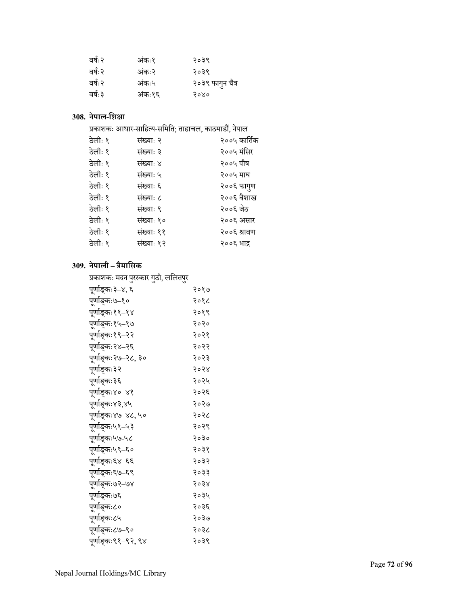| वर्षः २ | अंकः१  | २०३९             |
|---------|--------|------------------|
| वर्षः २ | अंकः२  | २०३९             |
| वर्षः २ | अंकः५  | २०३९ फागुन चैत्र |
| वर्षः ३ | अंकः१६ | २०४०             |

## **308. नेपाल-िशक्षा**

|                                 | प्रकाशकः आधार-साहित्य-समिति; ताहाचल, काठमाडौं, नेपाल |         |
|---------------------------------|------------------------------------------------------|---------|
| $\frac{1}{2}$ and $\frac{1}{2}$ | ਾਂਸਕਾ: ੨                                             | 2001.75 |

| ठेलीः १ | संख्याः २  | २००५ कार्तिक |
|---------|------------|--------------|
| ठेलीः १ | संख्याः ३  | २००५ मंसिर   |
| ठेलीः १ | संख्याः ४  | २००५ पौष     |
| ठेलीः १ | संख्याः ५  | २००५ माघ     |
| ठेलीः १ | संख्याः ६  | २००६ फागुण   |
| ठेलीः १ | संख्याः ८  | २००६ वैशाख   |
| ठेलीः १ | संख्याः ९  | २००६ जेठ     |
| ठेलीः १ | संख्याः १० | २००६ असार    |
| ठेलीः १ | संख्याः ११ | २००६ श्रावण  |
| ठेलीः १ | संख्याः १२ | २००६ भाद्र   |
|         |            |              |

## **309. नेपाली – त्रैमािसक**

## प्रकाशकः मदन पुरस्कार गुठी, ललितपुर

| पूर्णाङ्कः३–४, <mark>६</mark> | २०१७ |
|-------------------------------|------|
| पूर्णाङ्कः७–१०                | २०१८ |
| पूर्णाङ्कः११–१४               | २०१९ |
| पूर्णाङ्कः१५–१७               | २०२० |
| पूर्णाङ्कः१९–२२               | २०२१ |
| पूर्णाङ्कः२४–२६               | २०२२ |
| पूर्णाङ्कः२७–२८, ३०           | २०२३ |
| पूर्णाङ्कः३२                  | २०२४ |
| पूर्णाङ्कः३६                  | २०२५ |
| पूर्णाङ्कः४०–४१               | २०२६ |
| पूर्णाङ्कः४३,४५               | २०२७ |
| पूर्णाङ्कः४७–४८, ५०           | २०२८ |
| पूर्णाङ्कः५१–५३               | २०२९ |
| पूर्णाङ्कः५७-५८               | २०३० |
| पूर्णाङ्कः५९–६०               | २०३१ |
| पूर्णाङ्कः६४–६६               | २०३२ |
| पूर्णाङ्कः६७–६९               | २०३३ |
| पूर्णाङ्कः७२–७४               | २०३४ |
| पूर्णाङ्कः७६                  | २०३५ |
| पूर्णाङ्कः८०                  | २०३६ |
| पूर्णाङ्कः८५                  | २०३७ |
| पूर्णाङ्कः८७–९०               | २०३८ |
| पूर्णाङ्कः९१–९२, ९४           | २०३९ |
|                               |      |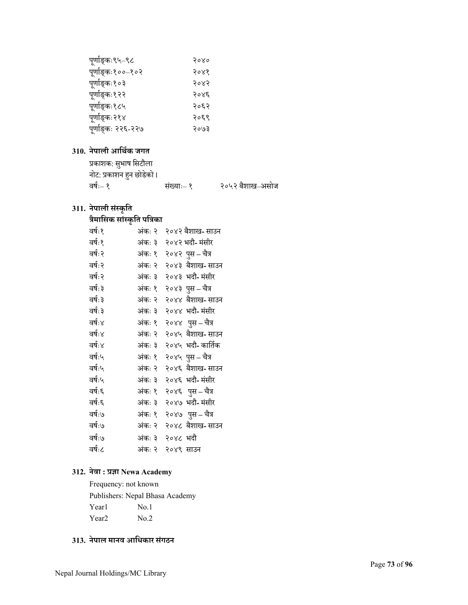| पूर्णाङ्कः९५–९८    | २०४० |
|--------------------|------|
| पूर्णाङ्कः१००–१०२  | २०४१ |
| पूर्णाङ्कः१०३      | २०४२ |
| पूर्णाङ्कः१२२      | २०४६ |
| पूर्णाङ्कः१८५      | २०६२ |
| पूर्णाङ्कः२१४      | २०६९ |
| पूर्णाङ्कः २२६-२२७ | २०७३ |

# **310. नेपाली आिथर्क जगत**

| प्रकाशक: सुभाष सिटौला    |            |                 |
|--------------------------|------------|-----------------|
| नोट: प्रकाशन हुन छोडेको। |            |                 |
| वर्षः– १                 | संख्याः– १ | २०५२ बैशाख–असोज |

# **311. नेपाली सं Öकृित**

# **त्रैमािसक सां Öकृित पित्रका**

| वर्षः १ | अंकः २ | २०४२ बैशाख- साउन  |
|---------|--------|-------------------|
| वर्षः१  | अंकः ३ | २०४२ भदौ- मंसीर   |
| वर्षः २ | अंकः १ | २०४२ पुस – चैत्र  |
| वर्षः २ | अंकः २ | २०४३ बैशाख-साउन   |
| वर्षः २ | अंकः ३ | २०४३ भदौ- मंसीर   |
| वर्षः ३ | अंकः १ | २०४३ पुस – चैत्र  |
| वर्षः ३ | अंकः २ | २०४४ बैशाख-साउन   |
| वर्षः ३ | अंकः ३ | २०४४ भदौ- मंसीर   |
| वर्षः४  | अंकः १ | २०४४ पुस – चैत्र  |
| वर्षः४  | अंकः २ | २०४५ बैशाख- साउन  |
| वर्षः४  | अंकः ३ | २०४५ भदौ- कार्तिक |
| वर्षः५  | अंकः १ | २०४५ पुस – चैत्र  |
| वर्षः५  | अंकः २ | २०४६ बैशाख-साउन   |
| वर्षः५  | अंकः ३ | २०४६ भदौ- मंसीर   |
| वर्षः६  | अंकः १ | २०४६ पुस – चैत्र  |
| वर्षः६  | अंकः ३ | २०४७ भदौ- मंसीर   |
| वर्षः७  | अंकः १ | २०४७) पुस – चैत्र |
| वर्षः७  | अंकः २ | २०४८ बैशाख-साउन   |
| वर्षः७  | अंकः ३ | २०४८ भदौ          |
| वर्षः८  | अंकः २ | २०४९ साउन         |
|         |        |                   |

# **312. नेवा : प्रज्ञा Newa Academy**

Frequency: not known Publishers: Nepal Bhasa Academy Year1 No.1 Year<sub>2</sub> No.2

# **313. नेपाल मानव आिधकार सं गठन**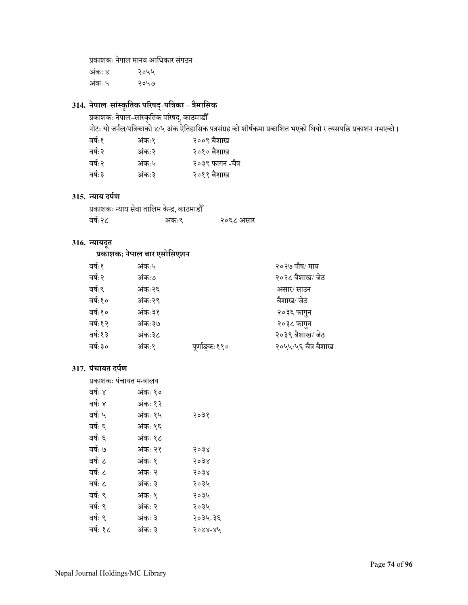प्रकाशकः नेपाल मानव आधिकार <mark>संगठन</mark>

अं कः ४ २०५५ अं कः ५ २०५७

# **314. नेपाल–सां Öकृितक पिरषद् –पित्रका – त्रैमािसक**

प्रकाशकः नेपाल–सांस्कृतिक परिषद्, काठमाडौँ<br>.

नोटः यो जर्नल/पत्रिकाको ४/५ अंक ऐतिहासिक पत्रसंग्रह को शीर्षकमा प्रकाशित भएको थियो र त्यसपछि प्रकाशन नभएको ।<br>'

| वर्षः१  | अंकः१ | २००९ बैशाख       |
|---------|-------|------------------|
| वर्षः२  | अंकः२ | २०१० बैशाख       |
| वर्षः २ | अंकः५ | २०३९ फागन -चैत्र |
| वर्षः ३ | अंकः३ | २०११ बैशाख       |
|         |       |                  |

### **315. Æयाय दपर्ण**

|         | प्रकाशकः न्याय सेवा तालिम केन्द्र, काठमाडौँ |           |
|---------|---------------------------------------------|-----------|
| वर्षः२८ | अंकः९                                       | २०६८ असार |

# **316. Æयायदू त**

# **प्रकाशक: नेपाल बार एसोिसएशन**

| वर्षः१   | अंकः५   |               | २०२७ पौष⁄ माघ       |
|----------|---------|---------------|---------------------|
| वर्षः२   | अंकः७   |               | २०२८ बैशाख/ जेठ     |
| वर्षः९   | अंकः २६ |               | असार/ साउन          |
| वर्षः१०  | अंकः२९  |               | बैशाख/ जेठ          |
| वर्षः१०  | अंकः३१  |               | २०३६ फागुन          |
| वर्षः१२  | अंकः३७  |               | २०३८ फागुन          |
| वर्षः १३ | अंकः३८  |               | २०३९ बैशाख/ जेठ     |
| वर्षः ३० | अंकः१   | पूर्णाङ्कः११० | २०५५/५६ चैत्र बैशाख |
|          |         |               |                     |

# **317. पं चायत दपर्ण**

| प्रकाशकः पंचायत मन्त्रालय |         |                 |
|---------------------------|---------|-----------------|
| वर्षः ४                   | अंकः १० |                 |
| वर्षः ४                   | अंकः १२ |                 |
| वर्षः ५                   | अंकः १५ | २०३१            |
| वर्षः ६                   | अंकः १६ |                 |
| वर्षः ६                   | अंकः १८ |                 |
| वर्षः ७                   | अंकः २१ | २०३४            |
| वर्षः ८                   | अंकः १  | २०३४            |
| वर्षः ८                   | अंकः २  | २०३४            |
| वर्षः ८                   | अंकः ३  | २०३५            |
| वर्षः ९                   | अंकः १  | २०३५            |
| वर्षः ९                   | अंकः २  | २०३५            |
| वर्षः ९                   | अंकः ३  | २०३५-३६         |
| वर्षः १८                  | अंकः ३  | <u> २०४४-४५</u> |
|                           |         |                 |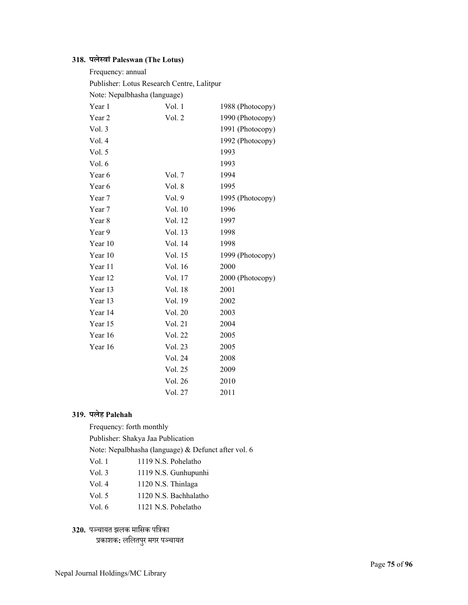# **318. पलेÖवां Paleswan (The Lotus)**

| Frequency: annual                          |         |                  |
|--------------------------------------------|---------|------------------|
| Publisher: Lotus Research Centre, Lalitpur |         |                  |
| Note: Nepalbhasha (language)               |         |                  |
| Year 1                                     | Vol. 1  | 1988 (Photocopy) |
| Year 2                                     | Vol. 2  | 1990 (Photocopy) |
| Vol. 3                                     |         | 1991 (Photocopy) |
| Vol. 4                                     |         | 1992 (Photocopy) |
| Vol. 5                                     |         | 1993             |
| Vol. 6                                     |         | 1993             |
| Year 6                                     | Vol. 7  | 1994             |
| Year 6                                     | Vol. 8  | 1995             |
| Year 7                                     | Vol. 9  | 1995 (Photocopy) |
| Year 7                                     | Vol. 10 | 1996             |
| Year 8                                     | Vol. 12 | 1997             |
| Year 9                                     | Vol. 13 | 1998             |
| Year 10                                    | Vol. 14 | 1998             |
| Year 10                                    | Vol. 15 | 1999 (Photocopy) |
| Year 11                                    | Vol. 16 | 2000             |
| Year 12                                    | Vol. 17 | 2000 (Photocopy) |
| Year 13                                    | Vol. 18 | 2001             |
| Year 13                                    | Vol. 19 | 2002             |
| Year 14                                    | Vol. 20 | 2003             |
| Year 15                                    | Vol. 21 | 2004             |
| Year 16                                    | Vol. 22 | 2005             |
| Year 16                                    | Vol. 23 | 2005             |
|                                            | Vol. 24 | 2008             |
|                                            | Vol. 25 | 2009             |
|                                            | Vol. 26 | 2010             |
|                                            | Vol. 27 | 2011             |

### **319. पलेह Palehah**

Frequency: forth monthly

Publisher: Shakya Jaa Publication

Note: Nepalbhasha (language) & Defunct after vol. 6

- Vol. 1 1119 N.S. Pohelatho
- Vol. 3 1119 N.S. Gunhupunhi
- Vol. 4 1120 N.S. Thinlaga
- Vol. 5 1120 N.S. Bachhalatho
- Vol. 6 1121 N.S. Pohelatho

# **320.** प¼चायत झलक मािसक पित्रका

प्रकाशक**:** ललितपुर मगर पञ्चायत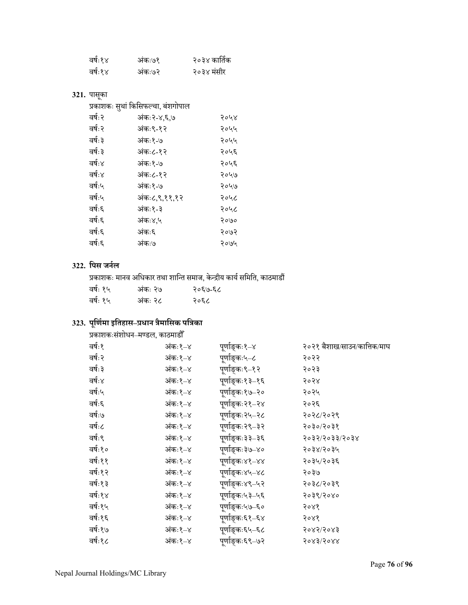| वर्षः१४ | अंकः७१ | २०३४ कार्तिक |
|---------|--------|--------------|
| वर्षः१४ | अंकः७२ | २०३४ मंसीर   |

#### **321.** पासका ू

|  | प्रकाशकः सृथां किसिफल्चा, बंशगोपाल |  |
|--|------------------------------------|--|
|  |                                    |  |
|  |                                    |  |

| वर्षः २ | अंकः२-४,६,७   | २०५४ |
|---------|---------------|------|
| वर्षः २ | अंकः९-१२      | २०५५ |
| वर्षः ३ | अंकः१-७       | २०५५ |
| वर्षः ३ | अंकः८-१२      | २०५६ |
| वर्षः४  | अंकः१-७       | २०५६ |
| वर्षः४  | अंकः८-१२      | २०५७ |
| वर्षः५  | अंकः१-७       | २०५७ |
| वर्षः५  | अंकः८,९,११,१२ | २०५८ |
| वर्षः६  | अंकः१-३       | २०५८ |
| वर्षः६  | अंकः४.५       | २०७० |
| वर्षः६  | अंकः६         | २०७२ |
| वर्षः६  | अंकः७         | २०७५ |
|         |               |      |

### **322. िपस जनर्ल**

प्रकाशकः मानव अिधकार तथा शािÆत समाज, केÆद्रीय कायर्सिमित, काठमाडŏ

| वर्षः १५ | अंकः २७ | २०६७-६८ |
|----------|---------|---------|
| वर्षः १५ | अंकः २८ | २०६८    |

# **323. पूिणर्माइितहास–प्रधान त्रैमािसक पित्रका**

| प्रकाशकःसंशोधन–मण्डल, काठमाडौँ |         |                 |                             |
|--------------------------------|---------|-----------------|-----------------------------|
| वर्षः१                         | अंकः१–४ | पूर्णाङ्कः१–४   | २०२१ बैशाख/साउन/कात्तिक/माघ |
| वर्षः २                        | अंकः१–४ | पुर्णाङ्कः५–८   | २०२२                        |
| वर्षः ३                        | अंकः१–४ | पूर्णाङ्कः९–१२  | २०२३                        |
| वर्षः४                         | अंकः१–४ | पूर्णाङ्कः१३–१६ | २०२४                        |
| वर्षः५                         | अंकः१–४ | पूर्णाङ्कः१७–२० | २०२५                        |
| वर्षः६                         | अंकः१–४ | पूर्णाङ्कः२१–२४ | २०२६                        |
| वर्षः७                         | अंकः१–४ | पूर्णाङ्कः२५–२८ | २०२८/२०२९                   |
| वर्षः८                         | अंकः१–४ | पूर्णाङ्कः२९–३२ | २०३०/२०३१                   |
| वर्षः९                         | अंकः१–४ | पूर्णाङ्कः३३–३६ | २०३२/२०३३/२०३४              |
| वर्षः१०                        | अंकः१–४ | पर्णाङ्कः३७–४०  | २०३४/२०३५                   |
| वर्षः११                        | अंकः१–४ | पुर्णाङ्कः४१–४४ | २०३५/२०३६                   |
| वर्षः१२                        | अंकः१–४ | पूर्णाङ्कः४५–४८ | २०३७                        |
| वर्षः१३                        | अंकः१–४ | पूर्णाङ्कः४९–५२ | २०३८/२०३९                   |
| वर्षः१४                        | अंकः१–४ | पूर्णाङ्कः५३–५६ | २०३९/२०४०                   |
| वर्षः१५                        | अंकः१–४ | पूर्णाङ्कः५७–६० | २०४१                        |
| वर्षः१६                        | अंकः१–४ | पूर्णाङ्कः६१–६४ | २०४१                        |
| वर्षः१७                        | अंकः१–४ | पूर्णाङ्कः६५–६८ | २०४२/२०४३                   |
| वर्षः१८                        | अंकः१–४ | पूर्णाङ्कः६९–७२ | 5083\5088                   |
|                                |         |                 |                             |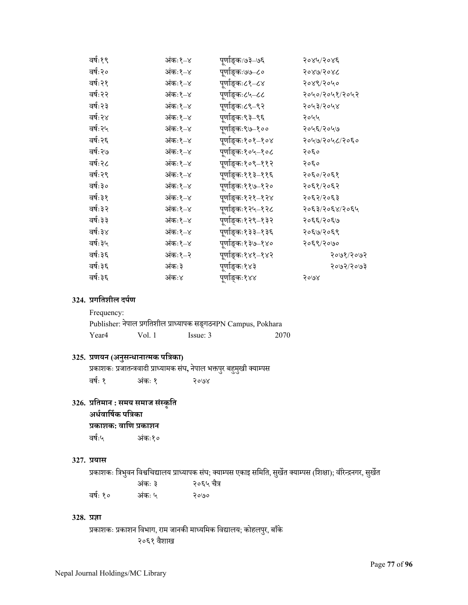| वर्षः१९  | अंकः१–४ | पूर्णाङ्कः७३–७६   | २०४५/२०४६      |
|----------|---------|-------------------|----------------|
| वर्षः२०  | अंकः१–४ | पूर्णाङ्कः७७–८०   | २०४७/२०४८      |
| वर्षः२१  | अंकः१–४ | पूर्णाङ्कः८१–८४   | २०४९/२०५०      |
| वर्षः २२ | अंकः१–४ | पूर्णाङ्कः८५–८८   | २०५०/२०५१/२०५२ |
| वर्षः२३  | अंकः१–४ | पूर्णाङ्कः८९–९२   | २०५३/२०५४      |
| वर्षः२४  | अंकः१–४ | पूर्णाङ्कः९३–९६   | २०५५           |
| वर्षः२५  | अंकः१–४ | पूर्णाङ्कः९७–१००  | २०५६/२०५७      |
| वर्षः २६ | अंकः१–४ | पूर्णाङ्कः१०१–१०४ | २०५७/२०५८/२०६० |
| वर्षः २७ | अंकः१–४ | पूर्णाङ्कः१०५–१०८ | २०६०           |
| वर्षः२८  | अंकः१–४ | पूर्णाङ्कः१०९–११२ | २०६०           |
| वर्षः२९  | अंकः१–४ | पूर्णाङ्कः११३–११६ | २०६०/२०६१      |
| वर्षः ३० | अंकः१–४ | पूर्णाङ्कः११७–१२० | २०६१/२०६२      |
| वर्षः ३१ | अंकः१–४ | पूर्णाङ्कः१२१–१२४ | २०६२/२०६३      |
| वर्षः३२  | अंकः१–४ | पूर्णाङ्कः१२५–१२८ | २०६३/२०६४/२०६५ |
| वर्षः ३३ | अंकः१–४ | पूर्णाङ्कः१२९–१३२ | २०६६/२०६७      |
| वर्षः ३४ | अंकः१–४ | पूर्णाङ्कः१३३–१३६ | २०६७/२०६९      |
| वर्षः३५  | अंकः१–४ | पूर्णाङ्कः१३७–१४० | २०६९/२०७०      |
| वर्षः ३६ | अंकः१–२ | पूर्णाङ्कः१४१–१४२ | २०७१/२०७२      |
| वर्षः३६  | अंकः३   | पूर्णाङ्कः१४३     | २०७२/२०७३      |
| वर्षः ३६ | अंकः४   | पूर्णाङ्कः१४४     | २०७४           |
|          |         |                   |                |

### **324. प्रगितशील दपर्ण**

Frequency:

|       |        | Publisher: नेपाल प्रगतिशील प्राध्यापक सङ्गठनPN Campus, Pokhara |      |
|-------|--------|----------------------------------------------------------------|------|
| Year4 | Vol. 1 | Issue: 3                                                       | 2070 |

# **325. प्रणयन (अनु सÆधानाÂमक पित्रका)**

प्रकाशकः प्रजातन्त्रवादी प्राध्यामक संघ, नेपाल भक्तपुर बहुमुखी क्याम्पस वर्षः १ अंकः १ कः १ २०७४

# **326. प्रितमान : समय समाज सं Öकृित**

**अधर्वािषर्क पित्रका**

### **प्रकाशक: वािण प्रकाशन**

वषर्ः५ अं कः१०

### **327. प्रयास**

प्रकाशकः त्रिभुवन विश्वचिद्यालय प्राध्यापक संघ; क्याम्पस एकाइ समिति, सुर्खेत क्याम्पस (शिक्षा); वीरेन्द्रनगर, सुर्खेत

|          | अंकः ३ | २०६५ चैत्र |
|----------|--------|------------|
| वर्षः १० | अंकः ५ | २०७०       |

### **328. प्रज्ञा**

प्रकाशकः प्रकाशन विभाग, राम जानकी माध्यमिक विद्यालय; कोहलपुर, बाँके २०६१ वैशाख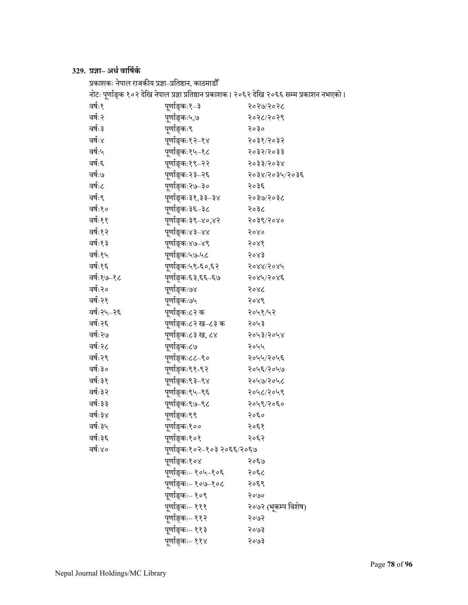# **329. प्रज्ञा– अधर्वािषर्कर्**

| प्रकाशकः नेपाल राजकीय प्रज्ञा–प्रतिष्ठान, काठमाडौँ |                             |                                                                                              |
|----------------------------------------------------|-----------------------------|----------------------------------------------------------------------------------------------|
|                                                    |                             | नोटः पूर्णाङ्क १०२ देखि नेपाल प्रज्ञा प्रतिष्ठान प्रकाशक। २०६२ देखि २०६६ सम्म प्रकाशन नभएको। |
| वर्षः१                                             | पुर्णाङ्कः१–३               | २०२७/२०२८                                                                                    |
| वर्षः २                                            | पर्णाङ्कः५,७                | २०२८/२०२९                                                                                    |
| वर्षः ३                                            | पूर्णाङ्कः९                 | २०३०                                                                                         |
| वर्षः४                                             | पूर्णाङ्कः१२–१४             | २०३१/२०३२                                                                                    |
| वर्षः५                                             | पूर्णाङ्कः१५–१८             | २०३२/२०३३                                                                                    |
| वर्षः६                                             | पूर्णाङ्कः१९–२२             | २०३३/२०३४                                                                                    |
| वर्षः७                                             | पूर्णाङ्कः२३–२६             | २०३४/२०३५/२०३६                                                                               |
| वर्षः८                                             | पूर्णाङ्कः२७–३०             | २०३६                                                                                         |
| वर्षः९                                             | पूर्णाङ्कः३१,३३–३४          | २०३७/२०३८                                                                                    |
| वर्षः१०                                            | पूर्णाङ्कः३६–३८             | २०३८                                                                                         |
| वर्षः११                                            | पूर्णाङ्कः३९–४०,४२          | २०३९/२०४०                                                                                    |
| वर्षः१२                                            | पूर्णाङ्कः४३–४४             | २०४०                                                                                         |
| वर्षः१३                                            | पूर्णाङ्कः४७–४९             | २०४१                                                                                         |
| वर्षः१५                                            | पूर्णाङ्कः५७-५८             | २०४३                                                                                         |
| वर्षः१६                                            | पूर्णाङ्कः५९-६०,६२          | 5088/5084                                                                                    |
| वर्षः१७–१८                                         | पूर्णाङ्कः६३,६६–६७          | २०४५/२०४६                                                                                    |
| वर्षः२०                                            | पूर्णाङ्कः७४                | २०४८                                                                                         |
| वर्षः २१                                           | पूर्णाङ्कः७५                | २०४९                                                                                         |
| वर्षः२५–२६                                         | पूर्णाङ्कः८२ क              | २०५१/५२                                                                                      |
| वर्षः २६                                           | पूर्णाङ्कः८२ ख–८३ क         | २०५३                                                                                         |
| वर्षः २७                                           | पूर्णाङ्कः८३ ख, ८४          | २०५३/२०५४                                                                                    |
| वर्षः २८                                           | पूर्णाङ्कः८७                | २०५५                                                                                         |
| वर्षः २९                                           | पूर्णाङ्कः८८–९०             | २०५५/२०५६                                                                                    |
| वर्षः ३०                                           | पूर्णाङ्कः९१-९२             | २०५६/२०५७                                                                                    |
| वर्षः ३१                                           | पूर्णाङ्कः९३–९४             | २०५७/२०५८                                                                                    |
| वर्षः ३२                                           | पूर्णाङ्कः९५–९६             | २०५८/२०५९                                                                                    |
| वर्षः ३३                                           | पूर्णाङ्कः९७–९८             | २०५९/२०६०                                                                                    |
| वर्षः ३४                                           | पर्णाङ्कः९९                 | २०६०                                                                                         |
| वर्षः ३५                                           | पूर्णाङ्कः१००               | २०६१                                                                                         |
| वर्षः ३६                                           | पूर्णाङ्कः१०१               | २०६२                                                                                         |
| वर्षः४०                                            | पूर्णाङ्कः१०२–१०३ २०६६/२०६७ |                                                                                              |
|                                                    | पूर्णाङ्कः१०४               | २०६७                                                                                         |
|                                                    | पूर्णाङ्कः– १०५–१०६         | २०६८                                                                                         |
|                                                    | पूर्णाङ्कः– १०७–१०८         | २०६९                                                                                         |
|                                                    | पूर्णाङ्कः– १०९             | २०७०                                                                                         |
|                                                    | पूर्णाङ्कः– १११             | २०७२ (भूकम्प विशेष)                                                                          |
|                                                    | पूर्णाङ्कः– ११२             | २०७२                                                                                         |
|                                                    | पूर्णाङ्कः– ११३             | २०७३                                                                                         |
|                                                    | पूर्णाङ्कः– ११४             | २०७३                                                                                         |
|                                                    |                             |                                                                                              |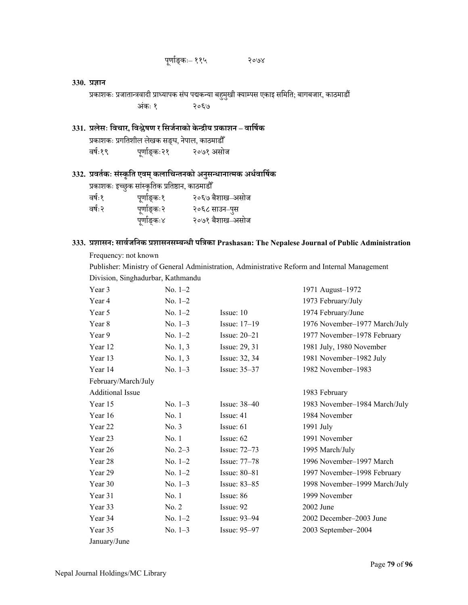# पणा ू र्ङ्कः– ११५ २०७४

#### **330. प्रज्ञान**

प्रकाशकः प्रजातान्त्रवादी प्राध्यापक संघ पद्मकन्या बहुमुखी क्याम्पस एकाइ समिति; बागबजार, काठमाडौं  $\,$ 

<u>अंग्रहण</u> कः १ २०६७

# **331. प्रलेसः िवचार, िवĴेषण र िसजर्नाको केÆद्रीय प्रकाशन – वािषर्क**

प्रकाशकः प्रगितशील लेखक सङ्घ, नेपाल, काठमाडौँ वर्षः१९ ू र्ङ्कः२१ २०७१ असोज

# **332. प्रवतर्कः सं Öकृित एवम्कलािचÆतनको अनु सÆधानाÂमक अधर्वािषर्क**

|        | प्रकाशकः इच्छुक सांस्कृतिक प्रतिष्ठान, काठमाडौँ |                 |
|--------|-------------------------------------------------|-----------------|
| वर्षः१ | पूर्णाङ्कः१                                     | २०६७ बैशाख–असोज |
| वर्षः२ | पूर्णाङ्कः२                                     | २०६८ साउन–पुस   |
|        | पूर्णाङ्कः४                                     | २०७१ बैशाख–असोज |

# **333. प्रशासन: सावर्जिनक प्रशासनसÌबÆधी पित्रका Prashasan: The Nepalese Journal of Public Administration**

Frequency: not known

Publisher: Ministry of General Administration, Administrative Reform and Internal Management Division, Singhadurbar, Kathmandu

| Year 3                  | No. $1-2$ |                  | 1971 August-1972              |
|-------------------------|-----------|------------------|-------------------------------|
| Year 4                  | $No. 1-2$ |                  | 1973 February/July            |
| Year 5                  | No. $1-2$ | Issue: 10        | 1974 February/June            |
| Year 8                  | No. $1-3$ | Issue: 17-19     | 1976 November-1977 March/July |
| Year 9                  | No. $1-2$ | Issue: $20-21$   | 1977 November-1978 February   |
| Year 12                 | No. 1, 3  | Issue: 29, 31    | 1981 July, 1980 November      |
| Year 13                 | No. 1, 3  | Issue: 32, 34    | 1981 November-1982 July       |
| Year 14                 | $No. 1-3$ | Issue: 35-37     | 1982 November-1983            |
| February/March/July     |           |                  |                               |
| <b>Additional Issue</b> |           |                  | 1983 February                 |
| Year 15                 | $No. 1-3$ | Issue: $38-40$   | 1983 November-1984 March/July |
| Year 16                 | No. 1     | Issue: 41        | 1984 November                 |
| Year 22                 | No. 3     | Issue: 61        | 1991 July                     |
| Year 23                 | No. 1     | Issue: $62$      | 1991 November                 |
| Year 26                 | $No. 2-3$ | Issue: $72-73$   | 1995 March/July               |
| Year 28                 | No. $1-2$ | Issue: 77-78     | 1996 November-1997 March      |
| Year 29                 | No. $1-2$ | Issue: $80 - 81$ | 1997 November-1998 February   |
| Year 30                 | No. $1-3$ | Issue: 83-85     | 1998 November-1999 March/July |
| Year 31                 | No.1      | Issue: 86        | 1999 November                 |
| Year 33                 | No. 2     | Issue: 92        | 2002 June                     |
| Year 34                 | $No. 1-2$ | Issue: $93-94$   | 2002 December-2003 June       |
| Year 35                 | No. $1-3$ | Issue: 95-97     | 2003 September-2004           |
| January/June            |           |                  |                               |
|                         |           |                  |                               |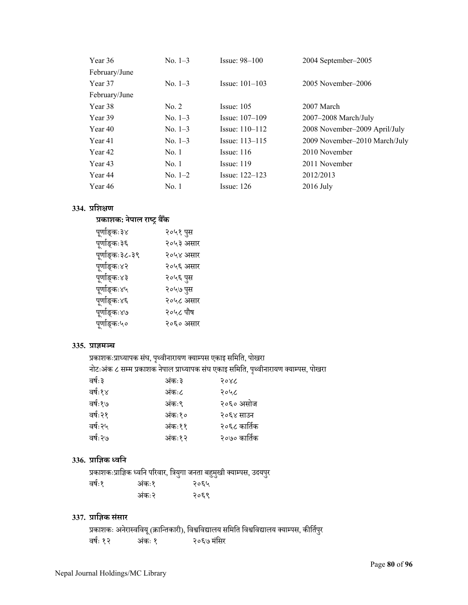| Year 36       | No. $1-3$ | $Issue: 98-100$    | 2004 September-2005           |
|---------------|-----------|--------------------|-------------------------------|
| February/June |           |                    |                               |
| Year 37       | No. $1-3$ | Issue: $101-103$   | 2005 November-2006            |
| February/June |           |                    |                               |
| Year 38       | No. 2     | Issue: $105$       | 2007 March                    |
| Year 39       | $No. 1-3$ | Issue: $107-109$   | 2007-2008 March/July          |
| Year 40       | No. $1-3$ | Issue: $110 - 112$ | 2008 November–2009 April/July |
| Year 41       | No. $1-3$ | Issue: $113 - 115$ | 2009 November–2010 March/July |
| Year 42       | No.1      | Issue: $116$       | 2010 November                 |
| Year 43       | No.1      | Issue: 119         | 2011 November                 |
| Year 44       | $No. 1-2$ | Issue: $122 - 123$ | 2012/2013                     |
| Year 46       | No. 1     | Issue: $126$       | $2016$ July                   |

# **334. प्रिशक्षण**

# **प्रकाशक: नेपाल राÕट्र बैकँ**

| पूर्णाङ्कः३४    | २०५१ पुस  |
|-----------------|-----------|
| पूर्णाङ्कः३६    | २०५३ असार |
| पूर्णाङ्कः३८-३९ | २०५४ असार |
| पूर्णाङ्कः४२    | २०५६ असार |
| पूर्णाङ्कः४३    | २०५६ पुस  |
| पूर्णाङ्कः४५    | २०५७ पुस  |
| पूर्णाङ्कः४६    | २०५८ असार |
| पूर्णाङ्कः४७    | २०५८ पौष  |
| पूर्णाङ्कः५०    | २०६० असार |
|                 |           |

### **335. प्राज्ञम¼च**

प्रकाशकःप्राध्यापक संघ, पृथ्वीनारायण क्याम्पस एकाइ समिति, पोखरा नोटःअंक ८ सम्म प्रकाशक नेपाल प्राध्यापक संघ एकाइ समिति, पृथ्वीनारायण क्याम्पस, पोखर<mark>ा</mark>

| वर्षः ३  | अंकः३  | २०४८         |
|----------|--------|--------------|
| वर्षः१४  | अंकः८  | २०५८         |
| वर्षः१७  | अंकः९  | २०६० असोज    |
| वर्षः २१ | अंकः१० | २०६४ साउन    |
| वर्षः २५ | अंकः११ | २०६८ कार्तिक |
| वर्षः २७ | अंकः१२ | २०७० कार्तिक |
|          |        |              |

# **336. प्रािज्ञक Åविन**

प्रकाशकःप्राज्ञिक ध्वनि परिवार, त्रियुगा जनता बहुमुखी क्याम्पस, उदयपुर ु वर्षः१ कः१ २०६५

| . | .     | $\sqrt{1}$ |
|---|-------|------------|
|   | अंकः२ | २०६९       |
|   |       |            |

# **337. प्रािज्ञक सं सार**

प्रकाशकः अनेराÖविवय (ूक्रािÆतकारी), िवĵिवद्यालय सिमित िवĵिवद्यालय क्याÌपस, कीितर्पर ु वर्षः १२ कः १ २०६७ मंसिर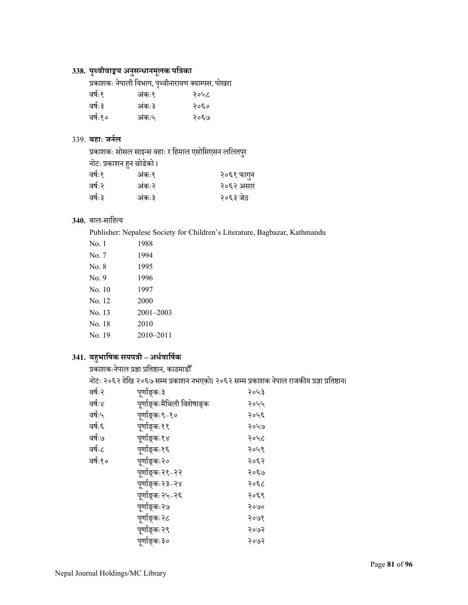# **338. पृ Ãवीवाङ्मय अनु सÆधानमू लक पित्रका**

|  |  |  |  | प्रकाशकः नेपाली विभाग, पृथ्वीनारायण क्याम्पस, पोखरा |  |  |
|--|--|--|--|-----------------------------------------------------|--|--|
|--|--|--|--|-----------------------------------------------------|--|--|

| अंकः१ | २०५८ |
|-------|------|
| अंकः३ | २०६० |
| अंकः५ | २०६७ |
|       |      |

### 339. **बहाः जनर्ल**

प्रकाशकः सोसल साइन्स वहाः र हिमाल एसोसिएसन ललितपुर<br>नोटः प्रकाशन हुन छोडेको । नोटः प्रकाशन हुन छोडेको ।

| वर्षः१  | अंकः१ | २०६१ फागुन |
|---------|-------|------------|
| वर्षः २ | अंकः२ | २०६२ असार  |
| वर्षः ३ | अंकः३ | २०६३ जेठ   |

### 340. बाल-साहित्य

Publisher: Nepalese Society for Children's Literature, Bagbazar, Kathmandu

| No. 1  | 1988          |
|--------|---------------|
| No. 7  | 1994          |
| No. 8  | 1995          |
| No. 9  | 1996          |
| No. 10 | 1997          |
| No. 12 | 2000          |
| No. 13 | $2001 - 2003$ |
| No. 18 | 2010          |
| No. 19 | 2010-2011     |
|        |               |

# **341. बहु भािषक सयपत्री – अधर्वािषर्क**

प्रकाशकःनेपाल प्रज्ञा प्रितķान, काठमाडौँ

नगराहर सम्मान्तुः<br>नोटः २०६२ देखि २०६७ सम्म प्रकाशन नभएको। २०६२ सम्म प्रकाशक नेपाल राजकीय प्रज्ञा प्रतिष्ठान।

| वर्षः २ | पूर्णाङ्कः३                | २०५३ |
|---------|----------------------------|------|
| वर्षः४  | पूर्णाङ्कःमैथिली विशेषाङ्क | २०५५ |
| वर्षः५  | पूर्णाङ्कः९–१०             | २०५६ |
| वर्षः६  | पूर्णाङ्कः११               | २०५७ |
| वर्षः७  | पूर्णाङ्कः१४               | २०५८ |
| वर्षः८  | पर्णाङ्कः१६                | २०५९ |
| वर्षः१० | पूर्णाङ्कः२०               | २०६२ |
|         | पूर्णाङ्कः२१–२२            | २०६७ |
|         | पूर्णाङ्कः२३–२४            | २०६८ |
|         | पूर्णाङ्कः२५–२६            | २०६९ |
|         | पूर्णाङ्कः२७               | २०७० |
|         | पूर्णाङ्कः२८               | २०७१ |
|         | पूर्णाङ्कः२९               | २०७२ |
|         | पूर्णाङ्कः३०               | २०७२ |
|         |                            |      |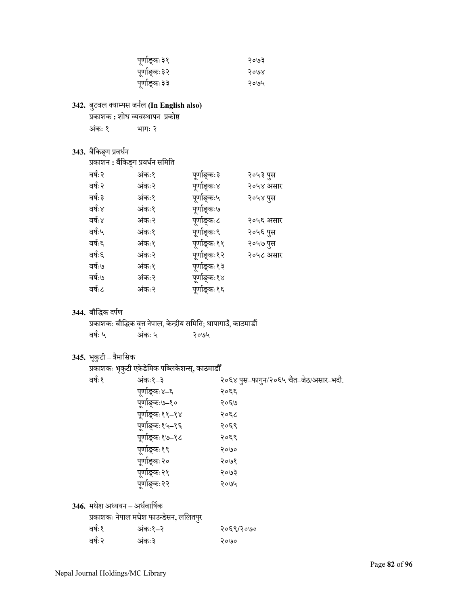| पूर्णाङ्कः३१ | २०७३ |
|--------------|------|
| पूर्णाङ्कः३२ | २०७४ |
| पूर्णाङ्कः३३ | २०७५ |

### **342.** बटवल ु क्याÌपस जनर्ल **(In English also)**

### प्रकाशक <mark>:</mark> शोध व्यवस्थापन प्रकोष्ठ

| अंकः १<br>भागः २ |
|------------------|
|------------------|

# 343. बैंकिङ्ग प्रवर्धन

| प्रकाशन : बैंकिङ्ग प्रवर्धन समिति |        |              |           |
|-----------------------------------|--------|--------------|-----------|
| वर्षः २                           | अंकः१  | पूर्णाङ्कः ३ | २०५३ पुस  |
| वर्षः २                           | अंकः२  | पूर्णाङ्कः४  | २०५४ असार |
| वर्षः ३                           | अंकः१  | पूर्णाङ्कः५  | २०५४ पुस  |
| वर्षः४                            | अंकः१  | पूर्णाङ्कः७  |           |
| वर्षः४                            | अंकः २ | पूर्णाङ्कः८  | २०५६ असार |
| वर्षः५                            | अंकः१  | पूर्णाङ्कः९  | २०५६ पुस  |
| वर्षः६                            | अंकः१  | पूर्णाङ्कः११ | २०५७ पुस  |
| वर्षः६                            | अंकः२  | पूर्णाङ्कः१२ | २०५८ असार |
| वर्षः७                            | अंकः१  | पूर्णाङ्कः१३ |           |
| वर्षः७                            | अंकः२  | पूर्णाङ्कः१४ |           |
| वर्षः८                            | अंकः२  | पूर्णाङ्कः१६ |           |

### **344.** बौिद्धक दपर्ण

|         |        | प्रकाशकः बौद्धिक वृत्त नेपाल, केन्द्रीय समिति; थापागाउँ, काठमाडौँ |  |
|---------|--------|-------------------------------------------------------------------|--|
| वर्षः ५ | अंकः ५ | २०७५                                                              |  |

# **345.** भकृुटी**–** त्रैमािसक

|        | प्रकाशकः भृकुटी एकेडेमिक पब्लिकेशन्स्, काठमाडौँ |                                       |
|--------|-------------------------------------------------|---------------------------------------|
| वर्षः१ | अंकः१–३                                         | २०६४ पुस–फागुन/२०६५ चैत–जेठ/असार–भदौ. |
|        | पूर्णाङ्कः४–६                                   | २०६६                                  |
|        | पूर्णाङ्कः७–१०                                  | २०६७                                  |
|        | पूर्णाङ्कः११–१४                                 | २०६८                                  |
|        | पूर्णाङ्कः१५–१६                                 | २०६९                                  |
|        | पूर्णाङ्कः१७–१८                                 | २०६९                                  |
|        | पूर्णाङ्कः१९                                    | २०७०                                  |
|        | पूर्णाङ्कः२०                                    | २०७१                                  |
|        | पूर्णाङ्कः२१                                    | २०७३                                  |
|        | पूर्णाङ्कः२२                                    | २०७५                                  |
|        |                                                 |                                       |

<mark>346.</mark> मधेश अध्ययन – अर्धवार्षिक

|  |  | प्रकाशकः नेपाल मधेश फाउन्डेसन, ललितपुर |  |
|--|--|----------------------------------------|--|
|  |  |                                        |  |
|  |  |                                        |  |

|        | प्रकाशकः नेपाल मधेश फाउन्डेसन, ललितपुर |           |
|--------|----------------------------------------|-----------|
| वर्षः१ | अंकः१–२                                | २०६९/२०७० |
| वर्षः२ | अंकः३                                  | २०७०      |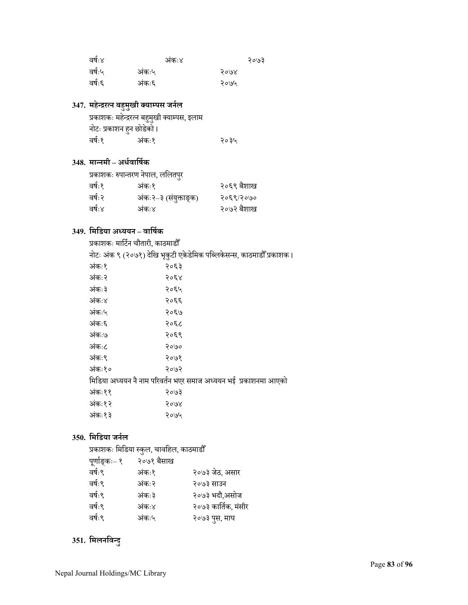| वर्षः४ |       | अंकः४ | २०७३ |
|--------|-------|-------|------|
| वर्षः५ | अंकः५ |       | २०७४ |
| वर्षः६ | अंकः६ |       | २०७५ |

# **347. महेÆद्ररÂन बहु मु खी क्याÌपस जनर्ल**

|                          | प्रकाशकः महेन्द्ररत्न बहुमुखी क्याम्पस, इलाम |      |
|--------------------------|----------------------------------------------|------|
| नोटः प्रकाशन हुन छोडेको। |                                              |      |
| वर्षः१                   | अंकः१                                        | २०३५ |

# **348. माÆनमी – अधर्वािषर्क**

|         | प्रकाशकः रुपान्तरण नेपाल, ललितपुर |            |
|---------|-----------------------------------|------------|
| वर्षः१  | अंकः१                             | २०६९ बैशाख |
| वर्षः २ | अंकः २–३ (संयुक्ताङ्क)            | २०६९/२०७०  |
| वर्षः४  | अंकः४                             | २०७२ बैशाख |

# **349. िमिडया अÅययन – वािषर्क**

| प्रकाशकः मार्टिन चौतारी, काठमाडौँ |                                                                       |
|-----------------------------------|-----------------------------------------------------------------------|
|                                   | नोटः अंक ९ (२०७१) देखि भूकुटी एकेडेमिक पब्लिकेसन्स, काठमाडौँ प्रकाशक। |
| अंकः१                             | २०६३                                                                  |
| अंकः२                             | २०६४                                                                  |
| अंकः३                             | २०६५                                                                  |
| अंकः४                             | २०६६                                                                  |
| अंकः५                             | २०६७                                                                  |
| अंकः६                             | २०६८                                                                  |
| अंकः७                             | २०६९                                                                  |
| अंकः८                             | २०७०                                                                  |
| अंकः९                             | २०७१                                                                  |
| अंकः१०                            | २०७२                                                                  |
|                                   | मिडिया अध्ययन नै नाम परिवर्तन भएर समाज अध्ययन भई  प्रकाशनमा आएको      |
| अंकः११                            | २०७३                                                                  |
| अंकः१२                            | २०७४                                                                  |
| अंकः१३                            | २०७५                                                                  |
|                                   |                                                                       |

# **350. िमिडया जनर्ल**

प्रकाशकः मिडिया स्कुल, चावहिल, काठमाडौँ

| २०७१ बैसाख |                     |
|------------|---------------------|
| अंकः१      | २०७३ जेठ, असार      |
| अंकः२      | २०७३ साउन           |
| अंकः३      | २०७३ भदौ,असोज       |
| अंकः४      | २०७३ कार्तिक, मंसीर |
| अंकः५      | २०७३ पुस, माघ       |
|            |                     |

# **351. िमलनिवÆदु**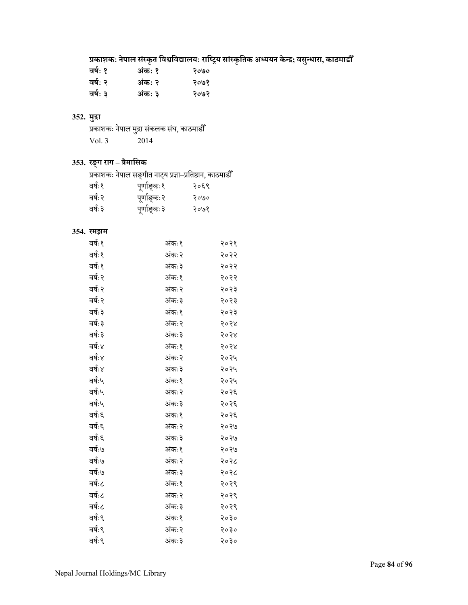# **प्रकाशकः नेपाल सं Öकृत िवĵिवद्यालयः रािÕट्रय सां Öकृितक अÅययन केÆद्र; वसÆधारा ु , काठमाडौँ**

| अंकः १ | २०७० |
|--------|------|
| अंकः २ | २०७१ |
| अंकः ३ | २०७२ |
|        |      |

### **352. मुद्रा**

| المتوجب |                                           |
|---------|-------------------------------------------|
|         | प्रकाशकः नेपाल मुद्रा संकलक संघ, काठमाडौँ |
| Vol. 3  | 2014                                      |

# **353. रङ्ग राग – त्रैमािसक**

|  |  | प्रकाशकः नेपाल सङ्गीत नाट्य प्रज्ञा–प्रतिष्ठान, काठमाडौँ |  |
|--|--|----------------------------------------------------------|--|
|  |  |                                                          |  |

| वर्षः१  | पूर्णाङ्कः१  | २०६९ |
|---------|--------------|------|
| वर्षः२  | पूर्णाङ्कः२  | २०७० |
| वर्षः ३ | पूर्णाङ्कः ३ | २०७१ |

### **354. रमझम**

| वर्षः १ | अंकः१  | २०२१ |
|---------|--------|------|
| वर्षः १ | अंकः२  | २०२२ |
| वर्षः १ | अंकः ३ | २०२२ |
| वर्षः २ | अंकः१  | २०२२ |
| वर्षः २ | अंकः२  | २०२३ |
| वर्षः २ | अंकः३  | २०२३ |
| वर्षः ३ | अंकः१  | २०२३ |
| वर्षः ३ | अंकः२  | २०२४ |
| वर्षः ३ | अंकः३  | २०२४ |
| वर्षः४  | अंकः१  | २०२४ |
| वर्षः४  | अंकः२  | २०२५ |
| वर्षः४  | अंकः३  | २०२५ |
| वर्षः५  | अंकः१  | २०२५ |
| वर्षः५  | अंकः २ | २०२६ |
| वर्षः५  | अंकः३  | २०२६ |
| वर्षः६  | अंकः१  | २०२६ |
| वर्षः६  | अंकः२  | २०२७ |
| वर्षः६  | अंकः३  | २०२७ |
| वर्षः७  | अंकः१  | २०२७ |
| वर्षः७  | अंकः२  | २०२८ |
| वर्षः७  | अंकः३  | २०२८ |
| वर्षः८  | अंकः१  | २०२९ |
| वर्षः८  | अंकः२  | २०२९ |
| वर्षः८  | अंकः३  | २०२९ |
| वर्षः९  | अंकः१  | २०३० |
| वर्षः९  | अंकः२  | २०३० |
| वर्षः ९ | अंकः३  | २०३० |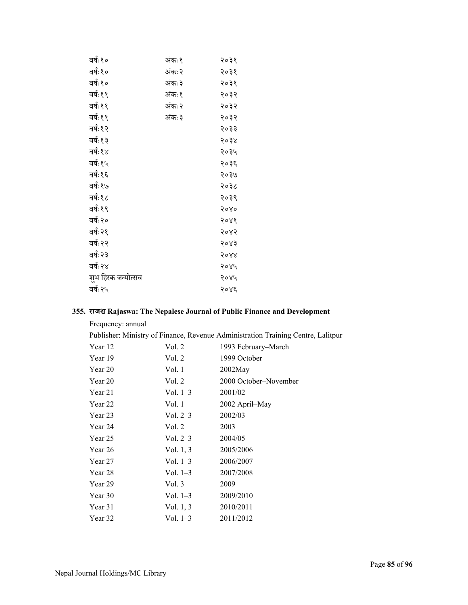| वर्षः१०            | अंकः१ | २०३१ |
|--------------------|-------|------|
| वर्षः१०            | अंकः२ | २०३१ |
| वर्षः१०            | अंकः३ | २०३१ |
| वर्षः११            | अंकः१ | २०३२ |
| वर्षः११            | अंकः२ | २०३२ |
| वर्षः११            | अंकः३ | २०३२ |
| वर्षः१२            |       | २०३३ |
| वर्षः१३            |       | २०३४ |
| वर्षः१४            |       | २०३५ |
| वर्षः१५            |       | २०३६ |
| वर्षः१६            |       | २०३७ |
| वर्षः१७            |       | २०३८ |
| वर्षः१८            |       | २०३९ |
| वर्षः१९            |       | २०४० |
| वर्षः२०            |       | २०४१ |
| वर्षः२१            |       | २०४२ |
| वर्षः२२            |       | २०४३ |
| वर्षः २३           |       | २०४४ |
| वर्षः २४           |       | २०४५ |
| शुभ हिरक जन्मोत्सव |       | २०४५ |
| वर्षः२५            |       | २०४६ |
|                    |       |      |

### **355. राजĵ Rajaswa: The Nepalese Journal of Public Finance and Development**

| Frequency: annual |             |                                                                                  |
|-------------------|-------------|----------------------------------------------------------------------------------|
|                   |             | Publisher: Ministry of Finance, Revenue Administration Training Centre, Lalitpur |
| Year 12           | Vol. 2      | 1993 February–March                                                              |
| Year 19           | Vol. 2      | 1999 October                                                                     |
| Year 20           | Vol. 1      | $2002$ May                                                                       |
| Year 20           | Vol. 2      | 2000 October-November                                                            |
| Year 21           | Vol. $1-3$  | 2001/02                                                                          |
| Year 22           | Vol. 1      | 2002 April–May                                                                   |
| Year 23           | Vol. $2-3$  | 2002/03                                                                          |
| Year 24           | Vol. 2      | 2003                                                                             |
| Year 25           | Vol. $2-3$  | 2004/05                                                                          |
| Year 26           | Vol. $1, 3$ | 2005/2006                                                                        |
| Year 27           | Vol. $1-3$  | 2006/2007                                                                        |
| Year 28           | Vol. 1–3    | 2007/2008                                                                        |
| Year 29           | Vol. $3$    | 2009                                                                             |
| Year 30           | Vol. $1-3$  | 2009/2010                                                                        |
| Year 31           | Vol. $1, 3$ | 2010/2011                                                                        |
| Year 32           | Vol. 1–3    | 2011/2012                                                                        |
|                   |             |                                                                                  |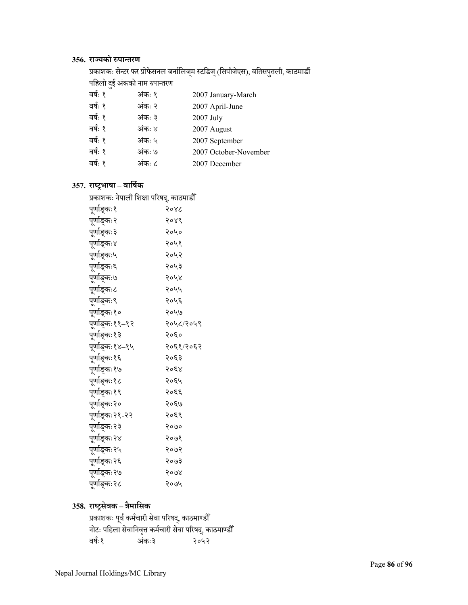### **356. राºयको ŁपाÆतरण**

प्रकाशकः सेन्टर फर प्रोफेसनल जनोलिज्म स्टडिज् (सिपीजेएस), वतिसपुतली, काठमाडौँ पहिलो दुई अंकको नाम रुपान्तरण<br>न

| वर्षः १ | अंकः १ | 2007 January-March    |
|---------|--------|-----------------------|
| वर्षः १ | अंकः २ | 2007 April-June       |
| वर्षः १ | अंकः ३ | 2007 July             |
| वर्षः १ | अंकः ४ | 2007 August           |
| वर्षः १ | अंकः ५ | 2007 September        |
| वर्षः १ | अंकः ७ | 2007 October-November |
| वर्षः १ | अंकः ८ | 2007 December         |
|         |        |                       |

### **357. राÕट्रभाषा – वािषर्क**

| प्रकाशकः नेपाली शिक्षा परिषद्, काठमाडौँ |           |  |  |
|-----------------------------------------|-----------|--|--|
| पूर्णाङ्कः१                             | २०४८      |  |  |
| पूर्णाङ्कः२                             | २०४९      |  |  |
| पूर्णाङ्कः३                             | २०५०      |  |  |
| पूर्णाङ्कः४                             | २०५१      |  |  |
| पूर्णाङ्कः५                             | २०५२      |  |  |
| पूर्णाङ्कः६                             | २०५३      |  |  |
| पूर्णाङ्कः७                             | २०५४      |  |  |
| पूर्णाङ्कः८                             | २०५५      |  |  |
| पूर्णाङ्कः९                             | २०५६      |  |  |
| पूर्णाङ्कः१०                            | २०५७      |  |  |
| पूर्णाङ्कः११–१२                         | २०५८/२०५९ |  |  |
| पूर्णाङ्कः१३                            | २०६०      |  |  |
| पूर्णाङ्कः१४–१५                         | २०६१/२०६२ |  |  |
| पूर्णाङ्कः१६                            | २०६३      |  |  |
| पूर्णाङ्कः१७                            | २०६४      |  |  |
| पूर्णाङ्कः१८                            | २०६५      |  |  |
| पूर्णाङ्कः१९                            | २०६६      |  |  |
| पूर्णाङ्कः२०                            | २०६७      |  |  |
| पूर्णाङ्कः२१-२२                         | २०६९      |  |  |
| पूर्णाङ्कः२३                            | २०७०      |  |  |
| पूर्णाङ्कः२४                            | २०७१      |  |  |
| पूर्णाङ्कः२५                            | २०७२      |  |  |
| पूर्णाङ्कः२६                            | २०७३      |  |  |
| पूर्णाङ्कः२७                            | २०७४      |  |  |
| पूर्णाङ्कः२८                            | २०७५      |  |  |

# **358. राÕट्रसेवक – त्रैमािसक**

प्रकाशकः पूर्व कर्मचारी सेवा परिषद्, काठमाण्डौँ नोटः पिहला सेवािनव°ृ कमर्चारी सेवा पिरषद, ्काठमाÁडौँ वर्षः१ २०५२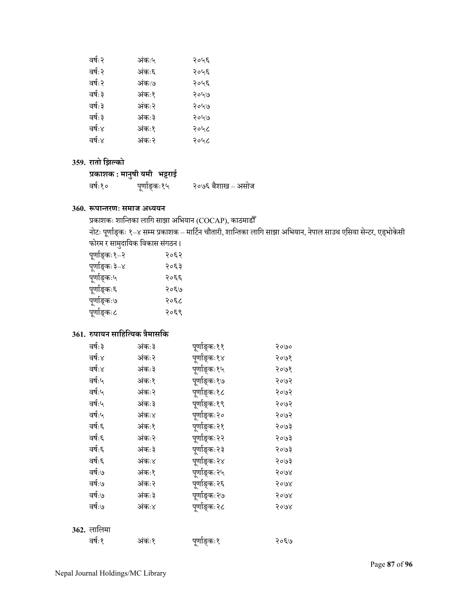| वर्षः २ | अंकः५ | २०५६ |
|---------|-------|------|
| वर्षः २ | अंकः६ | २०५६ |
| वर्षः २ | अंकः७ | २०५६ |
| वर्षः ३ | अंकः१ | २०५७ |
| वर्षः ३ | अंकः२ | २०५७ |
| वर्षः ३ | अंकः३ | २०५७ |
| वर्षः४  | अंकः१ | २०५८ |
| वर्षः४  | अंकः२ | २०५८ |
|         |       |      |

### **359. रातो िझÐको**

# **प्रकाशक : मानु षी यमी भट्टराई**

वर्षः१० ू र्ङ्कः१५ २०७६ बैशाख – असोज

### **360. łपाÆतरणः समाज अÅययन**

प्रकाशकः शान्तिका लागि साझा अभियान (COCAP), काठमाडौँ

नोटः पूर्णाङ्कः १–४ सम्म प्रकाशक – मार्टिन चौतारी, शान्तिका लागि साझा अभियान, नेपाल साउथ एसिया सेन्टर, एड्भोकेसी<br>' फोरम र सामुदायिक विकास संगठन।

| पूर्णाङ्कः१–२ | २०६२ |
|---------------|------|
| पूर्णाङ्कः३–४ | २०६३ |
| पूर्णाङ्कः५   | २०६६ |
| पूर्णाङ्कः६   | २०६७ |
| पूर्णाङ्कः७   | २०६८ |
| पूर्णाङ्कः८   | २०६९ |
|               |      |

# **361. Łपायन सािहिÂयक त्रैमासिक**

| वर्षः ३            | अंकः३  | पूर्णाङ्कः११ | २०७० |
|--------------------|--------|--------------|------|
| वर्षः४             | अंकः२  | पूर्णाङ्कः१४ | २०७१ |
| वर्षः४             | अंकः३  | पूर्णाङ्कः१५ | २०७१ |
| वर्षः५             | अंकः१  | पूर्णाङ्कः१७ | २०७२ |
| वर्षः५             | अंकः२  | पूर्णाङ्कः१८ | २०७२ |
| वर्षः५             | अंकः ३ | पूर्णाङ्कः१९ | २०७२ |
| वर्षः५             | अंकः४  | पूर्णाङ्कः२० | २०७२ |
| वर्षः६             | अंकः१  | पूर्णाङ्कः२१ | २०७३ |
| वर्षः६             | अंकः२  | प्णङ्किः२२   | २०७३ |
| वर्षः६             | अंकः ३ | पूर्णाङ्कः२३ | २०७३ |
| वर्षः६             | अंकः४  | पूर्णाङ्कः२४ | २०७३ |
| वर्षः७             | अंकः१  | पूर्णाङ्कः२५ | २०७४ |
| वर्षः७             | अंकः२  | पूर्णाङ्कः२६ | २०७४ |
| वर्षः७             | अंकः ३ | पूर्णाङ्कः२७ | २०७४ |
| वर्षः७             | अंकः४  | पूर्णाङ्कः२८ | २०७४ |
| <b>362.</b> लालिमा |        |              |      |
| वर्षः १            | अंकः१  |              | २०६७ |
|                    |        | पूर्णाङ्कः१  |      |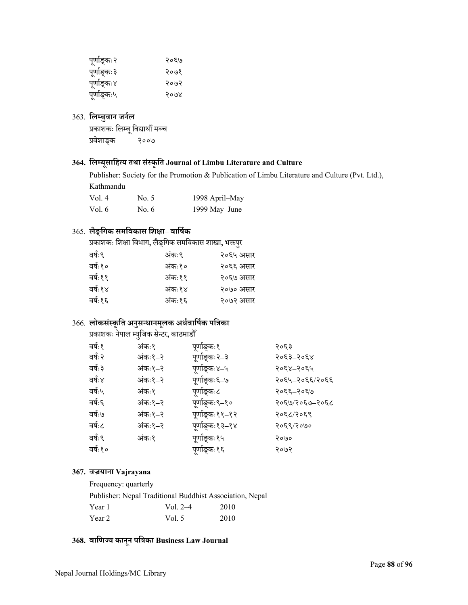| पूर्णाङ्कः२  | २०६७ |
|--------------|------|
| पूर्णाङ्कः ३ | २०७१ |
| पूर्णाङ्कः४  | २०७२ |
| पूर्णाङ्कः५  | २०७४ |

# 363. **िलÌबु वान जनर्ल**

प्रकाशकः लिम्बू विद्यार्थी मञ्च<br>प्रवेशाङक २००७ प्रवेशाङ्क

# **364. िलÌबू सािहÂय तथा सं Öकृित Journal of Limbu Literature and Culture**

Publisher: Society for the Promotion & Publication of Limbu Literature and Culture (Pvt. Ltd.), Kathmandu

| Vol.4  | No. 5 | 1998 April-May |
|--------|-------|----------------|
| Vol. 6 | No. 6 | 1999 May-June  |

# 365. **लैङ्िगक समिवकास िशक्षा**– **वािषर्क**

प्रकाशकः िशक्षा िवभाग**,** लैङ्िगक समिवकास शाखा**,** भक्तपर ु

| वर्षः९  | अंकः९  | २०६५ असार |
|---------|--------|-----------|
| वर्षः१० | अंकः१० | २०६६ असार |
| वर्षः११ | अंकः११ | २०६७ असार |
| वर्षः१४ | अंकः१४ | २०७० असार |
| वर्षः१६ | अंकः१६ | २०७२ असार |
|         |        |           |

# 366. **लोकसं Öकृित अनु सÆधानमू लक अधर्वािषर्क पित्रका**

प्रकाशकः नेपाल म्युजिक सेन्टर, काठमाडौँ

| वर्षः १ | अंकः१   | पूर्णाङ्कः१     | २०६३           |
|---------|---------|-----------------|----------------|
| वर्षः २ | अंकः१–२ | पुर्णाङ्कः २–३  | २०६३–२०६४      |
| वर्षः ३ | अंकः१–२ | पणोङ्कः४–५      | २०६४–२०६५      |
| वर्षः४  | अंकः१–२ | पणोङ्कः६–७      | २०६५–२०६६/२०६६ |
| वर्षः५  | अंकः१   | पणोङ्कः८        | २०६६–२०६७      |
| वर्षः६  | अंकः१–२ | पूर्णाङ्कः९–१०  | २०६७/२०६७-२०६८ |
| वर्षः७  | अंकः१–२ | पूर्णाङ्कः११–१२ | २०६८/२०६९      |
| वर्षः८  | अंकः१–२ | पूर्णाङ्कः१३–१४ | २०६९/२०७०      |
| वर्षः९  | अंकः१   | पूर्णाङ्कः१५    | २०७०           |
| वर्षः१० |         | पूर्णाङ्कः१६    | २०७२           |
|         |         |                 |                |

### **367. वज्रयाना Vajrayana**

Frequency: quarterly

|        | Publisher: Nepal Traditional Buddhist Association, Nepal |      |
|--------|----------------------------------------------------------|------|
| Year 1 | Vol. 2–4                                                 | 2010 |
| Year 2 | Vol. 5                                                   | 2010 |

# **368. वािणºय कानू न पित्रका Business Law Journal**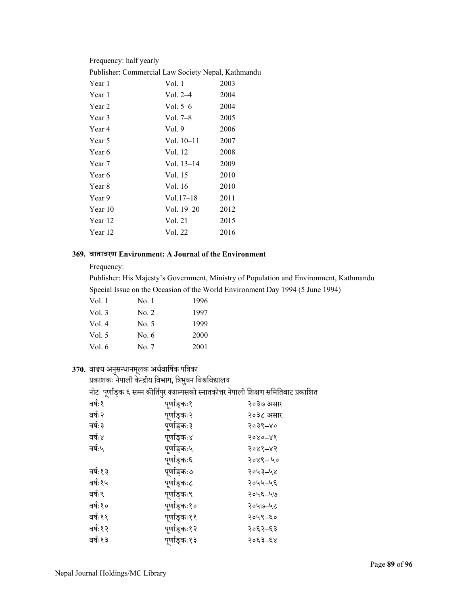| Frequency: half yearly                             |              |      |  |
|----------------------------------------------------|--------------|------|--|
| Publisher: Commercial Law Society Nepal, Kathmandu |              |      |  |
| Year 1                                             | Vol. 1       | 2003 |  |
| Year 1                                             | Vol. $2-4$   | 2004 |  |
| Year 2                                             | Vol. $5-6$   | 2004 |  |
| Year 3                                             | Vol. 7–8     | 2005 |  |
| Year 4                                             | Vol. $9$     | 2006 |  |
| Year 5                                             | Vol. 10–11   | 2007 |  |
| Year 6                                             | Vol. 12      | 2008 |  |
| Year 7                                             | Vol. $13-14$ | 2009 |  |
| Year 6                                             | Vol. 15      | 2010 |  |
| Year 8                                             | Vol. 16      | 2010 |  |
| Year 9                                             | $Vol.17-18$  | 2011 |  |
| Year 10                                            | Vol. $19-20$ | 2012 |  |
| Year 12                                            | Vol. 21      | 2015 |  |
| Year 12                                            | Vol. 22      | 2016 |  |
|                                                    |              |      |  |

#### **369. वातावरण Environment: A Journal of the Environment**

Frequency:

Publisher: His Majesty's Government, Ministry of Population and Environment, Kathmandu Special Issue on the Occasion of the World Environment Day 1994 (5 June 1994)

| Vol. 1 | No. 1   | 1996 |
|--------|---------|------|
| Vol. 3 | No. 2   | 1997 |
| Vol. 4 | No. 5   | 1999 |
| Vol. 5 | No. $6$ | 2000 |
| Vol. 6 | No. 7   | 2001 |
|        |         |      |

# 370. वाङ्मय अनुसन्धानमूलक अर्धवार्षिक पत्रिका<br>्र

प्रकाशकः नेपाली केन्द्रीय विभाग, त्रिभुवन विश्वविद्यालय<br>-

नोटः पूर्णाङ्क ६ सम्म कीर्तिपुर क्याम्पसको स्नातकोत्तर नेपाली शिक्षण समितिबाट प्रकाशित<br>'

| $\sim$  | ◡            |           |
|---------|--------------|-----------|
| वर्षः१  | पूर्णाङ्कः१  | २०३७ असार |
| वर्षः २ | पूर्णाङ्कः२  | २०३८ असार |
| वर्षः ३ | पूर्णाङ्कः ३ | २०३९–४०   |
| वर्षः४  | पूर्णाङ्कः४  | 5080-88   |
| वर्षः५  | पूर्णाङ्कः५  | २०४१–४२   |
|         | पूर्णाङ्कः६  | २०४९-५०   |
| वर्षः१३ | पूर्णाङ्कः७  | २०५३–५४   |
| वर्षः१५ | पूर्णाङ्कः८  | २०५५–५६   |
| वर्षः९  | पूर्णाङ्कः९  | २०५६–५७   |
| वर्षः१० | पूर्णाङ्कः१० | २०५७-५८   |
| वर्षः११ | पूर्णाङ्कः११ | २०५९–६०   |
| वर्षः१२ | पूर्णाङ्कः१२ | २०६२–६३   |
| वर्षः१३ | पूर्णाङ्कः१३ | २०६३–६४   |
|         |              |           |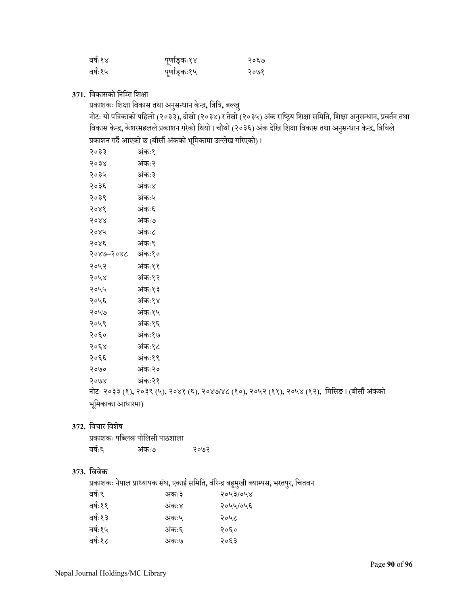| वर्षः१४ | पूर्णाङ्कः१४ | २०६७ |
|---------|--------------|------|
| वर्षः१५ | पूर्णाङ्कः१५ | २०७१ |

371. विकासको निम्ति शिक्षा

प्रकाशकः शिक्षा विकास तथा अनुसन्धान केन्द्र, त्रिवि, बल्खु

नोटः यो पत्रिकाको पहिलो (२०३३), दोस्रो (२०३४) र तेस्रो (२०३५) अंक राष्ट्रिय शिक्षा समिति, शिक्षा अनुसन्धान, प्रवर्तन तथा<br>' विकास केन्द्र, केशरमहलले प्रकाशन गरेको थियो । चौथो (२०३६) अंक देखि शिक्षा विकास तथा अनुसन्धान केन्द्र, त्रिविल<mark>े</mark> प्रकाशन गर्दै आएको छ (बीसौं अंकको भूमिकामा उल्लेख गरिएको)।<br>'

| २०३३             | अंकः१                                                                                       |
|------------------|---------------------------------------------------------------------------------------------|
| २०३४             | अंकः२                                                                                       |
| २०३५             | अंकः ३                                                                                      |
| २०३६             | अंकः४                                                                                       |
| २०३९             | अंकः५                                                                                       |
| 3088             | अंकः६                                                                                       |
| 5088             | अंकः७                                                                                       |
| २०४५             | अंकः८                                                                                       |
| २०४६             | अंकः९                                                                                       |
| २०४७–२०४८ अंकः१० |                                                                                             |
| २०५२             | अंकः११                                                                                      |
| २०५४             | अंकः१२                                                                                      |
| २०५५             | अंकः१३                                                                                      |
| २०५६             | अंकः१४                                                                                      |
| २०५७             | अंकः१५                                                                                      |
| २०५९             | अंकः१६                                                                                      |
| २०६०             | अंकः१७                                                                                      |
| २०६४             | अंकः१८                                                                                      |
| २०६६             | अंकः१९                                                                                      |
| २०७०             | अंकः२०                                                                                      |
| २०७४             | अंकः२१                                                                                      |
|                  | नोटः २०३३ (१), २०३९ (५), २०४१ (६), २०४७/४८ (१०), २०५२ (११), २०५४ (१२),  मिसिङ। (बीसौं अंकको |
| भूमिकाका आधारमा) |                                                                                             |
|                  |                                                                                             |

**372.** िवचार िवशेष

|        | प्रकाशकः पब्लिक पोलिसी पाठशाला |      |
|--------|--------------------------------|------|
| वर्षः६ | अंकः७                          | २०७२ |

### **373. िववेक**

प्रकाशकः नेपाल प्राÅयापक सं घ**,** एकाई सिमित**,** वीरेÆद्र बहु मखी ु क्याÌपस**,** भरतपर ु**,** िचतवन कः३ २०५३**/**०५४

| वर्षः९  | अंकः३ | २०५३/०५४ |
|---------|-------|----------|
| वर्षः११ | अंकः४ | २०५५/०५६ |
| वर्षः१३ | अंकः५ | २०५८     |
| वर्षः१५ | अंकः६ | २०६०     |
| वर्षः१८ | अंकः७ | २०६३     |
|         |       |          |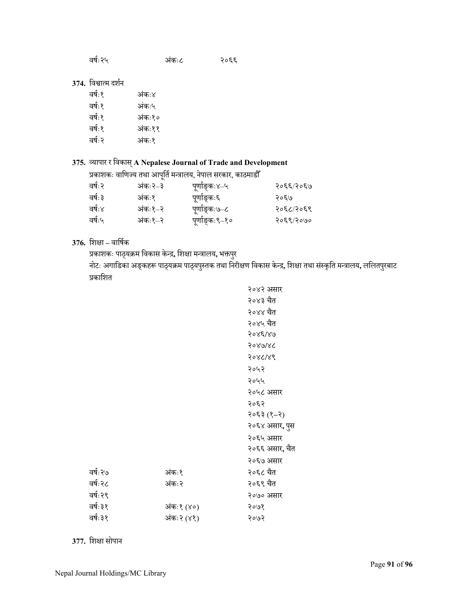| वर्षः२५ | अंकः८ | २०६६ |
|---------|-------|------|
|         |       |      |

### 374. विश्वात्म दर्शन

| वर्षः१  | अंकः४  |
|---------|--------|
| वर्षः१  | अंकः५  |
| वर्षः१  | अंकः१० |
| वर्षः१  | अंकः११ |
| वर्षः २ | अंकः१  |
|         |        |

# **375.** Óयापार र िवकास्**A Nepalese Journal of Trade and Development**

प्रकाशकः वाणिज्य तथा आपूर्ति मन्त्रालय, नेपाल सरकार, काठमाडौँ

| वर्षः२  | अंकः २–३ | पूर्णाङ्कः४–५  | २०६६/२०६७ |
|---------|----------|----------------|-----------|
| वर्षः ३ | अंकः१    | पूर्णाङ्कः६    | २०६७      |
| वर्षः४  | अंकः१–२  | पूर्णाङ्कः७–८  | २०६८/२०६९ |
| वर्षः५  | अंकः१–२  | पूर्णाङ्कः९–१० | २०६९/२०७० |

# **376.** िशक्षा **–** वािषर्क

प्रकाशकः पाठ्यक्रम विकास केन्द्र, शिक्षा मन्त्रालय, भक्तपुर ु

नोटः अगाडिका अङ्कहरू पाठ्यक्रम पाठ्यपुस्तक तथा निरीक्षण विकास केन्द्र, शिक्षा तथा संस्कृति मन्त्रालय, ललितपुरबाट प्रकाशित

|          |            | २०४२ असार      |
|----------|------------|----------------|
|          |            | २०४३ चैत       |
|          |            | २०४४ चैत       |
|          |            | २०४५ चैत       |
|          |            | 9088186        |
|          |            | 9086186        |
|          |            | 986189         |
|          |            | २०५२           |
|          |            | २०५५           |
|          |            | २०५८ असार      |
|          |            | २०६२           |
|          |            | $(5-8)$ $5305$ |
|          |            | २०६४ असार, पुस |
|          |            | २०६५ असार      |
|          |            | २०६६ असार, चैत |
|          |            | २०६७ असार      |
| वर्षः २७ | अंकः१      | २०६८ चैत       |
| वर्षः २८ | अंकः२      | २०६९ चैत       |
| वर्षः २९ |            | २०७० असार      |
| वर्षः ३१ | अंकः१ (४०) | २०७१           |
| वर्षः ३१ | अंकः२ (४१) | २०७२           |
|          |            |                |

**377.** िशक्षा सोपान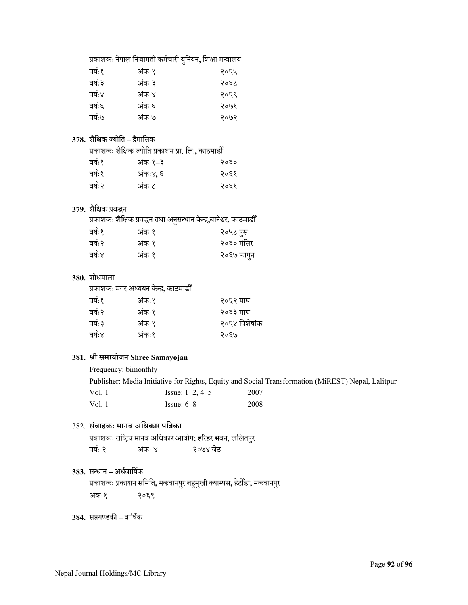|         |        | प्रकाशकः नेपाल निजामती कर्मचारी युनियन, शिक्षा मन्त्रालय |
|---------|--------|----------------------------------------------------------|
| वर्षः १ | अंकः१  | २०६५                                                     |
| वर्षः ३ | अंकः ३ | २०६८                                                     |
| वर्षः४  | अंकः४  | २०६९                                                     |
| वर्षः६  | अंकः६  | २०७१                                                     |
| वर्षः७  | अंकः७  | २०७२                                                     |
|         |        |                                                          |

# **378.** शैिक्षक ºयोित **–** द्वमािसक ै

प्रकाशकः शैिक्षक ºयोित प्रकाशन प्रा. िल.**,** काठमाडौँ

| वर्षः१ | अंकः१–३  | २०६० |
|--------|----------|------|
| वर्षः१ | अंकः४, ६ | २०६१ |
| वर्षः२ | अंकः८    | २०६१ |

### **379.** शैिक्षक प्रवद्धन

प्रकाशकः शैक्षिक प्रवद्धन तथा अनुसन्धान केन्द्र,बानेश्वर, काठमाडौँ

| वर्षः१ | अंकः१ | २०५८ पुस   |
|--------|-------|------------|
| वर्षः२ | अंकः१ | २०६० मंसिर |
| वर्षः४ | अंकः१ | २०६७ फागुन |

### **380.** शोधमाला

प्रकाशकः मगर अÅययन केÆद्र**,** काठमाडौँ

| २०६४ विशेषांक |
|---------------|
|               |
|               |

### **381. ®ी समायोजन Shree Samayojan**

Frequency: bimonthly Publisher: Media Initiative for Rights, Equity and Social Transformation (MiREST) Nepal, Lalitpur Vol. 1 Issue: 1–2, 4–5 2007<br>Vol. 1 Issue: 6–8 2008 Issue: 6–8 2008

# 382. **सं वाहकः मानव अिधकार पित्रका**

प्रकाशकः राष्ट्रिय मानव अधिकार आयोग; हरिहर भवन, ललितपुर ु वर्षः २ अंकः ४ २०७४ जेठ

### 383. सन्धान – अर्धवार्षिक

प्रकाशकः प्रकाशन समिति, मकवानपुर बहुमुखी क्याम्पस, हेटौँडा, मकवानपुर ु अंकः१ कः१ २०६९

### 384. सप्तगण्डकी – वार्षिक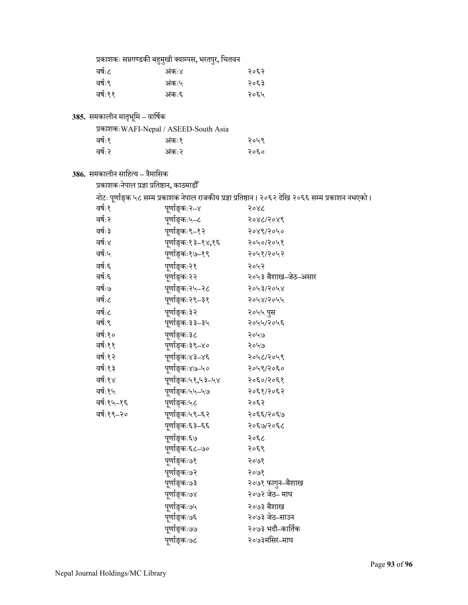| प्रकाशकः सप्तगण्डकी बहुमुखी क्याम्पस, भरतपुर, चितवन |       |      |  |
|-----------------------------------------------------|-------|------|--|
| वर्षः८                                              | अंक:४ | २०६२ |  |
| वर्षः९                                              | अंकः५ | २०६३ |  |
| वर्षः११                                             | अंकः६ | २०६५ |  |

**385.** समकालीन मातभृ िमू **–** वािषर्क

| प्रकाशकः WAFI-Nepal / ASEED-South Asia |       |      |
|----------------------------------------|-------|------|
| वर्षः१                                 | अंक:१ | २०५९ |
| वर्षः२                                 | अंकः२ | २०६० |

**386.** समकालीन सािहÂय **–** त्रैमािसक

प्रकाशकःनेपाल प्रज्ञा प्रितķान**,** काठमाडौँ

नोटः पूर्णाङ्क ५८ सम्म प्रकाशक नेपाल राजकीय प्रज्ञा प्रतिष्ठान । २०६२ देखि २०६६ सम्म प्रकाशन नभएको ।

| वर्षः १    | पूर्णाङ्कः२–४      | २०४८                |
|------------|--------------------|---------------------|
| वर्षः २    | पूर्णाङ्कः५–८      | २०४८/२०४९           |
| वर्षः ३    | पूर्णाङ्कः९–१२     | २०४९/२०५०           |
| वर्षः४     | पूर्णाङ्कः१३–१४,१६ | २०५०/२०५१           |
| वर्षः५     | पूर्णाङ्कः१७–१९    | २०५१/२०५२           |
| वर्षः६     | पूर्णाङ्कः२१       | २०५२                |
| वर्षः६     | पूर्णाङ्कः२२       | २०५३ बैशाख–जेठ–असार |
| वर्षः७     | पूर्णाङ्कः२५–२८    | २०५३/२०५४           |
| वर्षः८     | पूर्णाङ्कः२९–३१    | २०५४/२०५५           |
| वर्षः८     | पूर्णाङ्कः३२       | २०५५ पुस            |
| वर्षः ९    | पूर्णाङ्कः३३–३५    | २०५५/२०५६           |
| वर्षः१०    | पूर्णाङ्कः३८       | २०५७                |
| वर्षः११    | पूर्णाङ्कः३९–४०    | २०५७                |
| वर्षः१२    | पूर्णाङ्कः४३–४६    | २०५८/२०५९           |
| वर्षः१३    | पूर्णाङ्कः४७–५०    | २०५९/२०६०           |
| वर्षः१४    | पूर्णाङ्कः५१,५३–५४ | २०६०/२०६१           |
| वर्षः१५    | पूर्णाङ्कः५५–५७    | २०६१/२०६२           |
| वर्षः१५–१६ | पूर्णाङ्कः५८       | २०६२                |
| वर्षः१९–२० | पूर्णाङ्कः५९–६२    | २०६६/२०६७           |
|            | पूर्णाङ्कः६३–६६    | २०६७/२०६८           |
|            | पूर्णाङ्कः६७       | २०६८                |
|            | पूर्णाङ्कः६८–७०    | २०६९                |
|            | पूर्णाङ्कः७१       | २०७१                |
|            | पूर्णाङ्कः७२       | २०७१                |
|            | पूर्णाङ्कः७३       | २०७१ फागुन–बैशाख    |
|            | पूर्णाङ्कः७४       | २०७२ जेठ– माघ       |
|            | पूर्णाङ्कः७५       | २०७३ बैशाख          |
|            | पूर्णाङ्कः७६       | २०७३ जेठ–साउन       |
|            | पूर्णाङ्कः७७       | २०७३ भदौ–कार्तिक    |
|            | पूर्णाङ्कः७८       | २०७३मंसिर–माघ       |
|            |                    |                     |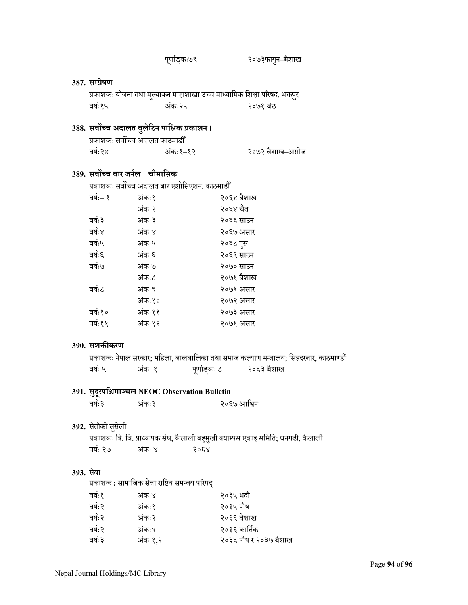|           |                                   | पुर्णाङ्कः७९                                    |              |              | २०७३फागुन–बैशाख                                                                         |
|-----------|-----------------------------------|-------------------------------------------------|--------------|--------------|-----------------------------------------------------------------------------------------|
|           |                                   |                                                 |              |              |                                                                                         |
|           | 387. सम्प्रेषण                    |                                                 |              |              |                                                                                         |
|           |                                   |                                                 |              |              | प्रकाशकः योजना तथा मूल्याकन माहाशाखा उच्च माध्यामिक शिक्षा परिषद, भक्तपुर               |
|           | वर्षः१५                           | अंकः२५                                          |              |              | २०७१ जेठ                                                                                |
|           |                                   | 388. सर्वोच्च अदालत बुलेटिन पाक्षिक प्रकाशन।    |              |              |                                                                                         |
|           |                                   | प्रकाशकः सर्वोच्च अदालत काठमाडौँ                |              |              |                                                                                         |
|           | वर्षः२४                           | अंकः१–१२                                        |              |              | २०७२ बैशाख–असोज                                                                         |
|           | 389. सर्वोच्च बार जर्नल – चौमासिक |                                                 |              |              |                                                                                         |
|           |                                   | प्रकाशकः सर्वोच्च अदालत बार एशोसिएशन, काठमाडौँ  |              |              |                                                                                         |
|           | वर्षः– १                          | अंकः१                                           |              | २०६४ बैशाख   |                                                                                         |
|           |                                   | अंकः२                                           |              | २०६४ चैत     |                                                                                         |
|           | वर्षः ३                           | अंकः ३                                          |              | २०६६ साउन    |                                                                                         |
|           | वर्षः४                            | अंकः४                                           |              | २०६७ असार    |                                                                                         |
|           | वर्षः५                            | अंकः५                                           |              | २०६८ पुस     |                                                                                         |
|           | वर्षः६                            | अंकः६                                           |              | २०६९ साउन    |                                                                                         |
|           | वर्षः७                            | अंकः७                                           |              | २०७० साउन    |                                                                                         |
|           |                                   | अंकः८                                           |              | २०७१ बैशाख   |                                                                                         |
|           | वर्षः८                            | अंकः९                                           |              | २०७१ असार    |                                                                                         |
|           |                                   | अंकः१०                                          |              | २०७२ असार    |                                                                                         |
|           | वर्षः१०                           | अंकः११                                          |              | २०७३ असार    |                                                                                         |
|           | वर्षः११                           | अंकः१२                                          |              | २०७१ असार    |                                                                                         |
|           | 390. सशक्तीकरण                    |                                                 |              |              |                                                                                         |
|           |                                   |                                                 |              |              | प्रकाशकः नेपाल सरकार; महिला, बालबालिका तथा समाज कल्याण मन्त्रालय; सिंहदरबार, काठमाण्डौं |
|           | वर्षः ५                           | अंकः १                                          | पूर्णाङ्कः ८ |              | २०६३ बैशाख                                                                              |
|           |                                   |                                                 |              |              |                                                                                         |
|           |                                   | 391. सुदूरपश्चिमाञ्चल NEOC Observation Bulletin |              |              |                                                                                         |
|           | वर्षः ३                           | अंकः३                                           |              | २०६७ आश्विन  |                                                                                         |
|           |                                   |                                                 |              |              |                                                                                         |
|           | 392. सेतीको सुसेली                |                                                 |              |              |                                                                                         |
|           |                                   |                                                 |              |              | प्रकाशकः त्रि. वि. प्राध्यापक संघ, कैलाली बहुमुखी क्याम्पस एकाइ समिति; धनगढी, कैलाली    |
|           | वर्षः २७                          | अंकः ४                                          | २०६४         |              |                                                                                         |
|           |                                   |                                                 |              |              |                                                                                         |
| 393. सेवा |                                   |                                                 |              |              |                                                                                         |
|           |                                   | प्रकाशक : सामाजिक सेवा राष्टिय समन्वय परिषद्    |              |              |                                                                                         |
|           | वर्षः१                            | अंकः४                                           |              | २०३५ भदौ     |                                                                                         |
|           | वर्षः २                           | अंकः१                                           |              | २०३५ पौष     |                                                                                         |
|           | वर्षः २                           | अंकः२                                           |              | २०३६ वैशाख   |                                                                                         |
|           | वर्षः २                           | अंकः४                                           |              | २०३६ कार्तिक |                                                                                         |
|           | वर्षः ३                           | अंकः१,२                                         |              |              | २०३६ पौष र २०३७ बैशाख                                                                   |
|           |                                   |                                                 |              |              |                                                                                         |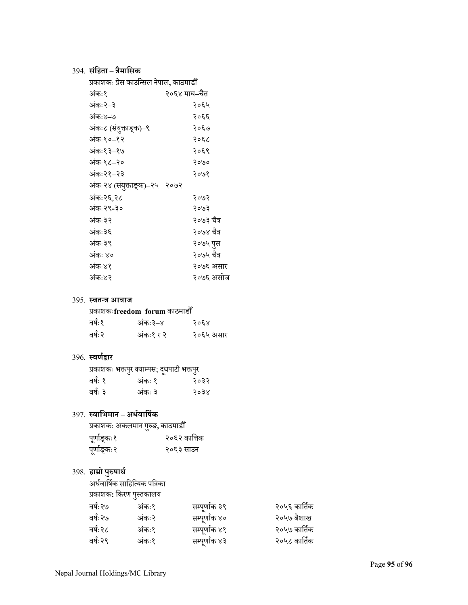# 394. **सं िहता**– **त्रैमािसक**

| प्रकाशकः प्रेस काउन्सिल नेपाल, काठमाडौँ |              |
|-----------------------------------------|--------------|
| अंकः१                                   | २०६४ माघ–चैत |
| अंकः २–३                                | २०६५         |
| अंकः४–७                                 | २०६६         |
| अंकः८ (संयुक्ताङ्क)–९                   | २०६७         |
| अंकः१०–१२                               | २०६८         |
| अंकः१३–१७                               | २०६९         |
| अंकः१८–२०                               | २०७०         |
| अंकः२१–२३                               | २०७१         |
| अंकः२४ (संयुक्ताङ्क)–२५ २०७२            |              |
| अंकः २६,२८                              | २०७२         |
| अंकः २९-३०                              | २०७३         |
| अंकः ३२                                 | २०७३ चैत्र   |
| अंकः ३६                                 | २०७४ चैत्र   |
| अंकः ३९                                 | २०७५ पुस     |
| अंकः ४०                                 | २०७५ चैत्र   |
| अंकः४१                                  | २०७६ असार    |
| अंकः४२                                  | २०७६ असोज    |
|                                         |              |

# 395. **स्वतन्त्र आवाज**<br>प्रकाशकःfreedo

| प्रकाशकःfreedom  forum काठमाडौँ |  |
|---------------------------------|--|
|---------------------------------|--|

| वर्षः१  | अंकः ३–४  | २०६४      |
|---------|-----------|-----------|
| वर्षः २ | अंकः१ र २ | २०६५ असार |

# 396. **Öवणर्द्वार**

|         | प्रकाशकः भक्तपुर क्याम्पस; दूधपाटी भक्तपुर |      |
|---------|--------------------------------------------|------|
| वर्षः १ | अकः १                                      | २०३२ |
| वर्षः ३ | अंकः ३                                     | २०३४ |

# 397. **Öवािभमान** – **अधर्वािषर्क**

| प्रकाशकः अकलमान गुरुङ, काठमाडौँ |              |
|---------------------------------|--------------|
| पूर्णाङ्कः१                     | २०६२ कात्तिक |
| पूर्णाङ्कः२                     | २०६३ साउन    |

# 398. **हाम्रो पु Łषाथर्**

अर्धवार्षिक साहित्यिक पत्रिका

| प्रकाशक: किरण पुस्तकालय |               |              |
|-------------------------|---------------|--------------|
| अंकः१                   | सम्पूर्णाक ३९ | २०५६ कार्तिक |
| अंकः२                   | सम्पूर्णाक ४० | २०५७ बैशाख   |
| अंकः१                   | सम्पूर्णाक ४१ | २०५७ कार्तिक |
| अंकः१                   | सम्पूर्णाक ४३ | २०५८ कार्तिक |
|                         |               |              |